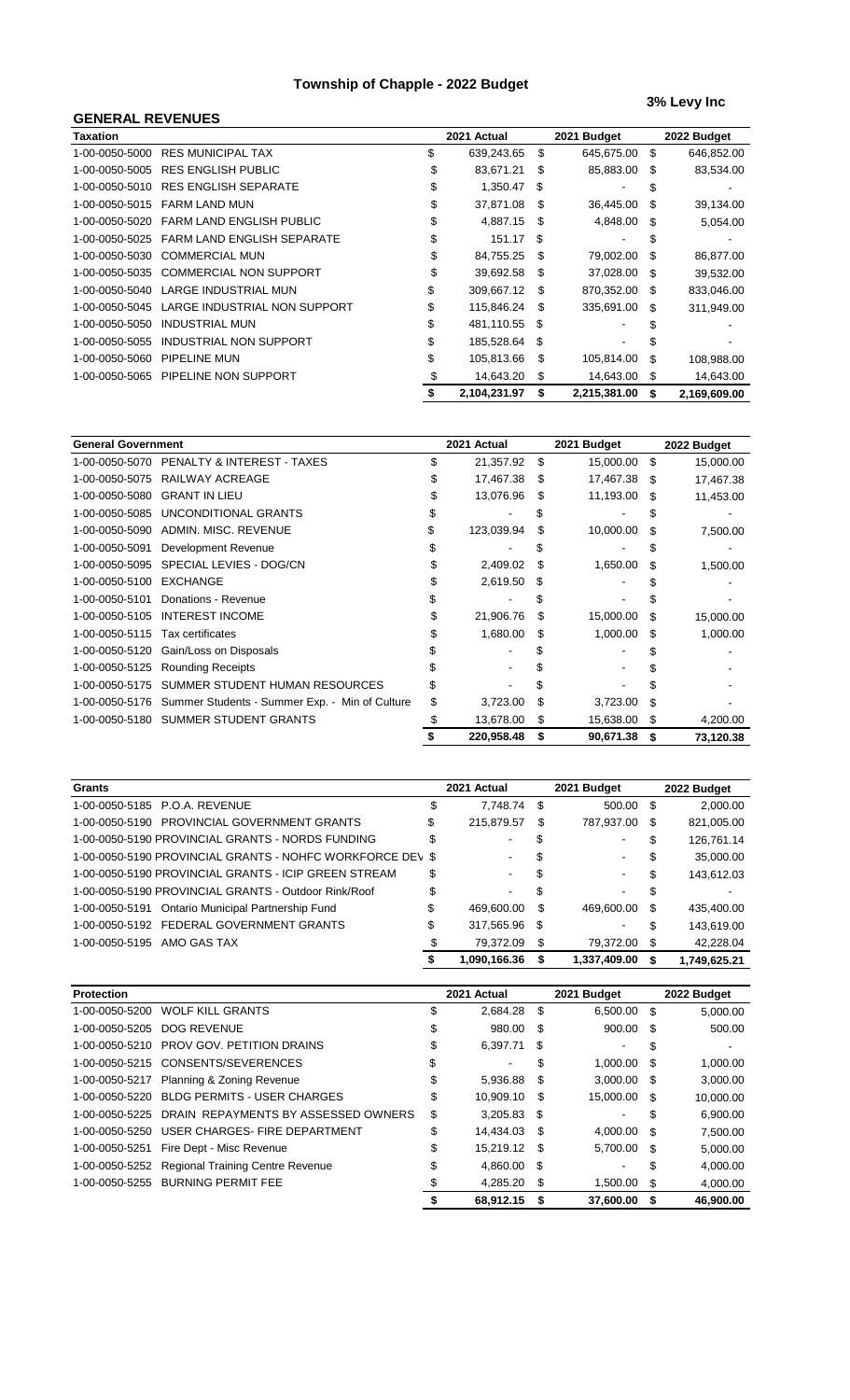### **Township of Chapple - 2022 Budget**

## **3% Levy Inc**

| <b>GENERAL REVENUES</b> |                                   |    |              |     |              |     |              |
|-------------------------|-----------------------------------|----|--------------|-----|--------------|-----|--------------|
| <b>Taxation</b>         |                                   |    | 2021 Actual  |     | 2021 Budget  |     | 2022 Budget  |
| 1-00-0050-5000          | <b>RES MUNICIPAL TAX</b>          | \$ | 639,243.65   | \$  | 645.675.00   | \$  | 646,852.00   |
| 1-00-0050-5005          | <b>RES ENGLISH PUBLIC</b>         | \$ | 83,671.21    | \$  | 85,883.00    | \$  | 83,534.00    |
| 1-00-0050-5010          | <b>RES ENGLISH SEPARATE</b>       | \$ | 1.350.47     | S   |              | S   |              |
| 1-00-0050-5015          | <b>FARM LAND MUN</b>              | \$ | 37,871.08    | \$. | 36,445.00    | S   | 39,134.00    |
| 1-00-0050-5020          | <b>FARM LAND ENGLISH PUBLIC</b>   | \$ | 4,887.15     | -S  | 4,848.00     | \$  | 5,054.00     |
| 1-00-0050-5025          | <b>FARM LAND ENGLISH SEPARATE</b> | \$ | 151.17       | \$. |              | \$. |              |
| 1-00-0050-5030          | <b>COMMERCIAL MUN</b>             | \$ | 84,755.25    | S   | 79,002.00    | S   | 86.877.00    |
| 1-00-0050-5035          | <b>COMMERCIAL NON SUPPORT</b>     | \$ | 39,692.58    | \$. | 37,028.00    | \$  | 39,532.00    |
| 1-00-0050-5040          | LARGE INDUSTRIAL MUN              | \$ | 309,667.12   | S   | 870,352.00   | \$  | 833,046.00   |
| 1-00-0050-5045          | LARGE INDUSTRIAL NON SUPPORT      | \$ | 115,846.24   | \$. | 335,691.00   | \$  | 311,949.00   |
| 1-00-0050-5050          | <b>INDUSTRIAL MUN</b>             |    | 481,110.55   | \$  |              |     |              |
| 1-00-0050-5055          | INDUSTRIAL NON SUPPORT            |    | 185,528.64   | \$  |              |     |              |
| 1-00-0050-5060          | PIPELINE MUN                      | \$ | 105,813.66   | S   | 105,814.00   | \$  | 108,988.00   |
| 1-00-0050-5065          | PIPELINE NON SUPPORT              | S  | 14,643.20    | S   | 14.643.00    | \$  | 14,643.00    |
|                         |                                   |    | 2,104,231.97 | \$  | 2,215,381.00 | \$  | 2,169,609.00 |

| <b>General Government</b> |                                                | 2021 Actual     |    | 2021 Budget |      | 2022 Budget |
|---------------------------|------------------------------------------------|-----------------|----|-------------|------|-------------|
| 1-00-0050-5070            | PENALTY & INTEREST - TAXES                     | \$<br>21,357.92 | \$ | 15,000.00   | \$   | 15,000.00   |
| 1-00-0050-5075            | RAILWAY ACREAGE                                | 17,467.38       | S  | 17,467.38   | - \$ | 17,467.38   |
| 1-00-0050-5080            | <b>GRANT IN LIEU</b>                           | 13,076.96       | \$ | 11,193.00   | \$   | 11,453.00   |
| 1-00-0050-5085            | UNCONDITIONAL GRANTS                           |                 |    |             |      |             |
| 1-00-0050-5090            | ADMIN, MISC, REVENUE                           | 123,039.94      | \$ | 10,000.00   | \$   | 7,500.00    |
| 1-00-0050-5091            | Development Revenue                            |                 |    |             |      |             |
| 1-00-0050-5095            | SPECIAL LEVIES - DOG/CN                        | 2,409.02        | S  | 1,650.00    | \$   | 1,500.00    |
| 1-00-0050-5100            | <b>EXCHANGE</b>                                | 2,619.50        | S  |             |      |             |
| 1-00-0050-5101            | Donations - Revenue                            |                 |    |             |      |             |
| 1-00-0050-5105            | <b>INTEREST INCOME</b>                         | 21,906.76       | \$ | 15,000.00   | S    | 15,000.00   |
| 1-00-0050-5115            | Tax certificates                               | 1,680.00        | \$ | 1,000.00    | \$   | 1,000.00    |
| 1-00-0050-5120            | Gain/Loss on Disposals                         |                 |    |             |      |             |
| 1-00-0050-5125            | <b>Rounding Receipts</b>                       |                 |    |             |      |             |
| 1-00-0050-5175            | SUMMER STUDENT HUMAN RESOURCES                 |                 |    |             |      |             |
| 1-00-0050-5176            | Summer Students - Summer Exp. - Min of Culture | \$<br>3,723.00  | \$ | 3,723.00    | \$   |             |
| 1-00-0050-5180            | <b>SUMMER STUDENT GRANTS</b>                   | 13,678.00       | \$ | 15,638.00   | \$   | 4,200.00    |
|                           |                                                | 220,958.48      | \$ | 90,671.38   | \$   | 73,120.38   |

| Grants                                                    |    | 2021 Actual    |     | 2021 Budget    |    | 2022 Budget  |
|-----------------------------------------------------------|----|----------------|-----|----------------|----|--------------|
| 1-00-0050-5185 P.O.A. REVENUE                             | \$ | 7.748.74       | -\$ | 500.00 \$      |    | 2,000.00     |
| 1-00-0050-5190 PROVINCIAL GOVERNMENT GRANTS               | \$ | 215,879.57     | \$  | 787,937.00     | \$ | 821,005.00   |
| 1-00-0050-5190 PROVINCIAL GRANTS - NORDS FUNDING          | \$ | ٠              | \$  | ۰.             | \$ | 126,761.14   |
| 1-00-0050-5190 PROVINCIAL GRANTS - NOHFC WORKFORCE DEV \$ |    | $\sim$         | \$  | $\sim$         | \$ | 35,000.00    |
| 1-00-0050-5190 PROVINCIAL GRANTS - ICIP GREEN STREAM      | \$ | $\blacksquare$ | \$  | ۰.             | \$ | 143,612.03   |
| 1-00-0050-5190 PROVINCIAL GRANTS - Outdoor Rink/Roof      | \$ | $\blacksquare$ | \$  | $\blacksquare$ | S  |              |
| Ontario Municipal Partnership Fund<br>1-00-0050-5191      | \$ | 469.600.00     | S   | 469.600.00     | \$ | 435.400.00   |
| 1-00-0050-5192 FEDERAL GOVERNMENT GRANTS                  | \$ | 317,565.96     | -\$ | $\sim$         | \$ | 143,619.00   |
| 1-00-0050-5195<br>AMO GAS TAX                             | S  | 79.372.09      | -\$ | 79,372.00 \$   |    | 42,228.04    |
|                                                           |    | 1,090,166.36   | S   | 1.337.409.00   | S  | 1.749.625.21 |

| <b>Protection</b> |                                                 |    | 2021 Actual   |      | 2021 Budget   |     | 2022 Budget |
|-------------------|-------------------------------------------------|----|---------------|------|---------------|-----|-------------|
|                   | 1-00-0050-5200 WOLF KILL GRANTS                 | C  | 2,684.28      | - \$ | 6,500.00 \$   |     | 5,000.00    |
| 1-00-0050-5205    | DOG REVENUE                                     | \$ | 980.00        | - \$ | 900.00 \$     |     | 500.00      |
| 1-00-0050-5210    | PROV GOV. PETITION DRAINS                       | \$ | 6,397.71      | \$   |               | \$  |             |
|                   | 1-00-0050-5215 CONSENTS/SEVERENCES              | \$ | ٠             | \$   | 1.000.00      | -\$ | 1,000.00    |
| 1-00-0050-5217    | Planning & Zoning Revenue                       | \$ | 5,936.88      | - \$ | $3,000.00$ \$ |     | 3,000.00    |
| 1-00-0050-5220    | <b>BLDG PERMITS - USER CHARGES</b>              | \$ | 10,909.10     | - \$ | 15,000.00     | \$  | 10,000.00   |
| 1-00-0050-5225    | DRAIN REPAYMENTS BY ASSESSED OWNERS             | \$ | $3,205.83$ \$ |      | ۰             | \$  | 6,900.00    |
|                   | 1-00-0050-5250 USER CHARGES- FIRE DEPARTMENT    | \$ | 14,434.03     | - \$ | 4.000.00      | \$. | 7,500.00    |
| 1-00-0050-5251    | Fire Dept - Misc Revenue                        | \$ | 15,219.12 \$  |      | 5,700.00 \$   |     | 5,000.00    |
|                   | 1-00-0050-5252 Regional Training Centre Revenue | \$ | 4,860.00      | - \$ |               | S   | 4,000.00    |
|                   | 1-00-0050-5255 BURNING PERMIT FEE               | S  | 4.285.20      | \$   | 1.500.00      | \$  | 4,000.00    |
|                   |                                                 |    | 68.912.15     | \$   | 37.600.00     | S   | 46.900.00   |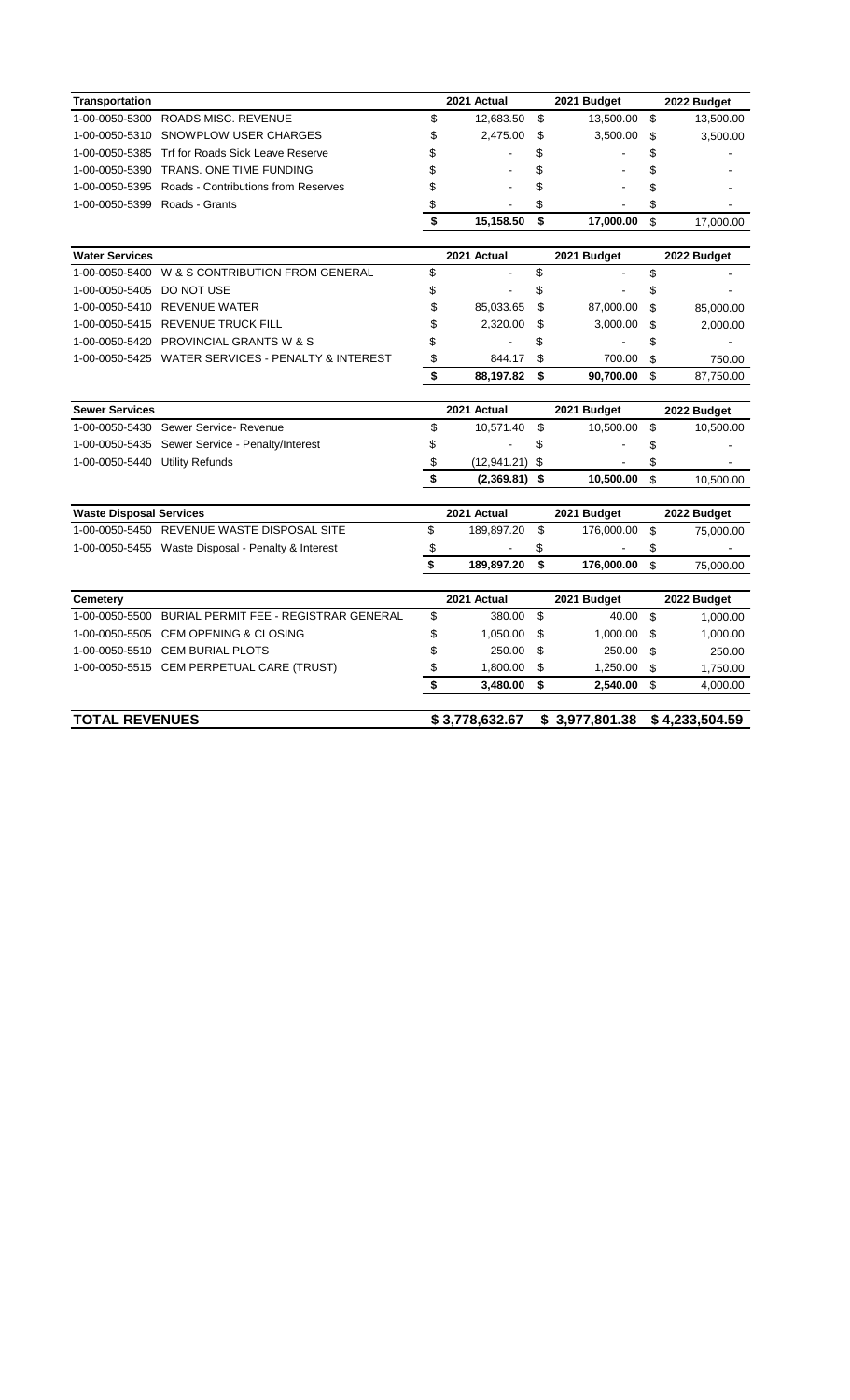| <b>Transportation</b>          |                                                    |                      | 2021 Actual    |                     | 2021 Budget    | 2022 Budget     |
|--------------------------------|----------------------------------------------------|----------------------|----------------|---------------------|----------------|-----------------|
| 1-00-0050-5300                 | ROADS MISC. REVENUE                                | \$                   | 12,683.50      | \$                  | 13,500.00      | \$<br>13,500.00 |
| 1-00-0050-5310                 | SNOWPLOW USER CHARGES                              | \$                   | 2,475.00       | \$                  | 3,500.00       | \$<br>3,500.00  |
| 1-00-0050-5385                 | Trf for Roads Sick Leave Reserve                   | \$                   |                | \$                  |                | \$              |
| 1-00-0050-5390                 | TRANS, ONE TIME FUNDING                            | \$                   |                | \$                  |                | \$              |
| 1-00-0050-5395                 | Roads - Contributions from Reserves                | \$                   |                | \$                  |                | \$              |
| 1-00-0050-5399 Roads - Grants  |                                                    | \$                   |                | \$                  |                | \$              |
|                                |                                                    | $\overline{\bullet}$ | 15,158.50      | \$                  | 17,000.00      | \$<br>17,000.00 |
|                                |                                                    |                      |                |                     |                |                 |
| <b>Water Services</b>          |                                                    |                      | 2021 Actual    |                     | 2021 Budget    | 2022 Budget     |
| 1-00-0050-5400                 | W & S CONTRIBUTION FROM GENERAL                    | \$                   |                | \$                  |                | \$              |
| 1-00-0050-5405                 | DO NOT USE                                         | \$                   |                | \$                  |                | \$              |
|                                | 1-00-0050-5410 REVENUE WATER                       | \$                   | 85,033.65      | \$                  | 87,000.00      | \$<br>85,000.00 |
|                                | 1-00-0050-5415 REVENUE TRUCK FILL                  | \$                   | 2,320.00       | \$                  | 3,000.00       | \$<br>2,000.00  |
|                                | 1-00-0050-5420 PROVINCIAL GRANTS W & S             | \$                   |                | \$                  |                | \$              |
|                                | 1-00-0050-5425 WATER SERVICES - PENALTY & INTEREST | \$                   | 844.17         | \$                  | 700.00         | \$<br>750.00    |
|                                |                                                    | \$                   | 88,197.82      | \$                  | 90,700.00      | \$<br>87,750.00 |
|                                |                                                    |                      |                |                     |                |                 |
| <b>Sewer Services</b>          |                                                    |                      | 2021 Actual    |                     | 2021 Budget    | 2022 Budget     |
|                                | 1-00-0050-5430 Sewer Service- Revenue              | \$                   | 10,571.40      | \$                  | 10,500.00      | \$<br>10,500.00 |
|                                | 1-00-0050-5435 Sewer Service - Penalty/Interest    | \$                   |                | \$                  |                | \$              |
| 1-00-0050-5440 Utility Refunds |                                                    | \$                   | (12, 941.21)   | \$                  |                | \$              |
|                                |                                                    | \$                   | (2,369.81)     | \$                  | 10,500.00      | \$<br>10,500.00 |
| <b>Waste Disposal Services</b> |                                                    |                      | 2021 Actual    |                     | 2021 Budget    | 2022 Budget     |
|                                | 1-00-0050-5450 REVENUE WASTE DISPOSAL SITE         | \$                   | 189,897.20     | \$                  | 176,000.00     | \$<br>75,000.00 |
|                                | 1-00-0050-5455 Waste Disposal - Penalty & Interest | \$                   |                | \$                  |                | \$              |
|                                |                                                    | \$                   | 189,897.20     | \$                  | 176,000.00     | \$<br>75,000.00 |
|                                |                                                    |                      |                |                     |                |                 |
| <b>Cemetery</b>                |                                                    |                      | 2021 Actual    |                     | 2021 Budget    | 2022 Budget     |
| 1-00-0050-5500                 | BURIAL PERMIT FEE - REGISTRAR GENERAL              | \$                   | 380.00         | $\pmb{\mathsf{\$}}$ | 40.00          | \$<br>1,000.00  |
| 1-00-0050-5505                 | <b>CEM OPENING &amp; CLOSING</b>                   | \$                   | 1,050.00       | \$                  | 1,000.00       | \$<br>1,000.00  |
|                                | 1-00-0050-5510 CEM BURIAL PLOTS                    | \$                   | 250.00         | \$                  | 250.00         | \$<br>250.00    |
|                                | 1-00-0050-5515 CEM PERPETUAL CARE (TRUST)          | \$                   | 1,800.00       | \$                  | 1,250.00       | \$<br>1,750.00  |
|                                |                                                    | \$                   | 3,480.00       | \$                  | 2,540.00       | \$<br>4,000.00  |
| <b>TOTAL REVENUES</b>          |                                                    |                      | \$3,778,632.67 |                     | \$3,977,801.38 | \$4,233,504.59  |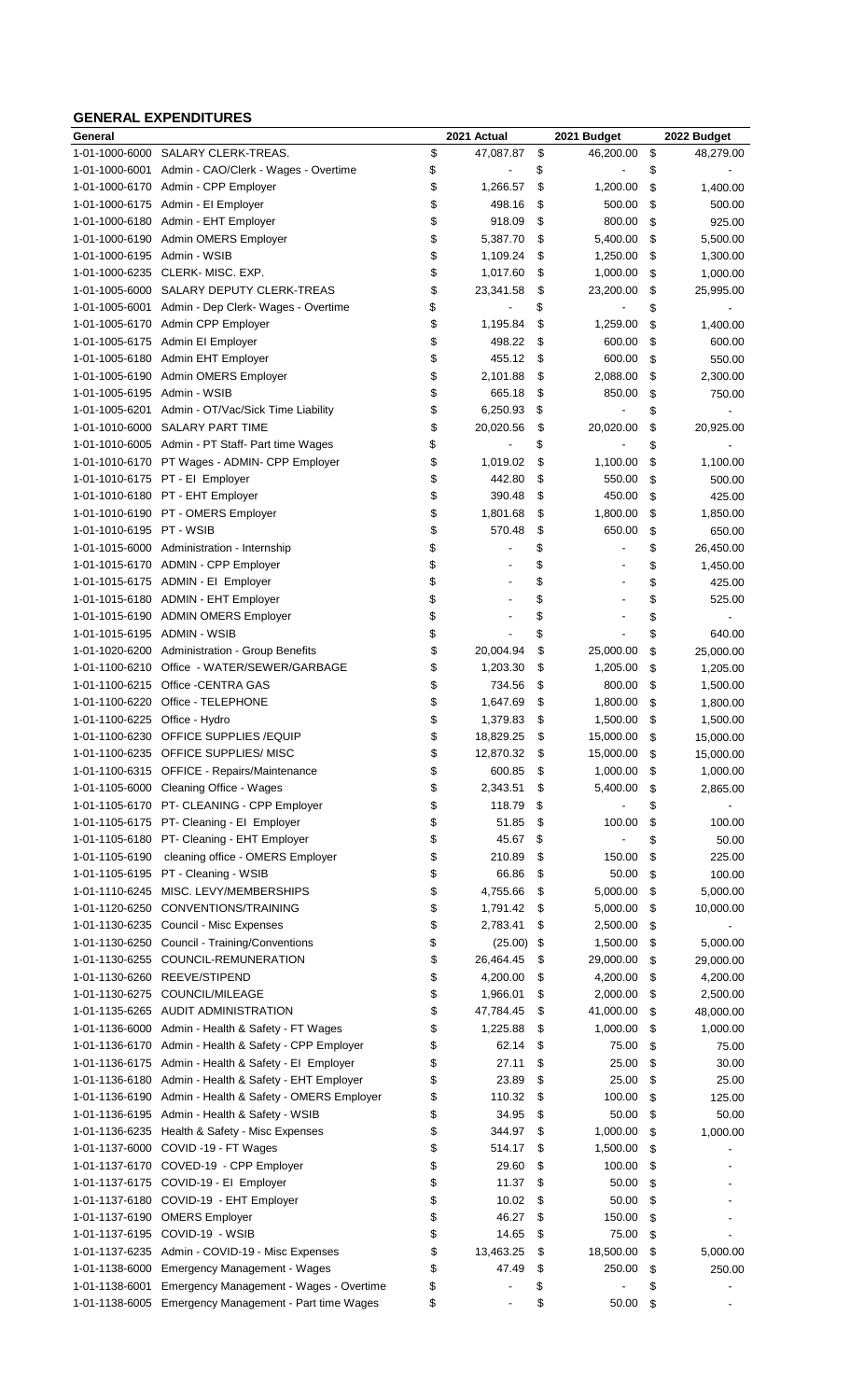#### **GENERAL EXPENDITURES**

| General                     |                                                         | 2021 Actual          |          | 2021 Budget    | 2022 Budget             |
|-----------------------------|---------------------------------------------------------|----------------------|----------|----------------|-------------------------|
| 1-01-1000-6000              | SALARY CLERK-TREAS.                                     | \$<br>47,087.87      | \$       | 46,200.00      | \$<br>48,279.00         |
| 1-01-1000-6001              | Admin - CAO/Clerk - Wages - Overtime                    | \$                   | \$       |                | \$                      |
|                             | 1-01-1000-6170 Admin - CPP Employer                     | \$<br>1,266.57       | \$       | 1,200.00       | \$<br>1,400.00          |
| 1-01-1000-6175              | Admin - El Employer                                     | \$<br>498.16         | \$       | 500.00         | \$<br>500.00            |
| 1-01-1000-6180              | Admin - EHT Employer                                    | \$<br>918.09         | \$       | 800.00         | \$<br>925.00            |
|                             | 1-01-1000-6190 Admin OMERS Employer                     | \$<br>5,387.70       | \$       | 5,400.00       | \$<br>5,500.00          |
| 1-01-1000-6195 Admin - WSIB |                                                         | \$<br>1,109.24       | \$       | 1,250.00       | \$<br>1,300.00          |
| 1-01-1000-6235              | CLERK-MISC. EXP.                                        | \$<br>1,017.60       | \$       | 1,000.00       | \$<br>1,000.00          |
| 1-01-1005-6000              | SALARY DEPUTY CLERK-TREAS                               | \$<br>23,341.58      | \$       | 23,200.00      | \$<br>25,995.00         |
| 1-01-1005-6001              | Admin - Dep Clerk- Wages - Overtime                     | \$                   | \$       |                | \$                      |
| 1-01-1005-6170              | Admin CPP Employer                                      | \$<br>1,195.84       | \$       | 1,259.00       | \$<br>1,400.00          |
| 1-01-1005-6175              | Admin EI Employer                                       | \$<br>498.22         | \$       | 600.00         | \$<br>600.00            |
| 1-01-1005-6180              | Admin EHT Employer                                      | \$<br>455.12         | \$       | 600.00         | \$<br>550.00            |
| 1-01-1005-6190              | Admin OMERS Employer                                    | \$<br>2,101.88       | \$       | 2,088.00       | \$<br>2,300.00          |
| 1-01-1005-6195 Admin - WSIB |                                                         | \$<br>665.18         | \$       | 850.00         | \$<br>750.00            |
|                             | 1-01-1005-6201 Admin - OT/Vac/Sick Time Liability       | \$<br>6,250.93       | \$       |                | \$                      |
| 1-01-1010-6000              | <b>SALARY PART TIME</b>                                 | \$<br>20,020.56      | \$       | 20,020.00      | \$<br>20,925.00         |
|                             | 1-01-1010-6005 Admin - PT Staff- Part time Wages        | \$                   | \$       |                | \$                      |
|                             | 1-01-1010-6170 PT Wages - ADMIN- CPP Employer           | \$<br>1,019.02       | \$       | 1,100.00       | \$<br>1,100.00          |
|                             | 1-01-1010-6175 PT - EI Employer                         | \$<br>442.80         | \$       | 550.00         | \$<br>500.00            |
|                             | 1-01-1010-6180 PT - EHT Employer                        | \$<br>390.48         | \$       | 450.00         | \$<br>425.00            |
|                             | 1-01-1010-6190 PT - OMERS Employer                      | \$<br>1,801.68       | \$       | 1,800.00       | \$<br>1,850.00          |
| 1-01-1010-6195 PT - WSIB    |                                                         | \$<br>570.48         | \$       | 650.00         | \$<br>650.00            |
|                             | 1-01-1015-6000 Administration - Internship              | \$<br>$\blacksquare$ | \$       | $\overline{a}$ | \$<br>26,450.00         |
|                             | 1-01-1015-6170 ADMIN - CPP Employer                     | \$                   | \$       |                | \$<br>1,450.00          |
|                             | 1-01-1015-6175 ADMIN - EI Employer                      | \$<br>٠              | \$       | ۰              | \$<br>425.00            |
|                             | 1-01-1015-6180 ADMIN - EHT Employer                     | \$                   | \$       |                | \$<br>525.00            |
|                             | 1-01-1015-6190 ADMIN OMERS Employer                     | \$                   | \$       |                | \$                      |
| 1-01-1015-6195              | ADMIN - WSIB                                            | \$                   | \$       |                | \$<br>640.00            |
| 1-01-1020-6200              | <b>Administration - Group Benefits</b>                  | \$<br>20,004.94      | \$       | 25,000.00      | \$<br>25,000.00         |
| 1-01-1100-6210              | Office - WATER/SEWER/GARBAGE                            | \$<br>1,203.30       | \$       | 1,205.00       | \$<br>1,205.00          |
| 1-01-1100-6215              | Office - CENTRA GAS                                     | \$<br>734.56         | \$       | 800.00         | \$<br>1,500.00          |
| 1-01-1100-6220              | Office - TELEPHONE                                      | \$<br>1,647.69       | \$       | 1,800.00       | \$<br>1,800.00          |
| 1-01-1100-6225              | Office - Hydro                                          | \$<br>1,379.83       | \$       | 1,500.00       | \$<br>1,500.00          |
|                             | 1-01-1100-6230 OFFICE SUPPLIES / EQUIP                  | \$<br>18,829.25      | \$       | 15,000.00      | \$<br>15,000.00         |
| 1-01-1100-6235              | OFFICE SUPPLIES/ MISC                                   | \$<br>12,870.32      | \$       | 15,000.00      | \$<br>15,000.00         |
| 1-01-1100-6315              | OFFICE - Repairs/Maintenance                            | \$<br>600.85         | \$       | 1,000.00       | \$<br>1,000.00          |
|                             | 1-01-1105-6000 Cleaning Office - Wages                  | \$<br>2,343.51       | \$       | 5,400.00       | \$<br>2,865.00          |
|                             | 1-01-1105-6170 PT- CLEANING - CPP Employer              | \$<br>118.79         | \$       |                | \$                      |
|                             | 1-01-1105-6175 PT- Cleaning - El Employer               | \$<br>51.85          | \$       | 100.00         | \$<br>100.00            |
|                             | 1-01-1105-6180 PT- Cleaning - EHT Employer              | \$<br>45.67          | \$       |                | \$<br>50.00             |
| 1-01-1105-6190              | cleaning office - OMERS Employer                        | \$<br>210.89         | \$       | 150.00         | \$<br>225.00            |
| 1-01-1105-6195              | PT - Cleaning - WSIB                                    | \$<br>66.86          | \$       | 50.00          | \$<br>100.00            |
| 1-01-1110-6245              | MISC. LEVY/MEMBERSHIPS                                  | \$<br>4,755.66       | \$       | 5,000.00       | \$<br>5,000.00          |
| 1-01-1120-6250              | CONVENTIONS/TRAINING                                    | \$<br>1,791.42       | \$       | 5,000.00       | \$<br>10,000.00         |
| 1-01-1130-6235              | Council - Misc Expenses                                 | \$<br>2,783.41       | \$       | 2,500.00       | \$                      |
| 1-01-1130-6250              | Council - Training/Conventions                          | \$<br>(25.00)        | \$       | 1,500.00       | \$<br>5,000.00          |
| 1-01-1130-6255              | COUNCIL-REMUNERATION                                    | \$<br>26,464.45      | \$       | 29,000.00      | \$<br>29,000.00         |
| 1-01-1130-6260              | REEVE/STIPEND                                           | \$<br>4,200.00       | \$       | 4,200.00       | \$<br>4,200.00          |
| 1-01-1130-6275              | COUNCIL/MILEAGE                                         | \$<br>1,966.01       | \$       | 2,000.00       | \$<br>2,500.00          |
| 1-01-1135-6265              | AUDIT ADMINISTRATION                                    | \$<br>47,784.45      | \$       | 41,000.00      | \$<br>48,000.00         |
| 1-01-1136-6000              | Admin - Health & Safety - FT Wages                      | \$<br>1,225.88       | \$       | 1,000.00       | \$                      |
| 1-01-1136-6170              | Admin - Health & Safety - CPP Employer                  | \$<br>62.14          | \$       | 75.00          | \$<br>1,000.00<br>75.00 |
| 1-01-1136-6175              | Admin - Health & Safety - El Employer                   | \$<br>27.11          | \$       | 25.00          | \$<br>30.00             |
| 1-01-1136-6180              |                                                         | \$<br>23.89          | \$       | 25.00          |                         |
|                             | Admin - Health & Safety - EHT Employer                  | 110.32               | \$       | 100.00         | \$<br>25.00             |
|                             | 1-01-1136-6190 Admin - Health & Safety - OMERS Employer | \$                   |          |                | \$<br>125.00            |
|                             | 1-01-1136-6195 Admin - Health & Safety - WSIB           | \$<br>34.95          | \$<br>\$ | 50.00          | \$<br>50.00             |
| 1-01-1136-6235              | Health & Safety - Misc Expenses                         | \$<br>344.97         |          | 1,000.00       | \$<br>1,000.00          |
|                             | 1-01-1137-6000 COVID-19 - FT Wages                      | \$<br>514.17         | \$       | 1,500.00       | \$                      |
|                             | 1-01-1137-6170 COVED-19 - CPP Employer                  | \$<br>29.60          | \$       | 100.00         | \$                      |
|                             | 1-01-1137-6175 COVID-19 - El Employer                   | \$<br>11.37          | \$       | 50.00          | \$                      |
|                             | 1-01-1137-6180 COVID-19 - EHT Employer                  | \$<br>10.02          | \$       | 50.00          | \$                      |
|                             | 1-01-1137-6190 OMERS Employer                           | \$<br>46.27          | \$       | 150.00         | \$                      |
| 1-01-1137-6195              | COVID-19 - WSIB                                         | \$<br>14.65          | \$       | 75.00          | \$                      |
|                             | 1-01-1137-6235 Admin - COVID-19 - Misc Expenses         | \$<br>13,463.25      | \$       | 18,500.00      | \$<br>5,000.00          |
| 1-01-1138-6000              | <b>Emergency Management - Wages</b>                     | \$<br>47.49          | \$       | 250.00         | \$<br>250.00            |
| 1-01-1138-6001              | Emergency Management - Wages - Overtime                 | \$                   | \$       |                | \$                      |
| 1-01-1138-6005              | Emergency Management - Part time Wages                  | \$<br>$\overline{a}$ | \$       | 50.00          | \$                      |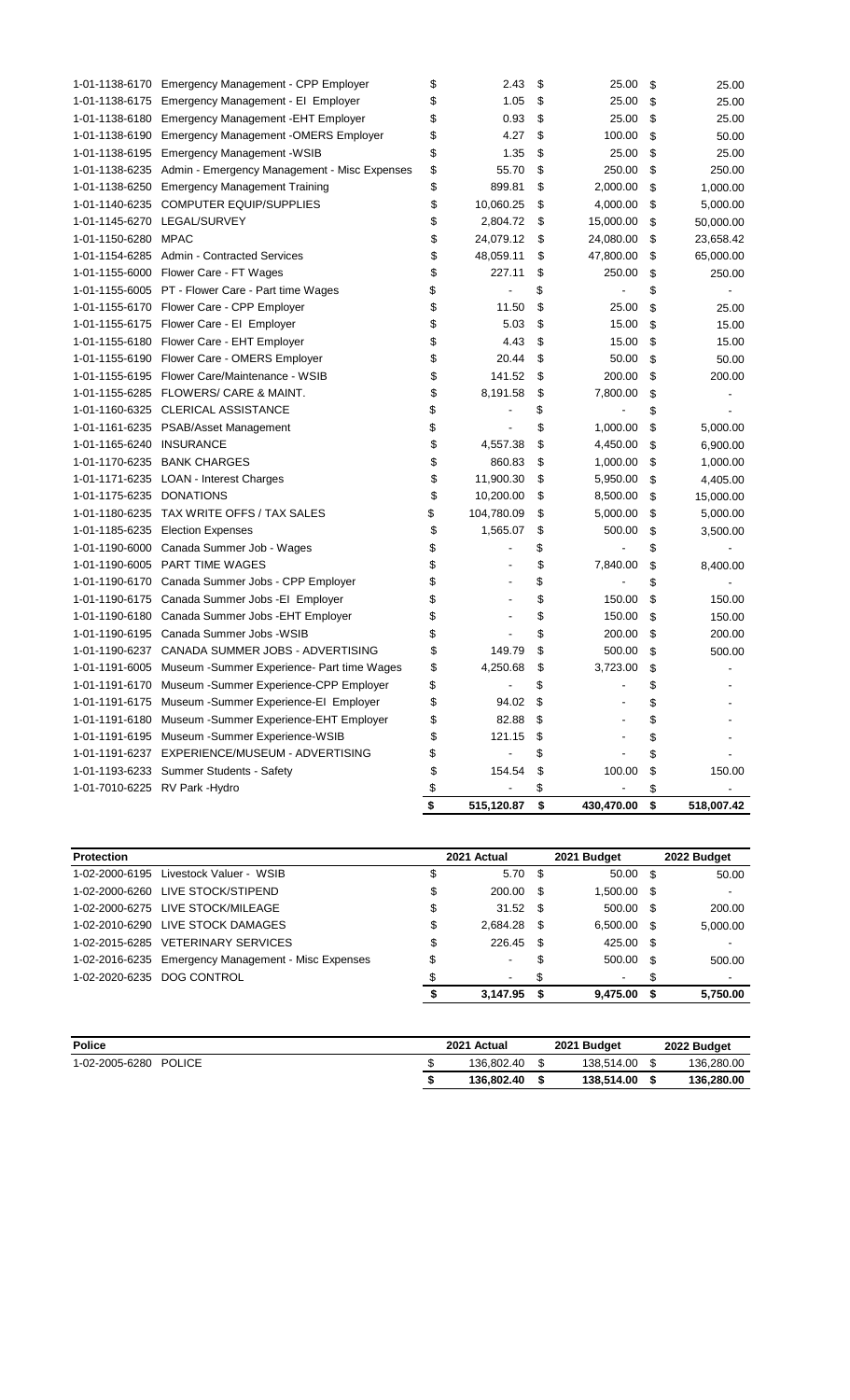|                                |                                                             | \$<br>515,120.87 | \$<br>430,470.00 | \$<br>518,007.42 |
|--------------------------------|-------------------------------------------------------------|------------------|------------------|------------------|
| 1-01-7010-6225 RV Park - Hydro |                                                             | \$               | \$               | \$               |
|                                | 1-01-1193-6233 Summer Students - Safety                     | \$<br>154.54     | \$<br>100.00     | \$<br>150.00     |
|                                | 1-01-1191-6237 EXPERIENCE/MUSEUM - ADVERTISING              | \$               | \$               | \$               |
|                                | 1-01-1191-6195 Museum -Summer Experience-WSIB               | \$<br>121.15     | \$               | \$               |
|                                | 1-01-1191-6180 Museum - Summer Experience-EHT Employer      | \$<br>82.88      | \$               | \$               |
|                                | 1-01-1191-6175 Museum -Summer Experience-El Employer        | \$<br>94.02      | \$               | \$               |
|                                | 1-01-1191-6170 Museum - Summer Experience-CPP Employer      | \$               | \$               | \$               |
|                                | 1-01-1191-6005 Museum - Summer Experience- Part time Wages  | \$<br>4,250.68   | \$<br>3,723.00   | \$               |
|                                | 1-01-1190-6237 CANADA SUMMER JOBS - ADVERTISING             | \$<br>149.79     | \$<br>500.00     | \$<br>500.00     |
|                                | 1-01-1190-6195 Canada Summer Jobs -WSIB                     | \$               | \$<br>200.00     | \$<br>200.00     |
|                                | 1-01-1190-6180 Canada Summer Jobs - EHT Employer            | \$               | \$<br>150.00     | \$<br>150.00     |
|                                | 1-01-1190-6175 Canada Summer Jobs - El Employer             | \$               | \$<br>150.00     | \$<br>150.00     |
|                                | 1-01-1190-6170 Canada Summer Jobs - CPP Employer            | \$               | \$               | \$               |
|                                | 1-01-1190-6005 PART TIME WAGES                              | \$               | \$<br>7,840.00   | \$<br>8,400.00   |
|                                | 1-01-1190-6000 Canada Summer Job - Wages                    | \$               | \$               | \$               |
|                                | 1-01-1185-6235 Election Expenses                            | \$<br>1,565.07   | \$<br>500.00     | \$<br>3,500.00   |
|                                | 1-01-1180-6235 TAX WRITE OFFS / TAX SALES                   | \$<br>104,780.09 | \$<br>5,000.00   | \$<br>5,000.00   |
| 1-01-1175-6235 DONATIONS       |                                                             | \$<br>10,200.00  | \$<br>8,500.00   | \$<br>15,000.00  |
|                                | 1-01-1171-6235 LOAN - Interest Charges                      | \$<br>11,900.30  | \$<br>5,950.00   | \$<br>4,405.00   |
|                                | 1-01-1170-6235 BANK CHARGES                                 | \$<br>860.83     | \$<br>1,000.00   | \$<br>1,000.00   |
| 1-01-1165-6240 INSURANCE       |                                                             | \$<br>4,557.38   | \$<br>4,450.00   | \$<br>6,900.00   |
|                                | 1-01-1161-6235 PSAB/Asset Management                        | \$               | \$<br>1,000.00   | \$<br>5,000.00   |
|                                | 1-01-1160-6325 CLERICAL ASSISTANCE                          | \$               | \$               | \$               |
|                                | 1-01-1155-6285 FLOWERS/ CARE & MAINT.                       | \$<br>8,191.58   | \$<br>7,800.00   | \$               |
|                                | 1-01-1155-6195 Flower Care/Maintenance - WSIB               | \$<br>141.52     | \$<br>200.00     | \$<br>200.00     |
|                                | 1-01-1155-6190 Flower Care - OMERS Employer                 | \$<br>20.44      | \$<br>50.00      | \$<br>50.00      |
|                                | 1-01-1155-6180 Flower Care - EHT Employer                   | \$<br>4.43       | \$<br>15.00      | \$<br>15.00      |
|                                | 1-01-1155-6175 Flower Care - El Employer                    | \$<br>5.03       | \$<br>15.00      | \$<br>15.00      |
|                                | 1-01-1155-6170 Flower Care - CPP Employer                   | \$<br>11.50      | \$<br>25.00      | \$<br>25.00      |
|                                | 1-01-1155-6005 PT - Flower Care - Part time Wages           | \$               | \$               | \$               |
|                                | 1-01-1155-6000 Flower Care - FT Wages                       | \$<br>227.11     | \$<br>250.00     | \$<br>250.00     |
|                                | 1-01-1154-6285 Admin - Contracted Services                  | \$<br>48,059.11  | \$<br>47,800.00  | \$<br>65,000.00  |
| 1-01-1150-6280                 | MPAC                                                        | \$<br>24,079.12  | \$<br>24,080.00  | \$<br>23,658.42  |
|                                | 1-01-1145-6270 LEGAL/SURVEY                                 | \$<br>2,804.72   | \$<br>15,000.00  | \$<br>50,000.00  |
| 1-01-1140-6235                 | <b>COMPUTER EQUIP/SUPPLIES</b>                              | \$<br>10,060.25  | \$<br>4,000.00   | \$<br>5,000.00   |
| 1-01-1138-6250                 | <b>Emergency Management Training</b>                        | \$<br>899.81     | \$<br>2,000.00   | \$<br>1,000.00   |
|                                | 1-01-1138-6235 Admin - Emergency Management - Misc Expenses | \$<br>55.70      | \$<br>250.00     | \$<br>250.00     |
|                                | 1-01-1138-6195 Emergency Management - WSIB                  | \$<br>1.35       | \$<br>25.00      | \$<br>25.00      |
|                                | 1-01-1138-6190 Emergency Management - OMERS Employer        | \$<br>4.27       | \$<br>100.00     | \$<br>50.00      |
|                                | 1-01-1138-6180 Emergency Management - EHT Employer          | \$<br>0.93       | \$<br>25.00      | \$<br>25.00      |
|                                | 1-01-1138-6175 Emergency Management - El Employer           | \$<br>1.05       | \$<br>25.00      | \$<br>25.00      |
|                                | 1-01-1138-6170 Emergency Management - CPP Employer          | \$<br>2.43       | \$<br>25.00      | \$<br>25.00      |

| <b>Protection</b> |                                                     | 2021 Actual             |      | 2021 Budget   |     | 2022 Budget              |
|-------------------|-----------------------------------------------------|-------------------------|------|---------------|-----|--------------------------|
| 1-02-2000-6195    | Livestock Valuer - WSIB                             | \$<br>5.70 <sup>°</sup> |      | $50.00$ \$    |     | 50.00                    |
|                   | 1-02-2000-6260 LIVE STOCK/STIPEND                   | \$<br>200.00            | - \$ | 1,500.00 \$   |     | $\blacksquare$           |
|                   | 1-02-2000-6275 LIVE STOCK/MILEAGE                   | \$<br>$31.52$ \$        |      | 500.00 \$     |     | 200.00                   |
|                   | 1-02-2010-6290 LIVE STOCK DAMAGES                   | \$<br>$2.684.28$ \$     |      | $6.500.00$ \$ |     | 5,000.00                 |
|                   | 1-02-2015-6285 VETERINARY SERVICES                  | \$<br>226.45            | - \$ | 425.00 \$     |     | $\blacksquare$           |
|                   | 1-02-2016-6235 Emergency Management - Misc Expenses | \$<br>$\blacksquare$    | \$   | 500.00 \$     |     | 500.00                   |
|                   | 1-02-2020-6235 DOG CONTROL                          | $\blacksquare$          | \$   | ۰.            | S   | $\overline{\phantom{a}}$ |
|                   |                                                     | 3.147.95                | - \$ | 9.475.00      | - 5 | 5.750.00                 |

| <b>Police</b>                   | 2021 Actual | 2021 Budget | 2022 Budget |
|---------------------------------|-------------|-------------|-------------|
| <b>POLICE</b><br>1-02-2005-6280 | 136.802.40  | 138.514.00  | 136.280.00  |
|                                 | 136.802.40  | 138,514.00  | 136,280.00  |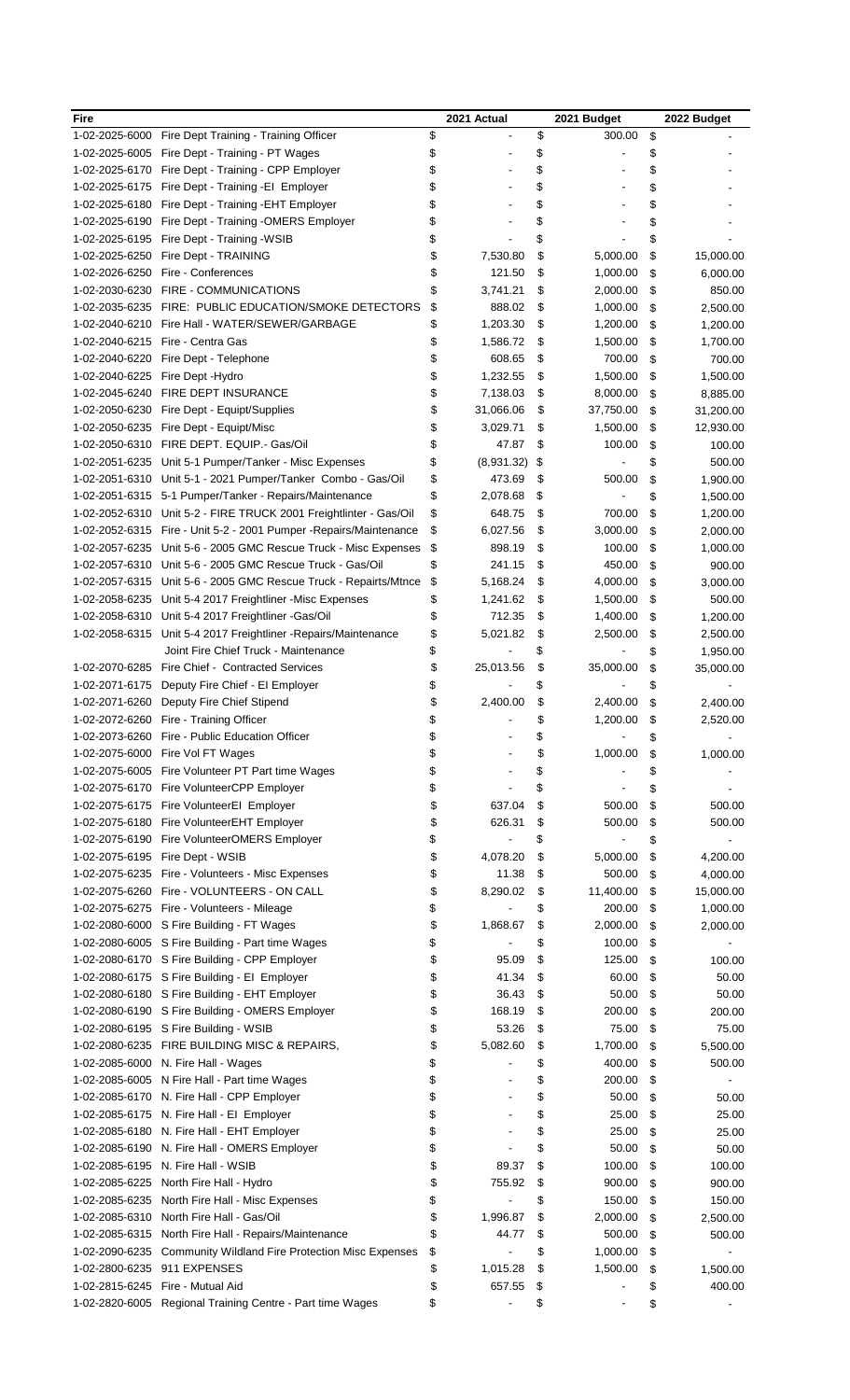| Fire           |                                                                           | 2021 Actual      | 2021 Budget     | 2022 Budget          |
|----------------|---------------------------------------------------------------------------|------------------|-----------------|----------------------|
| 1-02-2025-6000 | Fire Dept Training - Training Officer                                     | \$               | \$<br>300.00    | \$                   |
| 1-02-2025-6005 | Fire Dept - Training - PT Wages                                           | \$               | \$              | \$                   |
| 1-02-2025-6170 | Fire Dept - Training - CPP Employer                                       | \$               | \$              | \$                   |
| 1-02-2025-6175 | Fire Dept - Training - El Employer                                        | \$               | \$              | \$                   |
| 1-02-2025-6180 | Fire Dept - Training - EHT Employer                                       | \$               | \$              | \$                   |
| 1-02-2025-6190 | Fire Dept - Training - OMERS Employer                                     | \$               | \$              | \$                   |
| 1-02-2025-6195 | Fire Dept - Training - WSIB                                               | \$               | \$              | \$                   |
| 1-02-2025-6250 | Fire Dept - TRAINING                                                      | \$<br>7,530.80   | \$<br>5,000.00  | \$<br>15,000.00      |
| 1-02-2026-6250 | Fire - Conferences                                                        | \$<br>121.50     | \$<br>1,000.00  | \$<br>6,000.00       |
| 1-02-2030-6230 | FIRE - COMMUNICATIONS                                                     | \$<br>3,741.21   | 2,000.00        |                      |
|                |                                                                           |                  | \$              | \$<br>850.00         |
| 1-02-2035-6235 | FIRE: PUBLIC EDUCATION/SMOKE DETECTORS                                    | \$<br>888.02     | \$<br>1,000.00  | \$<br>2,500.00       |
| 1-02-2040-6210 | Fire Hall - WATER/SEWER/GARBAGE                                           | \$<br>1,203.30   | \$<br>1,200.00  | \$<br>1,200.00       |
| 1-02-2040-6215 | Fire - Centra Gas                                                         | \$<br>1,586.72   | \$<br>1,500.00  | \$<br>1,700.00       |
| 1-02-2040-6220 | Fire Dept - Telephone                                                     | \$<br>608.65     | \$<br>700.00    | \$<br>700.00         |
| 1-02-2040-6225 | Fire Dept - Hydro                                                         | \$<br>1,232.55   | \$<br>1,500.00  | \$<br>1,500.00       |
| 1-02-2045-6240 | FIRE DEPT INSURANCE                                                       | \$<br>7,138.03   | \$<br>8,000.00  | \$<br>8,885.00       |
| 1-02-2050-6230 | Fire Dept - Equipt/Supplies                                               | \$<br>31,066.06  | \$<br>37,750.00 | \$<br>31,200.00      |
| 1-02-2050-6235 | Fire Dept - Equipt/Misc                                                   | \$<br>3,029.71   | \$<br>1,500.00  | \$<br>12,930.00      |
| 1-02-2050-6310 | FIRE DEPT. EQUIP.- Gas/Oil                                                | \$<br>47.87      | \$<br>100.00    | \$<br>100.00         |
| 1-02-2051-6235 | Unit 5-1 Pumper/Tanker - Misc Expenses                                    | \$<br>(8,931.32) | \$              | \$<br>500.00         |
| 1-02-2051-6310 | Unit 5-1 - 2021 Pumper/Tanker Combo - Gas/Oil                             | \$<br>473.69     | \$<br>500.00    | \$<br>1,900.00       |
| 1-02-2051-6315 | 5-1 Pumper/Tanker - Repairs/Maintenance                                   | \$<br>2,078.68   | \$              | \$<br>1,500.00       |
| 1-02-2052-6310 | Unit 5-2 - FIRE TRUCK 2001 Freightlinter - Gas/Oil                        | \$<br>648.75     | \$<br>700.00    | \$<br>1,200.00       |
| 1-02-2052-6315 | Fire - Unit 5-2 - 2001 Pumper - Repairs/Maintenance                       | \$<br>6,027.56   | \$<br>3,000.00  | \$<br>2,000.00       |
| 1-02-2057-6235 | Unit 5-6 - 2005 GMC Rescue Truck - Misc Expenses                          | \$<br>898.19     | \$<br>100.00    | \$<br>1,000.00       |
| 1-02-2057-6310 | Unit 5-6 - 2005 GMC Rescue Truck - Gas/Oil                                | \$<br>241.15     | \$<br>450.00    | \$<br>900.00         |
| 1-02-2057-6315 | Unit 5-6 - 2005 GMC Rescue Truck - Repairts/Mtnce                         | \$<br>5,168.24   | \$<br>4,000.00  | \$<br>3,000.00       |
| 1-02-2058-6235 |                                                                           | \$               | 1,500.00        |                      |
|                | Unit 5-4 2017 Freightliner - Misc Expenses                                | 1,241.62         | \$              | \$<br>500.00         |
| 1-02-2058-6310 | Unit 5-4 2017 Freightliner -Gas/Oil                                       | \$<br>712.35     | \$<br>1,400.00  | \$<br>1,200.00       |
| 1-02-2058-6315 | Unit 5-4 2017 Freightliner - Repairs/Maintenance                          | \$<br>5,021.82   | \$<br>2,500.00  | \$<br>2,500.00       |
|                | Joint Fire Chief Truck - Maintenance                                      | \$               | \$              | \$<br>1,950.00       |
| 1-02-2070-6285 | Fire Chief - Contracted Services                                          | \$<br>25,013.56  | \$<br>35,000.00 | \$<br>35,000.00      |
| 1-02-2071-6175 | Deputy Fire Chief - El Employer                                           | \$               | \$              | \$                   |
| 1-02-2071-6260 | Deputy Fire Chief Stipend                                                 | \$<br>2,400.00   | \$<br>2,400.00  | \$<br>2,400.00       |
|                | 1-02-2072-6260 Fire - Training Officer                                    | \$               | \$<br>1,200.00  | \$<br>2,520.00       |
|                | 1-02-2073-6260 Fire - Public Education Officer                            | \$               | \$              | \$                   |
| 1-02-2075-6000 | Fire Vol FT Wages                                                         | \$               | \$<br>1,000.00  | \$<br>1,000.00       |
| 1-02-2075-6005 | Fire Volunteer PT Part time Wages                                         | \$               | \$              | \$                   |
| 1-02-2075-6170 | Fire VolunteerCPP Employer                                                | \$               | \$              | \$                   |
| 1-02-2075-6175 | Fire VolunteerEI Employer                                                 | \$<br>637.04     | \$<br>500.00    | \$<br>500.00         |
| 1-02-2075-6180 | Fire VolunteerEHT Employer                                                | \$<br>626.31     | \$<br>500.00    | \$<br>500.00         |
| 1-02-2075-6190 | Fire VolunteerOMERS Employer                                              | \$               | \$              | \$                   |
| 1-02-2075-6195 | Fire Dept - WSIB                                                          | \$<br>4,078.20   | \$<br>5,000.00  | \$<br>4,200.00       |
| 1-02-2075-6235 | Fire - Volunteers - Misc Expenses                                         | \$<br>11.38      | \$<br>500.00    | \$<br>4,000.00       |
| 1-02-2075-6260 | Fire - VOLUNTEERS - ON CALL                                               | \$<br>8,290.02   | \$<br>11,400.00 | \$<br>15,000.00      |
| 1-02-2075-6275 | Fire - Volunteers - Mileage                                               | \$               | \$<br>200.00    | \$<br>1,000.00       |
| 1-02-2080-6000 | S Fire Building - FT Wages                                                | \$<br>1,868.67   | \$<br>2,000.00  | \$<br>2,000.00       |
|                | 1-02-2080-6005 S Fire Building - Part time Wages                          | \$               | \$<br>100.00    | \$                   |
|                | 1-02-2080-6170 S Fire Building - CPP Employer                             | \$<br>95.09      | \$<br>125.00    | \$<br>100.00         |
|                | 1-02-2080-6175 S Fire Building - El Employer                              | \$<br>41.34      | \$<br>60.00     | \$<br>50.00          |
| 1-02-2080-6180 | S Fire Building - EHT Employer                                            | \$<br>36.43      | \$<br>50.00     | \$<br>50.00          |
|                |                                                                           | 168.19           | \$<br>200.00    |                      |
| 1-02-2080-6190 | S Fire Building - OMERS Employer<br>1-02-2080-6195 S Fire Building - WSIB | \$               |                 | \$<br>200.00         |
|                |                                                                           | \$<br>53.26      | \$<br>75.00     | \$<br>75.00          |
| 1-02-2080-6235 | FIRE BUILDING MISC & REPAIRS,                                             | \$<br>5,082.60   | \$<br>1,700.00  | \$<br>5,500.00       |
| 1-02-2085-6000 | N. Fire Hall - Wages                                                      | \$               | \$<br>400.00    | \$<br>500.00         |
| 1-02-2085-6005 | N Fire Hall - Part time Wages                                             | \$               | \$<br>200.00    | \$                   |
| 1-02-2085-6170 | N. Fire Hall - CPP Employer                                               | \$               | \$<br>50.00     | \$<br>50.00          |
| 1-02-2085-6175 | N. Fire Hall - EI Employer                                                | \$               | \$<br>25.00     | \$<br>25.00          |
| 1-02-2085-6180 | N. Fire Hall - EHT Employer                                               | \$               | \$<br>25.00     | \$<br>25.00          |
| 1-02-2085-6190 | N. Fire Hall - OMERS Employer                                             | \$               | \$<br>50.00     | \$<br>50.00          |
| 1-02-2085-6195 | N. Fire Hall - WSIB                                                       | \$<br>89.37      | \$<br>100.00    | \$<br>100.00         |
| 1-02-2085-6225 | North Fire Hall - Hydro                                                   | \$<br>755.92     | \$<br>900.00    | \$<br>900.00         |
| 1-02-2085-6235 | North Fire Hall - Misc Expenses                                           | \$               | \$<br>150.00    | \$<br>150.00         |
| 1-02-2085-6310 | North Fire Hall - Gas/Oil                                                 | \$<br>1,996.87   | \$<br>2,000.00  | \$<br>2,500.00       |
| 1-02-2085-6315 | North Fire Hall - Repairs/Maintenance                                     | \$<br>44.77      | \$<br>500.00    | \$<br>500.00         |
| 1-02-2090-6235 | <b>Community Wildland Fire Protection Misc Expenses</b>                   | \$               | \$<br>1,000.00  | \$<br>$\blacksquare$ |
| 1-02-2800-6235 | 911 EXPENSES                                                              | \$<br>1,015.28   | \$<br>1,500.00  | \$<br>1,500.00       |
|                | 1-02-2815-6245 Fire - Mutual Aid                                          | \$<br>657.55     | \$              | \$<br>400.00         |
|                | 1-02-2820-6005 Regional Training Centre - Part time Wages                 | \$               | \$              | \$                   |
|                |                                                                           |                  |                 |                      |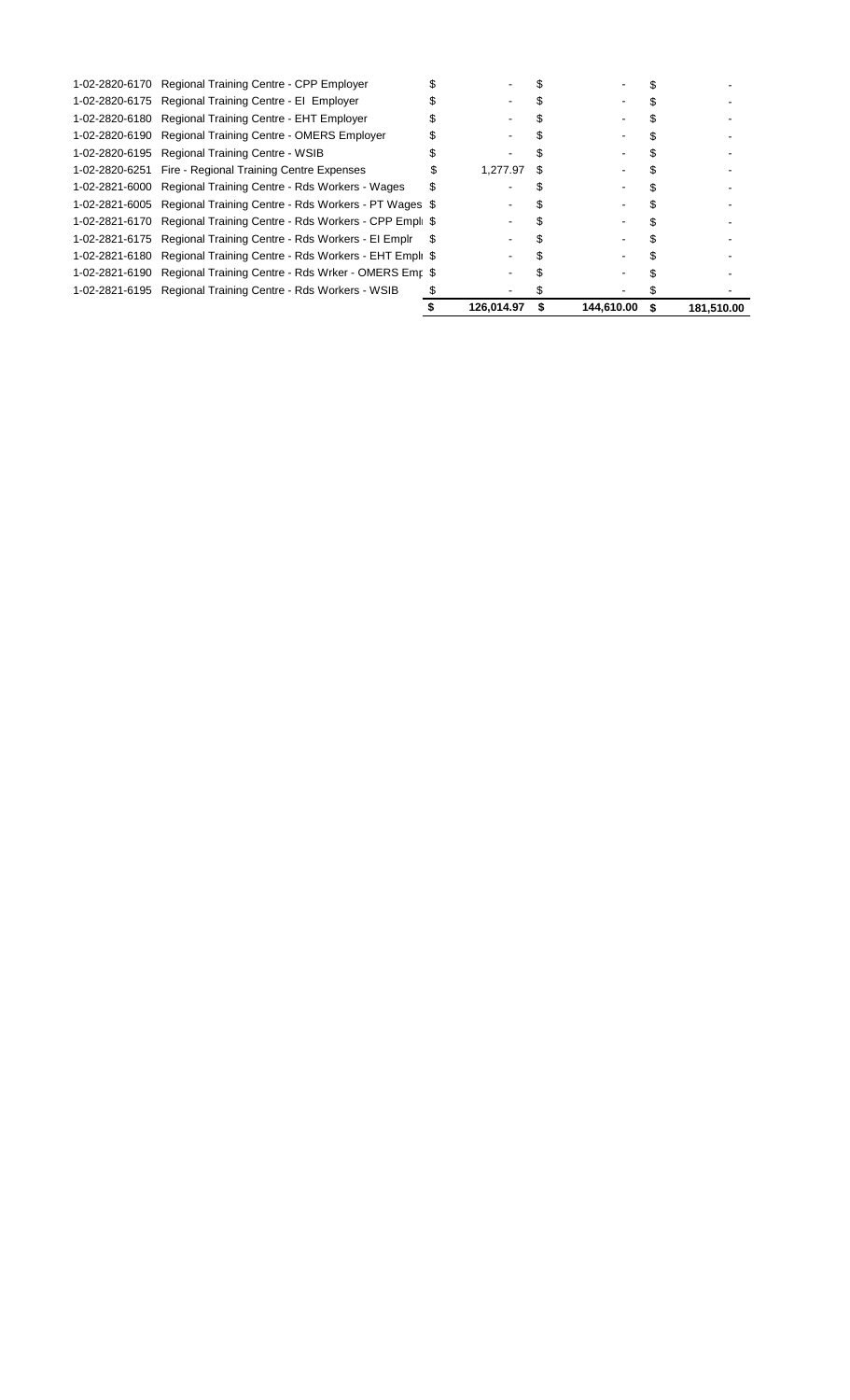| 1-02-2820-6170 | Regional Training Centre - CPP Employer               |   |            |            |            |
|----------------|-------------------------------------------------------|---|------------|------------|------------|
|                | 1-02-2820-6175 Regional Training Centre - El Employer |   |            |            |            |
| 1-02-2820-6180 | Regional Training Centre - EHT Employer               |   |            |            |            |
| 1-02-2820-6190 | <b>Regional Training Centre - OMERS Employer</b>      |   |            |            |            |
| 1-02-2820-6195 | <b>Regional Training Centre - WSIB</b>                |   |            |            |            |
| 1-02-2820-6251 | Fire - Regional Training Centre Expenses              |   | 1.277.97   |            |            |
| 1-02-2821-6000 | Regional Training Centre - Rds Workers - Wages        |   |            |            |            |
| 1-02-2821-6005 | Regional Training Centre - Rds Workers - PT Wages \$  |   |            |            |            |
| 1-02-2821-6170 | Regional Training Centre - Rds Workers - CPP Empl \$  |   |            |            |            |
| 1-02-2821-6175 | Regional Training Centre - Rds Workers - El Emplr     | S |            |            |            |
| 1-02-2821-6180 | Regional Training Centre - Rds Workers - EHT Empli \$ |   |            |            |            |
| 1-02-2821-6190 | Regional Training Centre - Rds Wrker - OMERS Emr \$   |   |            |            |            |
| 1-02-2821-6195 | Regional Training Centre - Rds Workers - WSIB         |   |            |            |            |
|                |                                                       |   | 126,014.97 | 144,610.00 | 181,510.00 |
|                |                                                       |   |            |            |            |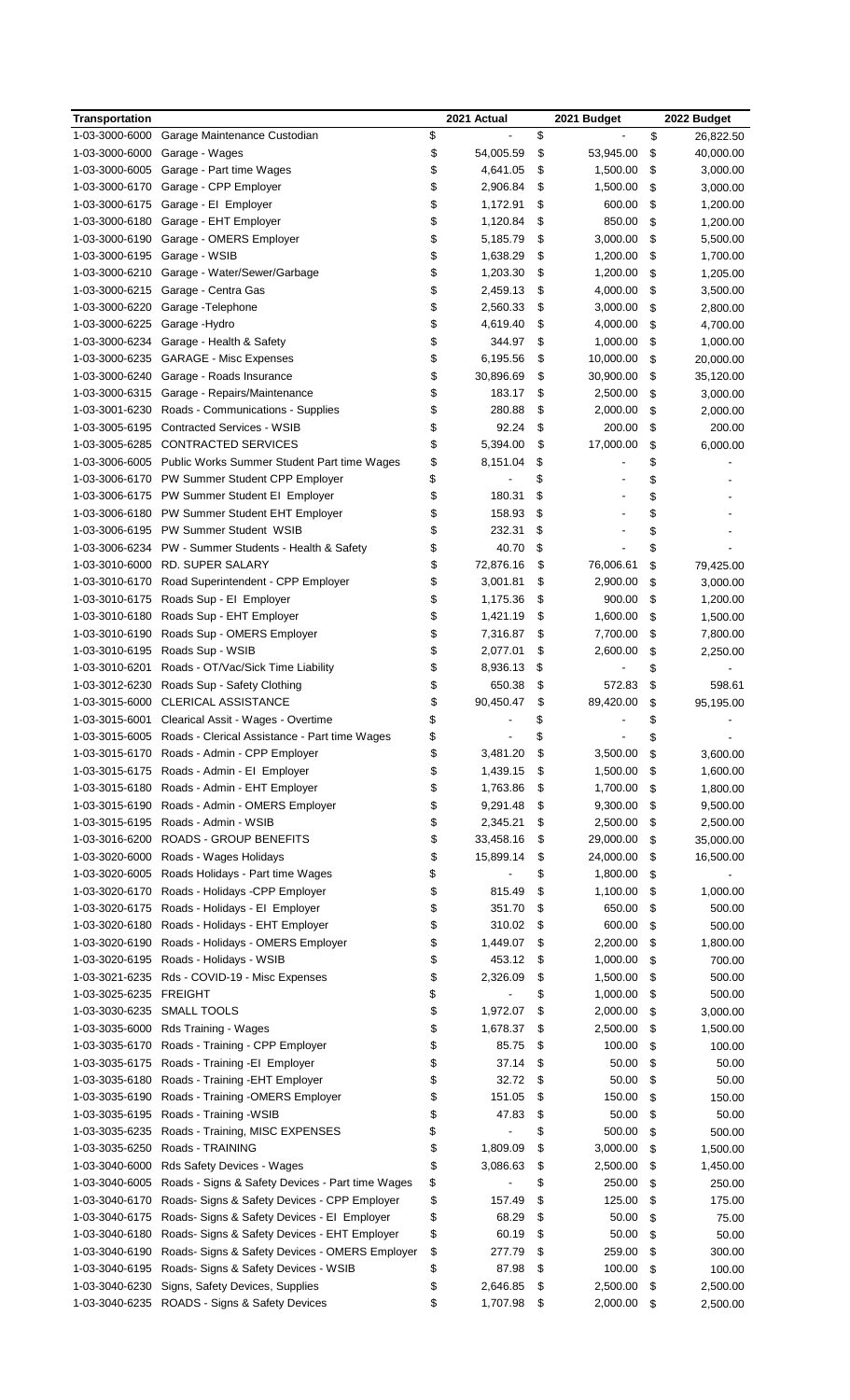| <b>Transportation</b> |                                                              | 2021 Actual     | 2021 Budget     | 2022 Budget     |
|-----------------------|--------------------------------------------------------------|-----------------|-----------------|-----------------|
| 1-03-3000-6000        | Garage Maintenance Custodian                                 | \$              | \$              | \$<br>26,822.50 |
| 1-03-3000-6000        | Garage - Wages                                               | \$<br>54,005.59 | \$<br>53,945.00 | \$<br>40,000.00 |
| 1-03-3000-6005        | Garage - Part time Wages                                     | \$<br>4,641.05  | \$<br>1,500.00  | \$<br>3,000.00  |
| 1-03-3000-6170        | Garage - CPP Employer                                        | \$<br>2,906.84  | \$<br>1,500.00  | \$<br>3,000.00  |
| 1-03-3000-6175        | Garage - El Employer                                         | \$<br>1,172.91  | \$<br>600.00    | \$<br>1,200.00  |
| 1-03-3000-6180        | Garage - EHT Employer                                        | \$<br>1,120.84  | \$<br>850.00    | \$<br>1,200.00  |
| 1-03-3000-6190        | Garage - OMERS Employer                                      | \$<br>5,185.79  | \$<br>3,000.00  | \$<br>5,500.00  |
| 1-03-3000-6195        | Garage - WSIB                                                | \$<br>1,638.29  | \$<br>1,200.00  | \$<br>1,700.00  |
| 1-03-3000-6210        | Garage - Water/Sewer/Garbage                                 | \$<br>1,203.30  | \$<br>1,200.00  | \$<br>1,205.00  |
| 1-03-3000-6215        | Garage - Centra Gas                                          | \$<br>2,459.13  | \$<br>4,000.00  | \$<br>3,500.00  |
| 1-03-3000-6220        | Garage - Telephone                                           | \$<br>2,560.33  | \$<br>3,000.00  | \$              |
|                       |                                                              |                 |                 | 2,800.00        |
| 1-03-3000-6225        | Garage - Hydro                                               | \$<br>4,619.40  | \$<br>4,000.00  | \$<br>4,700.00  |
| 1-03-3000-6234        | Garage - Health & Safety                                     | \$<br>344.97    | \$<br>1,000.00  | \$<br>1,000.00  |
| 1-03-3000-6235        | <b>GARAGE - Misc Expenses</b>                                | \$<br>6,195.56  | \$<br>10,000.00 | \$<br>20,000.00 |
| 1-03-3000-6240        | Garage - Roads Insurance                                     | \$<br>30,896.69 | \$<br>30,900.00 | \$<br>35,120.00 |
| 1-03-3000-6315        | Garage - Repairs/Maintenance                                 | \$<br>183.17    | \$<br>2,500.00  | \$<br>3,000.00  |
| 1-03-3001-6230        | Roads - Communications - Supplies                            | \$<br>280.88    | \$<br>2,000.00  | \$<br>2,000.00  |
| 1-03-3005-6195        | <b>Contracted Services - WSIB</b>                            | \$<br>92.24     | \$<br>200.00    | \$<br>200.00    |
| 1-03-3005-6285        | <b>CONTRACTED SERVICES</b>                                   | \$<br>5,394.00  | \$<br>17,000.00 | \$<br>6,000.00  |
|                       | 1-03-3006-6005 Public Works Summer Student Part time Wages   | \$<br>8,151.04  | \$              | \$              |
| 1-03-3006-6170        | PW Summer Student CPP Employer                               | \$              | \$              | \$              |
| 1-03-3006-6175        | PW Summer Student EI Employer                                | \$<br>180.31    | \$              | \$              |
| 1-03-3006-6180        | PW Summer Student EHT Employer                               | \$<br>158.93    | \$              | \$              |
| 1-03-3006-6195        | <b>PW Summer Student WSIB</b>                                | \$<br>232.31    | \$              | \$              |
| 1-03-3006-6234        | PW - Summer Students - Health & Safety                       | \$<br>40.70     | \$              | \$              |
| 1-03-3010-6000        | RD. SUPER SALARY                                             | \$<br>72,876.16 | \$<br>76,006.61 | \$<br>79,425.00 |
|                       | Road Superintendent - CPP Employer                           | \$<br>3,001.81  | \$              |                 |
| 1-03-3010-6170        |                                                              |                 | 2,900.00        | \$<br>3,000.00  |
| 1-03-3010-6175        | Roads Sup - El Employer                                      | \$<br>1,175.36  | \$<br>900.00    | \$<br>1,200.00  |
| 1-03-3010-6180        | Roads Sup - EHT Employer                                     | \$<br>1,421.19  | \$<br>1,600.00  | \$<br>1,500.00  |
| 1-03-3010-6190        | Roads Sup - OMERS Employer                                   | \$<br>7,316.87  | \$<br>7,700.00  | \$<br>7,800.00  |
| 1-03-3010-6195        | Roads Sup - WSIB                                             | \$<br>2,077.01  | \$<br>2,600.00  | \$<br>2,250.00  |
| 1-03-3010-6201        | Roads - OT/Vac/Sick Time Liability                           | \$<br>8,936.13  | \$              | \$              |
| 1-03-3012-6230        | Roads Sup - Safety Clothing                                  | \$<br>650.38    | \$<br>572.83    | \$<br>598.61    |
| 1-03-3015-6000        | <b>CLERICAL ASSISTANCE</b>                                   | \$<br>90,450.47 | \$<br>89,420.00 | \$<br>95,195.00 |
|                       | 1-03-3015-6001 Clearical Assit - Wages - Overtime            | \$              | \$              | \$              |
|                       | 1-03-3015-6005 Roads - Clerical Assistance - Part time Wages | \$              | \$              | \$              |
| 1-03-3015-6170        | Roads - Admin - CPP Employer                                 | \$<br>3,481.20  | \$<br>3,500.00  | \$<br>3,600.00  |
| 1-03-3015-6175        | Roads - Admin - El Employer                                  | \$<br>1,439.15  | \$<br>1,500.00  | \$<br>1,600.00  |
| 1-03-3015-6180        | Roads - Admin - EHT Employer                                 | \$<br>1,763.86  | \$<br>1,700.00  | \$<br>1,800.00  |
| 1-03-3015-6190        | Roads - Admin - OMERS Employer                               | \$<br>9,291.48  | \$<br>9,300.00  | \$<br>9,500.00  |
| 1-03-3015-6195        | Roads - Admin - WSIB                                         | \$<br>2,345.21  | \$<br>2,500.00  | \$<br>2,500.00  |
| 1-03-3016-6200        | <b>ROADS - GROUP BENEFITS</b>                                | \$<br>33,458.16 | \$<br>29,000.00 | \$<br>35,000.00 |
| 1-03-3020-6000        | Roads - Wages Holidays                                       | \$<br>15,899.14 | \$<br>24,000.00 | \$<br>16,500.00 |
| 1-03-3020-6005        | Roads Holidays - Part time Wages                             |                 | \$<br>1,800.00  |                 |
|                       |                                                              | \$              |                 | \$              |
| 1-03-3020-6170        | Roads - Holidays -CPP Employer                               | \$<br>815.49    | \$<br>1,100.00  | \$<br>1,000.00  |
| 1-03-3020-6175        | Roads - Holidays - El Employer                               | \$<br>351.70    | \$<br>650.00    | \$<br>500.00    |
| 1-03-3020-6180        | Roads - Holidays - EHT Employer                              | \$<br>310.02    | \$<br>600.00    | \$<br>500.00    |
| 1-03-3020-6190        | Roads - Holidays - OMERS Employer                            | \$<br>1,449.07  | \$<br>2,200.00  | \$<br>1,800.00  |
| 1-03-3020-6195        | Roads - Holidays - WSIB                                      | \$<br>453.12    | \$<br>1,000.00  | \$<br>700.00    |
| 1-03-3021-6235        | Rds - COVID-19 - Misc Expenses                               | \$<br>2,326.09  | \$<br>1,500.00  | \$<br>500.00    |
| 1-03-3025-6235        | <b>FREIGHT</b>                                               | \$              | \$<br>1,000.00  | \$<br>500.00    |
| 1-03-3030-6235        | SMALL TOOLS                                                  | \$<br>1,972.07  | \$<br>2,000.00  | \$<br>3,000.00  |
| 1-03-3035-6000        | Rds Training - Wages                                         | \$<br>1,678.37  | \$<br>2,500.00  | \$<br>1,500.00  |
| 1-03-3035-6170        | Roads - Training - CPP Employer                              | \$<br>85.75     | \$<br>100.00    | \$<br>100.00    |
| 1-03-3035-6175        | Roads - Training - El Employer                               | \$<br>37.14     | \$<br>50.00     | \$<br>50.00     |
| 1-03-3035-6180        | Roads - Training - EHT Employer                              | \$<br>32.72     | \$<br>50.00     | \$<br>50.00     |
| 1-03-3035-6190        | Roads - Training - OMERS Employer                            | \$<br>151.05    | \$<br>150.00    | \$<br>150.00    |
| 1-03-3035-6195        | Roads - Training - WSIB                                      | \$<br>47.83     | \$<br>50.00     | \$<br>50.00     |
| 1-03-3035-6235        | Roads - Training, MISC EXPENSES                              | \$              | \$<br>500.00    | \$<br>500.00    |
| 1-03-3035-6250        | Roads - TRAINING                                             | \$<br>1,809.09  | \$<br>3,000.00  | \$<br>1,500.00  |
| 1-03-3040-6000        | Rds Safety Devices - Wages                                   | \$<br>3,086.63  | \$<br>2,500.00  | \$              |
|                       |                                                              |                 |                 | 1,450.00        |
| 1-03-3040-6005        | Roads - Signs & Safety Devices - Part time Wages             | \$              | \$<br>250.00    | \$<br>250.00    |
| 1-03-3040-6170        | Roads-Signs & Safety Devices - CPP Employer                  | \$<br>157.49    | \$<br>125.00    | \$<br>175.00    |
| 1-03-3040-6175        | Roads-Signs & Safety Devices - El Employer                   | \$<br>68.29     | \$<br>50.00     | \$<br>75.00     |
| 1-03-3040-6180        | Roads-Signs & Safety Devices - EHT Employer                  | \$<br>60.19     | \$<br>50.00     | \$<br>50.00     |
| 1-03-3040-6190        | Roads- Signs & Safety Devices - OMERS Employer               | \$<br>277.79    | \$<br>259.00    | \$<br>300.00    |
| 1-03-3040-6195        | Roads-Signs & Safety Devices - WSIB                          | \$<br>87.98     | \$<br>100.00    | \$<br>100.00    |
| 1-03-3040-6230        | Signs, Safety Devices, Supplies                              | \$<br>2,646.85  | \$<br>2,500.00  | \$<br>2,500.00  |
| 1-03-3040-6235        | ROADS - Signs & Safety Devices                               | \$<br>1,707.98  | \$<br>2,000.00  | \$<br>2,500.00  |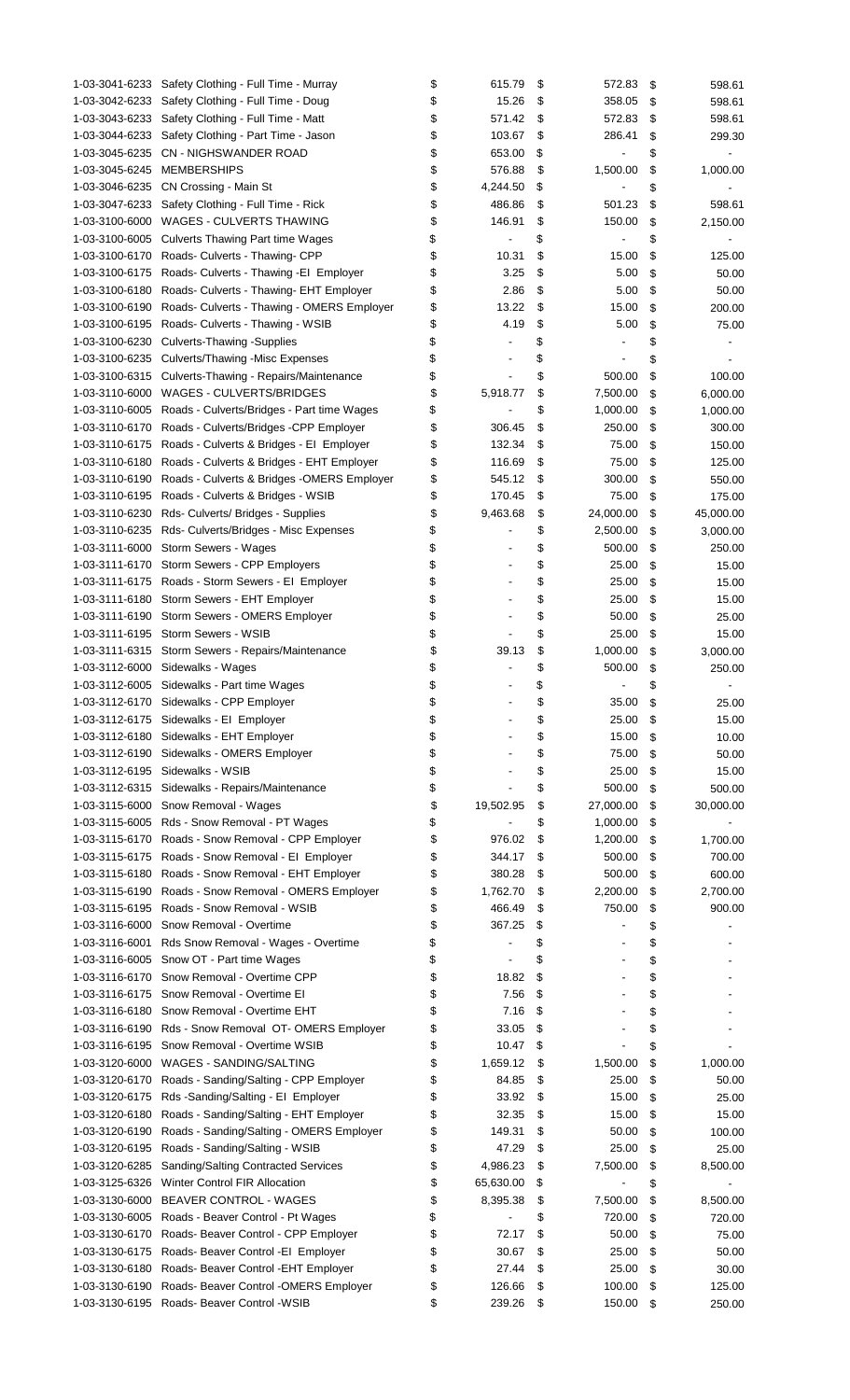|                | 1-03-3041-6233 Safety Clothing - Full Time - Murray       | \$<br>615.79                   | \$<br>572.83         | \$ | 598.61    |
|----------------|-----------------------------------------------------------|--------------------------------|----------------------|----|-----------|
| 1-03-3042-6233 | Safety Clothing - Full Time - Doug                        | \$<br>15.26                    | \$<br>358.05         | S  | 598.61    |
|                | 1-03-3043-6233 Safety Clothing - Full Time - Matt         | \$<br>571.42                   | \$<br>572.83         |    |           |
|                |                                                           |                                |                      | S  | 598.61    |
|                | 1-03-3044-6233 Safety Clothing - Part Time - Jason        | \$<br>103.67                   | \$<br>286.41         | \$ | 299.30    |
|                | 1-03-3045-6235 CN - NIGHSWANDER ROAD                      | \$<br>653.00                   | \$<br>÷,             | \$ |           |
| 1-03-3045-6245 | MEMBERSHIPS                                               | \$<br>576.88                   | \$<br>1,500.00       | \$ | 1,000.00  |
|                |                                                           |                                |                      |    |           |
| 1-03-3046-6235 | CN Crossing - Main St                                     | \$<br>4,244.50                 | \$                   | \$ |           |
|                | 1-03-3047-6233 Safety Clothing - Full Time - Rick         | \$<br>486.86                   | \$<br>501.23         | \$ | 598.61    |
| 1-03-3100-6000 | WAGES - CULVERTS THAWING                                  | \$<br>146.91                   | \$<br>150.00         | \$ | 2,150.00  |
| 1-03-3100-6005 | <b>Culverts Thawing Part time Wages</b>                   | \$                             | \$                   | \$ |           |
|                |                                                           |                                |                      |    |           |
| 1-03-3100-6170 | Roads- Culverts - Thawing- CPP                            | \$<br>10.31                    | \$<br>15.00          | \$ | 125.00    |
| 1-03-3100-6175 | Roads- Culverts - Thawing -EI Employer                    | \$<br>3.25                     | \$<br>5.00           | \$ | 50.00     |
| 1-03-3100-6180 | Roads- Culverts - Thawing- EHT Employer                   | \$<br>2.86                     | \$<br>5.00           | \$ | 50.00     |
| 1-03-3100-6190 | Roads- Culverts - Thawing - OMERS Employer                | \$<br>13.22                    | \$<br>15.00          | \$ | 200.00    |
|                |                                                           |                                |                      |    |           |
| 1-03-3100-6195 | Roads- Culverts - Thawing - WSIB                          | \$<br>4.19                     | \$<br>5.00           | \$ | 75.00     |
| 1-03-3100-6230 | <b>Culverts-Thawing -Supplies</b>                         | \$                             | \$                   | \$ |           |
| 1-03-3100-6235 | Culverts/Thawing -Misc Expenses                           | \$                             | \$                   | \$ |           |
|                |                                                           |                                |                      |    |           |
|                | 1-03-3100-6315 Culverts-Thawing - Repairs/Maintenance     | \$                             | \$<br>500.00         | \$ | 100.00    |
| 1-03-3110-6000 | WAGES - CULVERTS/BRIDGES                                  | \$<br>5,918.77                 | \$<br>7,500.00       | \$ | 6,000.00  |
|                | 1-03-3110-6005 Roads - Culverts/Bridges - Part time Wages | \$<br>$\overline{\phantom{0}}$ | \$<br>1,000.00       | \$ | 1,000.00  |
|                |                                                           |                                | 250.00               |    |           |
|                | 1-03-3110-6170 Roads - Culverts/Bridges - CPP Employer    | \$<br>306.45                   | \$                   | \$ | 300.00    |
|                | 1-03-3110-6175 Roads - Culverts & Bridges - El Employer   | \$<br>132.34                   | \$<br>75.00          | \$ | 150.00    |
| 1-03-3110-6180 | Roads - Culverts & Bridges - EHT Employer                 | \$<br>116.69                   | \$<br>75.00          | \$ | 125.00    |
| 1-03-3110-6190 | Roads - Culverts & Bridges - OMERS Employer               | \$<br>545.12                   | \$<br>300.00         | \$ | 550.00    |
|                |                                                           |                                |                      |    |           |
| 1-03-3110-6195 | Roads - Culverts & Bridges - WSIB                         | \$<br>170.45                   | \$<br>75.00          | \$ | 175.00    |
|                | 1-03-3110-6230 Rds- Culverts/ Bridges - Supplies          | \$<br>9,463.68                 | \$<br>24,000.00      | \$ | 45,000.00 |
|                | 1-03-3110-6235 Rds- Culverts/Bridges - Misc Expenses      | \$<br>$\overline{a}$           | \$<br>2,500.00       | S  | 3,000.00  |
|                |                                                           |                                |                      |    |           |
| 1-03-3111-6000 | Storm Sewers - Wages                                      | \$                             | \$<br>500.00         | \$ | 250.00    |
| 1-03-3111-6170 | Storm Sewers - CPP Employers                              | \$                             | \$<br>25.00          | \$ | 15.00     |
|                | 1-03-3111-6175 Roads - Storm Sewers - El Employer         | \$                             | \$<br>25.00          | \$ | 15.00     |
|                | 1-03-3111-6180 Storm Sewers - EHT Employer                | \$                             | \$<br>25.00          | \$ | 15.00     |
|                |                                                           |                                |                      |    |           |
| 1-03-3111-6190 | Storm Sewers - OMERS Employer                             | \$                             | \$<br>50.00          | \$ | 25.00     |
|                | 1-03-3111-6195 Storm Sewers - WSIB                        | \$                             | \$<br>25.00          | \$ | 15.00     |
|                | 1-03-3111-6315 Storm Sewers - Repairs/Maintenance         | \$<br>39.13                    | \$<br>1,000.00       | \$ | 3,000.00  |
|                |                                                           |                                |                      |    |           |
|                | 1-03-3112-6000 Sidewalks - Wages                          | \$                             | \$<br>500.00         | \$ | 250.00    |
|                | 1-03-3112-6005 Sidewalks - Part time Wages                | \$                             | \$                   | \$ |           |
|                | 1-03-3112-6170 Sidewalks - CPP Employer                   | \$                             | \$<br>35.00          | \$ | 25.00     |
|                | 1-03-3112-6175 Sidewalks - El Employer                    | \$                             | \$<br>25.00          | \$ |           |
|                |                                                           |                                |                      |    | 15.00     |
|                | 1-03-3112-6180 Sidewalks - EHT Employer                   | \$                             | \$<br>15.00          | \$ | 10.00     |
|                | 1-03-3112-6190 Sidewalks - OMERS Employer                 | \$                             | \$<br>75.00          | \$ | 50.00     |
|                | 1-03-3112-6195 Sidewalks - WSIB                           | \$                             | \$<br>25.00          | \$ | 15.00     |
|                |                                                           |                                |                      |    |           |
|                | 1-03-3112-6315 Sidewalks - Repairs/Maintenance            | \$                             | \$<br>500.00         | \$ | 500.00    |
|                | 1-03-3115-6000 Snow Removal - Wages                       | \$<br>19,502.95                | \$<br>27,000.00      | \$ | 30,000.00 |
|                | 1-03-3115-6005 Rds - Snow Removal - PT Wages              | \$                             | \$<br>1,000.00       | \$ |           |
| 1-03-3115-6170 | Roads - Snow Removal - CPP Employer                       | \$<br>976.02                   | \$<br>1,200.00       | \$ | 1,700.00  |
|                |                                                           |                                |                      |    |           |
|                | 1-03-3115-6175 Roads - Snow Removal - El Employer         | \$<br>344.17                   | \$<br>500.00         | \$ | 700.00    |
| 1-03-3115-6180 | Roads - Snow Removal - EHT Employer                       | \$<br>380.28                   | \$<br>500.00         | \$ | 600.00    |
| 1-03-3115-6190 | Roads - Snow Removal - OMERS Employer                     | \$<br>1,762.70                 | \$<br>2,200.00       | \$ | 2,700.00  |
|                |                                                           |                                |                      |    |           |
| 1-03-3115-6195 | Roads - Snow Removal - WSIB                               | \$<br>466.49                   | \$<br>750.00         | \$ | 900.00    |
| 1-03-3116-6000 | Snow Removal - Overtime                                   | \$<br>367.25                   | \$<br>$\overline{a}$ | \$ |           |
| 1-03-3116-6001 | Rds Snow Removal - Wages - Overtime                       | \$                             | \$                   | \$ |           |
|                | 1-03-3116-6005 Snow OT - Part time Wages                  | \$                             | \$                   | \$ |           |
|                |                                                           |                                |                      |    |           |
|                | 1-03-3116-6170 Snow Removal - Overtime CPP                | \$<br>18.82                    | \$                   | \$ |           |
|                | 1-03-3116-6175 Snow Removal - Overtime EI                 | \$<br>7.56                     | \$                   | \$ |           |
|                | 1-03-3116-6180 Snow Removal - Overtime EHT                | \$<br>7.16                     | \$                   | \$ |           |
|                |                                                           |                                |                      |    |           |
|                | 1-03-3116-6190 Rds - Snow Removal OT-OMERS Employer       | \$<br>33.05                    | \$                   | \$ |           |
|                | 1-03-3116-6195 Snow Removal - Overtime WSIB               | \$<br>10.47                    | \$                   | \$ |           |
|                | 1-03-3120-6000 WAGES - SANDING/SALTING                    | \$<br>1,659.12                 | \$<br>1,500.00       | \$ | 1,000.00  |
|                |                                                           |                                |                      |    |           |
|                | 1-03-3120-6170 Roads - Sanding/Salting - CPP Employer     | \$<br>84.85                    | \$<br>25.00          | \$ | 50.00     |
|                | 1-03-3120-6175 Rds -Sanding/Salting - El Employer         | \$<br>33.92                    | \$<br>15.00          | \$ | 25.00     |
| 1-03-3120-6180 | Roads - Sanding/Salting - EHT Employer                    | \$<br>32.35                    | \$<br>15.00          | \$ | 15.00     |
| 1-03-3120-6190 | Roads - Sanding/Salting - OMERS Employer                  | \$<br>149.31                   | \$<br>50.00          | \$ | 100.00    |
|                |                                                           |                                |                      |    |           |
| 1-03-3120-6195 | Roads - Sanding/Salting - WSIB                            | \$<br>47.29                    | \$<br>25.00          | \$ | 25.00     |
| 1-03-3120-6285 | Sanding/Salting Contracted Services                       | \$<br>4,986.23                 | \$<br>7,500.00       | \$ | 8,500.00  |
| 1-03-3125-6326 | Winter Control FIR Allocation                             | \$<br>65,630.00                | \$                   | \$ |           |
| 1-03-3130-6000 | <b>BEAVER CONTROL - WAGES</b>                             | 8,395.38                       | 7,500.00             |    |           |
|                |                                                           | \$                             | \$                   | \$ | 8,500.00  |
|                | 1-03-3130-6005 Roads - Beaver Control - Pt Wages          | \$                             | \$<br>720.00         | \$ | 720.00    |
|                | 1-03-3130-6170 Roads- Beaver Control - CPP Employer       | \$<br>72.17                    | \$<br>50.00          | \$ | 75.00     |
| 1-03-3130-6175 | Roads-Beaver Control - El Employer                        | \$<br>30.67                    | \$<br>25.00          | \$ | 50.00     |
|                |                                                           |                                |                      |    |           |
|                | 1-03-3130-6180 Roads- Beaver Control - EHT Employer       | \$<br>27.44                    | \$<br>25.00          | \$ | 30.00     |
|                | 1-03-3130-6190 Roads- Beaver Control - OMERS Employer     | \$<br>126.66                   | \$<br>100.00         | \$ | 125.00    |
|                | 1-03-3130-6195 Roads- Beaver Control -WSIB                | \$<br>239.26                   | \$<br>150.00         | \$ | 250.00    |
|                |                                                           |                                |                      |    |           |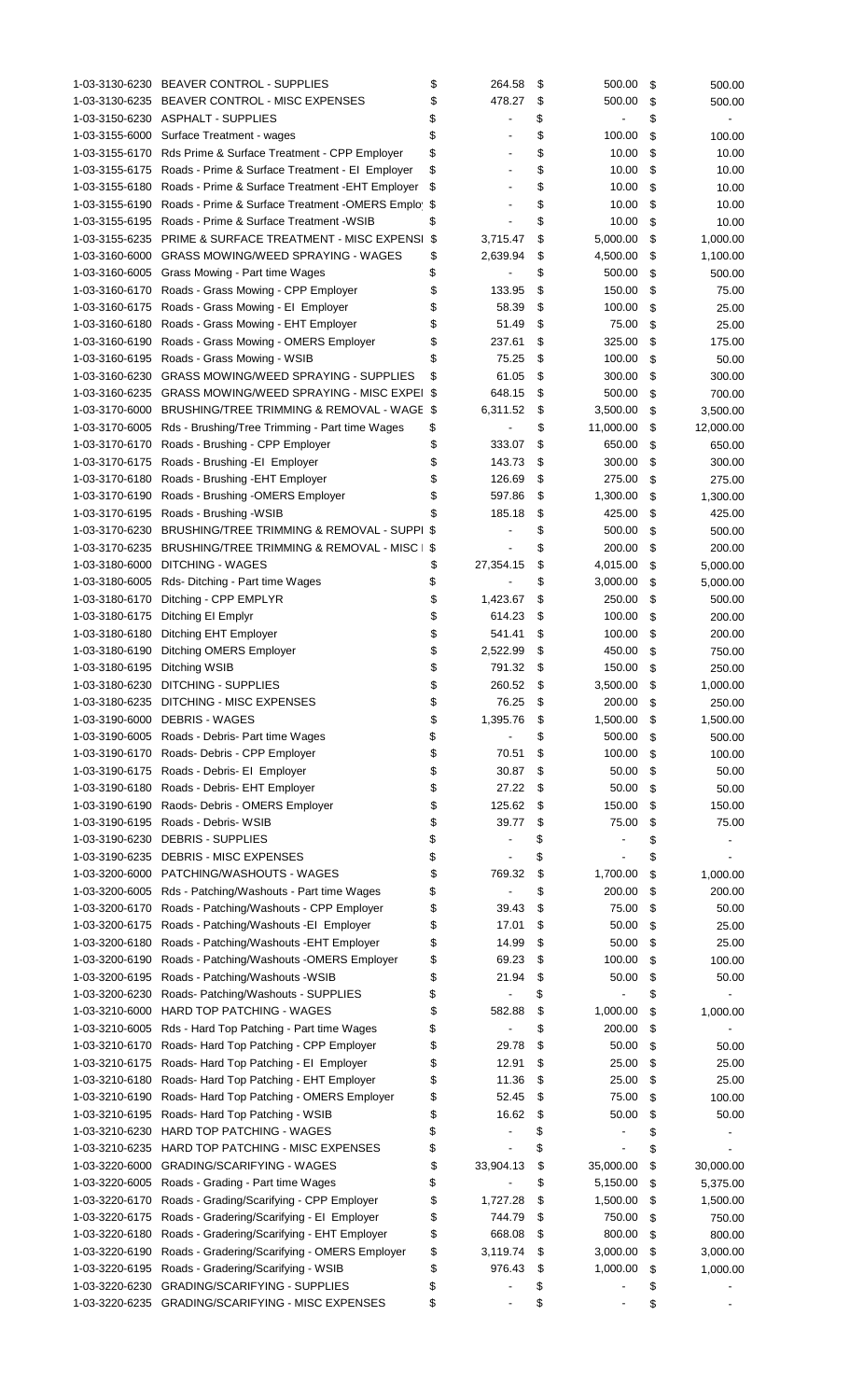| 1-03-3130-6230 | <b>BEAVER CONTROL - SUPPLIES</b>                                                          | \$       | 264.58         | \$       | 500.00    | \$       | 500.00    |
|----------------|-------------------------------------------------------------------------------------------|----------|----------------|----------|-----------|----------|-----------|
|                | 1-03-3130-6235 BEAVER CONTROL - MISC EXPENSES                                             | \$       | 478.27         | \$       | 500.00    | \$       | 500.00    |
|                | 1-03-3150-6230 ASPHALT - SUPPLIES                                                         | \$       |                | \$       |           |          |           |
|                |                                                                                           |          |                |          |           | \$       |           |
|                | 1-03-3155-6000 Surface Treatment - wages                                                  | \$       |                | \$       | 100.00    | \$       | 100.00    |
|                | 1-03-3155-6170 Rds Prime & Surface Treatment - CPP Employer                               | \$       |                | \$       | 10.00     | \$       | 10.00     |
|                | 1-03-3155-6175 Roads - Prime & Surface Treatment - El Employer                            | \$       |                | \$       | 10.00     | \$       | 10.00     |
|                |                                                                                           |          |                |          |           |          |           |
| 1-03-3155-6180 | Roads - Prime & Surface Treatment - EHT Employer                                          | \$       |                | \$       | 10.00     | \$       | 10.00     |
| 1-03-3155-6190 | Roads - Prime & Surface Treatment - OMERS Emplo \$                                        |          |                | \$       | 10.00     | \$       | 10.00     |
| 1-03-3155-6195 | Roads - Prime & Surface Treatment - WSIB                                                  | \$       |                | \$       | 10.00     | \$       | 10.00     |
| 1-03-3155-6235 | PRIME & SURFACE TREATMENT - MISC EXPENSI                                                  | \$       | 3,715.47       | \$       | 5,000.00  | \$       |           |
|                |                                                                                           |          |                |          |           |          | 1,000.00  |
| 1-03-3160-6000 | <b>GRASS MOWING/WEED SPRAYING - WAGES</b>                                                 | \$       | 2,639.94       | \$       | 4,500.00  | \$       | 1,100.00  |
| 1-03-3160-6005 | Grass Mowing - Part time Wages                                                            | \$       |                | \$       | 500.00    | \$       | 500.00    |
|                | 1-03-3160-6170 Roads - Grass Mowing - CPP Employer                                        | \$       | 133.95         | \$       | 150.00    | \$       | 75.00     |
|                |                                                                                           |          |                |          |           |          |           |
| 1-03-3160-6175 | Roads - Grass Mowing - El Employer                                                        | \$       | 58.39          | \$       | 100.00    | \$       | 25.00     |
| 1-03-3160-6180 | Roads - Grass Mowing - EHT Employer                                                       | \$       | 51.49          | \$       | 75.00     | \$       | 25.00     |
| 1-03-3160-6190 | Roads - Grass Mowing - OMERS Employer                                                     | \$       | 237.61         | \$       | 325.00    | \$       | 175.00    |
|                |                                                                                           |          |                |          |           |          |           |
| 1-03-3160-6195 | Roads - Grass Mowing - WSIB                                                               | \$       | 75.25          | \$       | 100.00    | \$       | 50.00     |
| 1-03-3160-6230 | <b>GRASS MOWING/WEED SPRAYING - SUPPLIES</b>                                              | \$       | 61.05          | \$       | 300.00    | \$       | 300.00    |
| 1-03-3160-6235 | <b>GRASS MOWING/WEED SPRAYING - MISC EXPEI \$</b>                                         |          | 648.15         | \$       | 500.00    | \$       | 700.00    |
| 1-03-3170-6000 | BRUSHING/TREE TRIMMING & REMOVAL - WAGE \$                                                |          | 6,311.52       | \$       | 3,500.00  | \$       | 3,500.00  |
|                |                                                                                           |          |                |          |           |          |           |
| 1-03-3170-6005 | Rds - Brushing/Tree Trimming - Part time Wages                                            | \$       |                | \$       | 11,000.00 | \$       | 12,000.00 |
| 1-03-3170-6170 | Roads - Brushing - CPP Employer                                                           | \$       | 333.07         | \$       | 650.00    | \$       | 650.00    |
| 1-03-3170-6175 | Roads - Brushing - El Employer                                                            | \$       | 143.73         | \$       | 300.00    | \$       | 300.00    |
|                |                                                                                           |          |                |          |           |          |           |
| 1-03-3170-6180 | Roads - Brushing - EHT Employer                                                           | \$       | 126.69         | \$       | 275.00    | \$       | 275.00    |
| 1-03-3170-6190 | Roads - Brushing - OMERS Employer                                                         | \$       | 597.86         | \$       | 1,300.00  | \$       | 1,300.00  |
| 1-03-3170-6195 | Roads - Brushing - WSIB                                                                   | \$       | 185.18         | \$       | 425.00    | \$       | 425.00    |
| 1-03-3170-6230 | BRUSHING/TREE TRIMMING & REMOVAL - SUPPI \$                                               |          |                | \$       | 500.00    |          |           |
|                |                                                                                           |          |                |          |           | \$       | 500.00    |
| 1-03-3170-6235 | BRUSHING/TREE TRIMMING & REMOVAL - MISC                                                   | \$       |                | \$       | 200.00    | \$       | 200.00    |
| 1-03-3180-6000 | <b>DITCHING - WAGES</b>                                                                   | \$       | 27,354.15      | \$       | 4,015.00  | \$       | 5,000.00  |
| 1-03-3180-6005 | Rds-Ditching - Part time Wages                                                            | \$       |                | \$       | 3,000.00  | \$       | 5,000.00  |
|                |                                                                                           |          |                |          |           |          |           |
| 1-03-3180-6170 | Ditching - CPP EMPLYR                                                                     | \$       | 1,423.67       | \$       | 250.00    | \$       | 500.00    |
| 1-03-3180-6175 | Ditching EI Emplyr                                                                        | \$       | 614.23         | \$       | 100.00    | \$       | 200.00    |
| 1-03-3180-6180 | Ditching EHT Employer                                                                     | \$       | 541.41         | \$       | 100.00    | \$       | 200.00    |
|                |                                                                                           |          | 2,522.99       |          |           |          |           |
| 1-03-3180-6190 | <b>Ditching OMERS Employer</b>                                                            | \$       |                | \$       | 450.00    | \$       | 750.00    |
| 1-03-3180-6195 | Ditching WSIB                                                                             | \$       | 791.32         | \$       | 150.00    | \$       | 250.00    |
|                | 1-03-3180-6230 DITCHING - SUPPLIES                                                        | \$       | 260.52         | \$       | 3,500.00  | \$       | 1,000.00  |
|                | 1-03-3180-6235 DITCHING - MISC EXPENSES                                                   | \$       | 76.25          | \$       | 200.00    | \$       | 250.00    |
|                |                                                                                           |          |                |          |           |          |           |
|                | 1-03-3190-6000 DEBRIS - WAGES                                                             | \$       | 1,395.76       | \$       | 1,500.00  | \$       | 1,500.00  |
|                | 1-03-3190-6005 Roads - Debris- Part time Wages                                            | \$       |                | \$       | 500.00    | \$       | 500.00    |
|                | 1-03-3190-6170 Roads-Debris - CPP Employer                                                | \$       | 70.51          | \$       | 100.00    | \$       | 100.00    |
|                | 1-03-3190-6175 Roads - Debris- El Employer                                                |          | 30.87          | \$       |           |          |           |
|                |                                                                                           | \$       |                |          | 50.00     | \$       | 50.00     |
| 1-03-3190-6180 | Roads - Debris- EHT Employer                                                              | \$       | 27.22          | \$       | 50.00     | \$       | 50.00     |
| 1-03-3190-6190 | Raods- Debris - OMERS Employer                                                            | \$       | 125.62         | \$       | 150.00    | \$       | 150.00    |
| 1-03-3190-6195 | Roads - Debris - WSIB                                                                     | \$       | 39.77          | \$       | 75.00     | \$       | 75.00     |
|                |                                                                                           |          |                |          |           |          |           |
| 1-03-3190-6230 | <b>DEBRIS - SUPPLIES</b>                                                                  | \$       |                | \$       |           | \$       |           |
| 1-03-3190-6235 | <b>DEBRIS - MISC EXPENSES</b>                                                             | \$       |                | \$       |           | \$       |           |
| 1-03-3200-6000 | PATCHING/WASHOUTS - WAGES                                                                 | \$       | 769.32         | \$       | 1,700.00  | \$       | 1,000.00  |
|                |                                                                                           |          |                |          |           |          |           |
| 1-03-3200-6005 | Rds - Patching/Washouts - Part time Wages                                                 | \$       |                | \$       | 200.00    | \$       | 200.00    |
| 1-03-3200-6170 | Roads - Patching/Washouts - CPP Employer                                                  | \$       | 39.43          | \$       | 75.00     | \$       | 50.00     |
| 1-03-3200-6175 | Roads - Patching/Washouts -El Employer                                                    | \$       | 17.01          | \$       | 50.00     | \$       | 25.00     |
| 1-03-3200-6180 | Roads - Patching/Washouts - EHT Employer                                                  | \$       | 14.99          | \$       | 50.00     | \$       | 25.00     |
|                |                                                                                           |          |                |          |           |          |           |
| 1-03-3200-6190 | Roads - Patching/Washouts - OMERS Employer                                                | \$       | 69.23          | \$       | 100.00    | \$       | 100.00    |
| 1-03-3200-6195 | Roads - Patching/Washouts -WSIB                                                           | \$       | 21.94          | \$       | 50.00     | \$       | 50.00     |
| 1-03-3200-6230 | Roads- Patching/Washouts - SUPPLIES                                                       | \$       | $\blacksquare$ | \$       |           | \$       |           |
|                |                                                                                           |          |                |          |           |          |           |
| 1-03-3210-6000 | <b>HARD TOP PATCHING - WAGES</b>                                                          | \$       | 582.88         | \$       | 1,000.00  | \$       | 1,000.00  |
| 1-03-3210-6005 | Rds - Hard Top Patching - Part time Wages                                                 | \$       |                | \$       | 200.00    | \$       |           |
| 1-03-3210-6170 | Roads-Hard Top Patching - CPP Employer                                                    | \$       | 29.78          | \$       | 50.00     | \$       | 50.00     |
|                |                                                                                           |          |                |          |           |          |           |
| 1-03-3210-6175 | Roads-Hard Top Patching - El Employer                                                     | \$       | 12.91          | \$       | 25.00     | \$       | 25.00     |
| 1-03-3210-6180 | Roads- Hard Top Patching - EHT Employer                                                   | \$       | 11.36          | \$       | 25.00     | \$       | 25.00     |
| 1-03-3210-6190 | Roads- Hard Top Patching - OMERS Employer                                                 | \$       | 52.45          | \$       | 75.00     | \$       | 100.00    |
|                |                                                                                           | \$       | 16.62          | \$       | 50.00     |          |           |
| 1-03-3210-6195 | Roads- Hard Top Patching - WSIB                                                           |          |                |          |           | \$       | 50.00     |
| 1-03-3210-6230 | <b>HARD TOP PATCHING - WAGES</b>                                                          | \$       |                | \$       |           | \$       |           |
| 1-03-3210-6235 | HARD TOP PATCHING - MISC EXPENSES                                                         | \$       |                | \$       |           | \$       |           |
| 1-03-3220-6000 | <b>GRADING/SCARIFYING - WAGES</b>                                                         | \$       | 33,904.13      | \$       | 35,000.00 | \$       | 30,000.00 |
|                |                                                                                           |          |                |          |           |          |           |
| 1-03-3220-6005 | Roads - Grading - Part time Wages                                                         | \$       |                | \$       | 5,150.00  | \$       | 5,375.00  |
| 1-03-3220-6170 | Roads - Grading/Scarifying - CPP Employer                                                 | \$       | 1,727.28       | \$       | 1,500.00  | \$       | 1,500.00  |
|                |                                                                                           |          | 744.79         | \$       | 750.00    | \$       | 750.00    |
|                |                                                                                           |          |                |          |           |          |           |
| 1-03-3220-6175 | Roads - Gradering/Scarifying - El Employer                                                | \$       |                |          |           |          |           |
| 1-03-3220-6180 | Roads - Gradering/Scarifying - EHT Employer                                               | \$       | 668.08         | \$       | 800.00    | \$       | 800.00    |
| 1-03-3220-6190 | Roads - Gradering/Scarifying - OMERS Employer                                             | \$       | 3,119.74       | \$       | 3,000.00  | \$       | 3,000.00  |
| 1-03-3220-6195 | Roads - Gradering/Scarifying - WSIB                                                       |          | 976.43         |          | 1,000.00  | \$       |           |
|                |                                                                                           | \$       |                | \$       |           |          | 1,000.00  |
| 1-03-3220-6230 | <b>GRADING/SCARIFYING - SUPPLIES</b><br>1-03-3220-6235 GRADING/SCARIFYING - MISC EXPENSES | \$<br>\$ |                | \$<br>\$ |           | \$<br>\$ |           |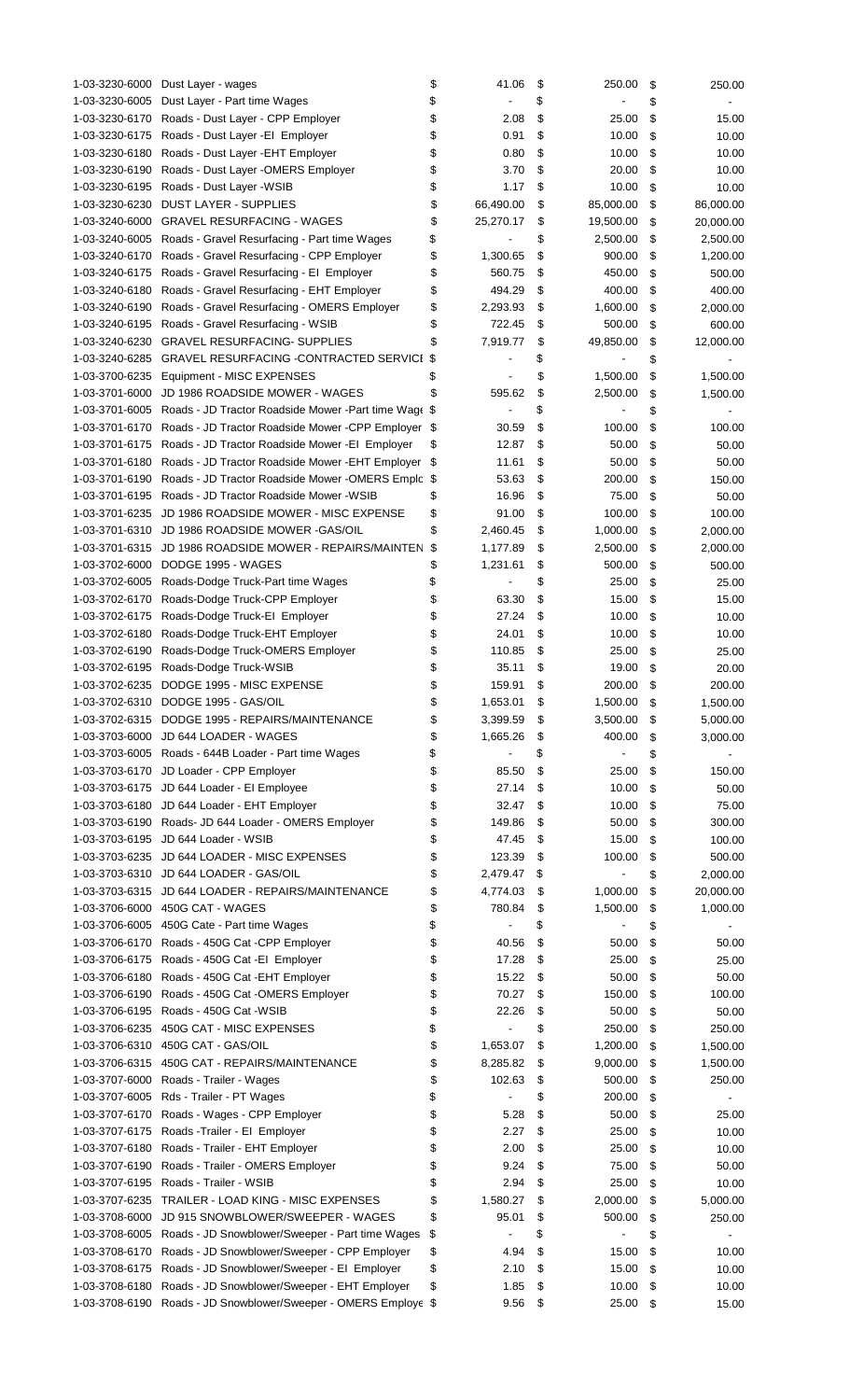| 1-03-3230-6000 | Dust Layer - wages                                              | \$<br>41.06          | \$<br>250.00    | \$<br>250.00    |
|----------------|-----------------------------------------------------------------|----------------------|-----------------|-----------------|
| 1-03-3230-6005 | Dust Layer - Part time Wages                                    | \$                   | \$              | \$              |
| 1-03-3230-6170 | Roads - Dust Layer - CPP Employer                               | \$<br>2.08           | \$<br>25.00     | \$<br>15.00     |
| 1-03-3230-6175 | Roads - Dust Layer - El Employer                                | \$<br>0.91           | \$<br>10.00     | \$<br>10.00     |
| 1-03-3230-6180 | Roads - Dust Layer - EHT Employer                               | \$<br>0.80           | \$<br>10.00     | \$<br>10.00     |
| 1-03-3230-6190 | Roads - Dust Layer - OMERS Employer                             | \$<br>3.70           | \$<br>20.00     | \$<br>10.00     |
| 1-03-3230-6195 | Roads - Dust Layer - WSIB                                       | \$<br>1.17           | \$<br>10.00     | \$<br>10.00     |
|                |                                                                 |                      |                 |                 |
| 1-03-3230-6230 | <b>DUST LAYER - SUPPLIES</b>                                    | \$<br>66,490.00      | \$<br>85,000.00 | \$<br>86,000.00 |
| 1-03-3240-6000 | <b>GRAVEL RESURFACING - WAGES</b>                               | \$<br>25,270.17      | \$<br>19,500.00 | \$<br>20,000.00 |
| 1-03-3240-6005 | Roads - Gravel Resurfacing - Part time Wages                    | \$                   | \$<br>2,500.00  | \$<br>2,500.00  |
| 1-03-3240-6170 | Roads - Gravel Resurfacing - CPP Employer                       | \$<br>1,300.65       | \$<br>900.00    | \$<br>1,200.00  |
| 1-03-3240-6175 | Roads - Gravel Resurfacing - El Employer                        | \$<br>560.75         | \$<br>450.00    | \$<br>500.00    |
| 1-03-3240-6180 | Roads - Gravel Resurfacing - EHT Employer                       | \$<br>494.29         | \$<br>400.00    | \$<br>400.00    |
| 1-03-3240-6190 | Roads - Gravel Resurfacing - OMERS Employer                     | \$<br>2,293.93       | \$<br>1,600.00  | \$<br>2,000.00  |
| 1-03-3240-6195 | Roads - Gravel Resurfacing - WSIB                               | \$<br>722.45         | \$<br>500.00    | \$<br>600.00    |
|                |                                                                 | \$                   |                 |                 |
| 1-03-3240-6230 | <b>GRAVEL RESURFACING- SUPPLIES</b>                             | 7,919.77             | \$<br>49,850.00 | \$<br>12,000.00 |
| 1-03-3240-6285 | <b>GRAVEL RESURFACING -CONTRACTED SERVICI</b>                   | \$                   | \$              | \$              |
| 1-03-3700-6235 | Equipment - MISC EXPENSES                                       | \$                   | \$<br>1,500.00  | \$<br>1,500.00  |
| 1-03-3701-6000 | JD 1986 ROADSIDE MOWER - WAGES                                  | \$<br>595.62         | \$<br>2,500.00  | \$<br>1,500.00  |
| 1-03-3701-6005 | Roads - JD Tractor Roadside Mower - Part time Wage \$           |                      | \$              | \$              |
| 1-03-3701-6170 | Roads - JD Tractor Roadside Mower - CPP Employer \$             | 30.59                | \$<br>100.00    | \$<br>100.00    |
| 1-03-3701-6175 | Roads - JD Tractor Roadside Mower - El Employer                 | \$<br>12.87          | \$<br>50.00     | \$<br>50.00     |
| 1-03-3701-6180 | Roads - JD Tractor Roadside Mower - EHT Employer                | \$<br>11.61          | \$<br>50.00     | \$<br>50.00     |
| 1-03-3701-6190 |                                                                 |                      |                 |                 |
|                | Roads - JD Tractor Roadside Mower -OMERS Emplc \$               | 53.63                | \$<br>200.00    | \$<br>150.00    |
| 1-03-3701-6195 | Roads - JD Tractor Roadside Mower - WSIB                        | \$<br>16.96          | \$<br>75.00     | \$<br>50.00     |
| 1-03-3701-6235 | JD 1986 ROADSIDE MOWER - MISC EXPENSE                           | \$<br>91.00          | \$<br>100.00    | \$<br>100.00    |
| 1-03-3701-6310 | JD 1986 ROADSIDE MOWER - GAS/OIL                                | \$<br>2,460.45       | \$<br>1,000.00  | \$<br>2,000.00  |
| 1-03-3701-6315 | JD 1986 ROADSIDE MOWER - REPAIRS/MAINTEN                        | \$<br>1,177.89       | \$<br>2,500.00  | \$<br>2,000.00  |
| 1-03-3702-6000 | DODGE 1995 - WAGES                                              | \$<br>1,231.61       | \$<br>500.00    | \$<br>500.00    |
| 1-03-3702-6005 | Roads-Dodge Truck-Part time Wages                               | \$                   | \$<br>25.00     | \$<br>25.00     |
| 1-03-3702-6170 |                                                                 | \$<br>63.30          | \$<br>15.00     |                 |
|                | Roads-Dodge Truck-CPP Employer                                  |                      |                 | \$<br>15.00     |
| 1-03-3702-6175 | Roads-Dodge Truck-El Employer                                   | \$<br>27.24          | \$<br>10.00     | \$<br>10.00     |
| 1-03-3702-6180 | Roads-Dodge Truck-EHT Employer                                  | \$<br>24.01          | \$<br>10.00     | \$<br>10.00     |
| 1-03-3702-6190 | Roads-Dodge Truck-OMERS Employer                                | \$<br>110.85         | \$<br>25.00     | \$<br>25.00     |
| 1-03-3702-6195 | Roads-Dodge Truck-WSIB                                          | \$<br>35.11          | \$<br>19.00     | \$<br>20.00     |
|                | 1-03-3702-6235 DODGE 1995 - MISC EXPENSE                        | \$<br>159.91         | \$<br>200.00    | \$<br>200.00    |
|                | 1-03-3702-6310 DODGE 1995 - GAS/OIL                             | \$<br>1,653.01       | \$<br>1,500.00  | \$<br>1,500.00  |
|                | 1-03-3702-6315 DODGE 1995 - REPAIRS/MAINTENANCE                 | \$<br>3,399.59       | \$<br>3,500.00  | \$<br>5,000.00  |
| 1-03-3703-6000 | JD 644 LOADER - WAGES                                           | \$<br>1,665.26       |                 |                 |
|                |                                                                 |                      | \$<br>400.00    | \$<br>3,000.00  |
|                | 1-03-3703-6005 Roads - 644B Loader - Part time Wages            | \$<br>$\blacksquare$ | \$              | \$              |
| 1-03-3703-6170 | JD Loader - CPP Employer                                        | \$<br>85.50          | \$<br>25.00     | \$<br>150.00    |
| 1-03-3703-6175 | JD 644 Loader - El Employee                                     | \$<br>27.14          | \$<br>10.00     | \$<br>50.00     |
| 1-03-3703-6180 | JD 644 Loader - EHT Employer                                    | \$<br>32.47          | \$<br>10.00     | \$<br>75.00     |
| 1-03-3703-6190 | Roads- JD 644 Loader - OMERS Employer                           | \$<br>149.86         | \$<br>50.00     | \$<br>300.00    |
| 1-03-3703-6195 | JD 644 Loader - WSIB                                            | \$<br>47.45          | \$<br>15.00     | \$<br>100.00    |
| 1-03-3703-6235 | JD 644 LOADER - MISC EXPENSES                                   | \$<br>123.39         | \$<br>100.00    | \$<br>500.00    |
| 1-03-3703-6310 | JD 644 LOADER - GAS/OIL                                         | \$<br>2,479.47       | \$              |                 |
|                |                                                                 |                      |                 | \$<br>2,000.00  |
| 1-03-3703-6315 | JD 644 LOADER - REPAIRS/MAINTENANCE                             | \$<br>4,774.03       | \$<br>1,000.00  | \$<br>20,000.00 |
| 1-03-3706-6000 | 450G CAT - WAGES                                                | \$<br>780.84         | \$<br>1,500.00  | \$<br>1,000.00  |
|                | 1-03-3706-6005 450G Cate - Part time Wages                      | \$<br>$\overline{a}$ | \$<br>÷,        | \$              |
| 1-03-3706-6170 | Roads - 450G Cat -CPP Employer                                  | \$<br>40.56          | \$<br>50.00     | \$<br>50.00     |
|                | 1-03-3706-6175 Roads - 450G Cat -El Employer                    | \$<br>17.28          | \$<br>25.00     | \$<br>25.00     |
| 1-03-3706-6180 | Roads - 450G Cat - EHT Employer                                 | \$<br>15.22          | \$<br>50.00     | \$<br>50.00     |
| 1-03-3706-6190 | Roads - 450G Cat -OMERS Employer                                | \$<br>70.27          | \$<br>150.00    | \$<br>100.00    |
| 1-03-3706-6195 | Roads - 450G Cat - WSIB                                         | \$<br>22.26          | \$<br>50.00     | \$              |
|                |                                                                 |                      |                 | 50.00           |
| 1-03-3706-6235 | 450G CAT - MISC EXPENSES                                        | \$<br>$\blacksquare$ | \$<br>250.00    | \$<br>250.00    |
| 1-03-3706-6310 | 450G CAT - GAS/OIL                                              | \$<br>1,653.07       | \$<br>1,200.00  | \$<br>1,500.00  |
|                | 1-03-3706-6315 450G CAT - REPAIRS/MAINTENANCE                   | \$<br>8,285.82       | \$<br>9,000.00  | \$<br>1,500.00  |
| 1-03-3707-6000 | Roads - Trailer - Wages                                         | \$<br>102.63         | \$<br>500.00    | \$<br>250.00    |
|                | 1-03-3707-6005 Rds - Trailer - PT Wages                         | \$                   | \$<br>200.00    | \$              |
| 1-03-3707-6170 | Roads - Wages - CPP Employer                                    | \$<br>5.28           | \$<br>50.00     | \$<br>25.00     |
| 1-03-3707-6175 | Roads - Trailer - El Employer                                   | \$<br>2.27           | \$<br>25.00     | \$<br>10.00     |
|                |                                                                 |                      |                 |                 |
| 1-03-3707-6180 | Roads - Trailer - EHT Employer                                  | \$<br>2.00           | \$<br>25.00     | \$<br>10.00     |
| 1-03-3707-6190 | Roads - Trailer - OMERS Employer                                | \$<br>9.24           | \$<br>75.00     | \$<br>50.00     |
| 1-03-3707-6195 | Roads - Trailer - WSIB                                          | \$<br>2.94           | \$<br>25.00     | \$<br>10.00     |
| 1-03-3707-6235 | TRAILER - LOAD KING - MISC EXPENSES                             | \$<br>1,580.27       | \$<br>2,000.00  | \$<br>5,000.00  |
| 1-03-3708-6000 | JD 915 SNOWBLOWER/SWEEPER - WAGES                               | \$<br>95.01          | \$<br>500.00    | \$<br>250.00    |
|                | 1-03-3708-6005 Roads - JD Snowblower/Sweeper - Part time Wages  | \$                   | \$              | \$              |
| 1-03-3708-6170 | Roads - JD Snowblower/Sweeper - CPP Employer                    | \$<br>4.94           | \$<br>15.00     | \$<br>10.00     |
| 1-03-3708-6175 | Roads - JD Snowblower/Sweeper - EI Employer                     | \$<br>2.10           | \$<br>15.00     | \$<br>10.00     |
| 1-03-3708-6180 | Roads - JD Snowblower/Sweeper - EHT Employer                    | \$<br>1.85           | \$<br>10.00     | \$              |
|                |                                                                 |                      |                 | 10.00           |
|                | 1-03-3708-6190 Roads - JD Snowblower/Sweeper - OMERS Employe \$ | 9.56                 | \$<br>25.00     | \$<br>15.00     |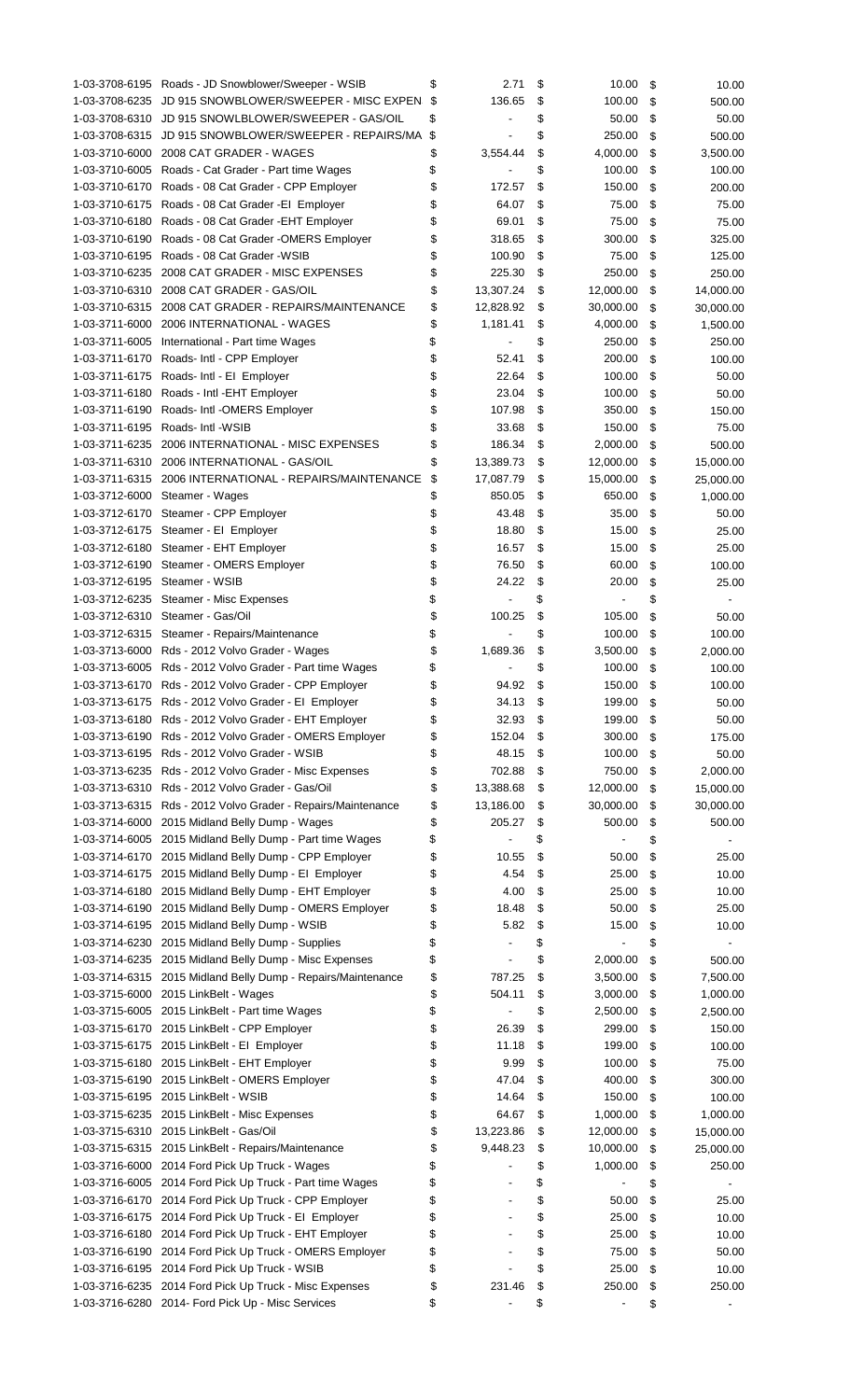|                | 1-03-3708-6195 Roads - JD Snowblower/Sweeper - WSIB          | \$<br>2.71                         | \$<br>10.00     | \$ | 10.00     |
|----------------|--------------------------------------------------------------|------------------------------------|-----------------|----|-----------|
| 1-03-3708-6235 | JD 915 SNOWBLOWER/SWEEPER - MISC EXPEN                       | \$<br>136.65                       | \$<br>100.00    | \$ | 500.00    |
| 1-03-3708-6310 | JD 915 SNOWLBLOWER/SWEEPER - GAS/OIL                         | \$                                 | \$<br>50.00     | \$ | 50.00     |
| 1-03-3708-6315 | JD 915 SNOWBLOWER/SWEEPER - REPAIRS/MA                       | \$                                 | \$<br>250.00    | \$ | 500.00    |
| 1-03-3710-6000 | 2008 CAT GRADER - WAGES                                      | \$<br>3,554.44                     | \$<br>4,000.00  | \$ | 3,500.00  |
|                | 1-03-3710-6005 Roads - Cat Grader - Part time Wages          | \$                                 | \$<br>100.00    | \$ | 100.00    |
| 1-03-3710-6170 |                                                              | \$<br>172.57                       | \$<br>150.00    | \$ |           |
|                | Roads - 08 Cat Grader - CPP Employer                         |                                    |                 |    | 200.00    |
|                | 1-03-3710-6175 Roads - 08 Cat Grader - El Employer           | \$<br>64.07                        | \$<br>75.00     | \$ | 75.00     |
| 1-03-3710-6180 | Roads - 08 Cat Grader - EHT Employer                         | \$<br>69.01                        | \$<br>75.00     | \$ | 75.00     |
| 1-03-3710-6190 | Roads - 08 Cat Grader - OMERS Employer                       | \$<br>318.65                       | \$<br>300.00    | \$ | 325.00    |
| 1-03-3710-6195 | Roads - 08 Cat Grader - WSIB                                 | \$<br>100.90                       | \$<br>75.00     | \$ | 125.00    |
| 1-03-3710-6235 | 2008 CAT GRADER - MISC EXPENSES                              | \$<br>225.30                       | \$<br>250.00    | \$ | 250.00    |
| 1-03-3710-6310 | 2008 CAT GRADER - GAS/OIL                                    | \$<br>13,307.24                    | \$<br>12,000.00 | \$ | 14,000.00 |
|                | 1-03-3710-6315 2008 CAT GRADER - REPAIRS/MAINTENANCE         | \$<br>12,828.92                    | \$<br>30,000.00 | \$ | 30,000.00 |
| 1-03-3711-6000 | 2006 INTERNATIONAL - WAGES                                   | \$<br>1,181.41                     | \$<br>4,000.00  | \$ | 1,500.00  |
|                |                                                              |                                    |                 |    |           |
| 1-03-3711-6005 | International - Part time Wages                              | \$                                 | \$<br>250.00    | \$ | 250.00    |
| 1-03-3711-6170 | Roads- Intl - CPP Employer                                   | \$<br>52.41                        | \$<br>200.00    | \$ | 100.00    |
| 1-03-3711-6175 | Roads- Intl - EI Employer                                    | \$<br>22.64                        | \$<br>100.00    | \$ | 50.00     |
| 1-03-3711-6180 | Roads - Intl - EHT Employer                                  | \$<br>23.04                        | \$<br>100.00    | \$ | 50.00     |
| 1-03-3711-6190 | Roads- Intl -OMERS Employer                                  | \$<br>107.98                       | \$<br>350.00    | \$ | 150.00    |
| 1-03-3711-6195 | Roads- Intl -WSIB                                            | \$<br>33.68                        | \$<br>150.00    | \$ | 75.00     |
| 1-03-3711-6235 | 2006 INTERNATIONAL - MISC EXPENSES                           | \$<br>186.34                       | \$<br>2,000.00  | \$ | 500.00    |
|                | 1-03-3711-6310 2006 INTERNATIONAL - GAS/OIL                  | \$<br>13,389.73                    | \$<br>12,000.00 | \$ | 15,000.00 |
|                | 1-03-3711-6315 2006 INTERNATIONAL - REPAIRS/MAINTENANCE      | \$<br>17,087.79                    | \$<br>15,000.00 | \$ |           |
|                |                                                              |                                    |                 |    | 25,000.00 |
|                | 1-03-3712-6000 Steamer - Wages                               | \$<br>850.05                       | \$<br>650.00    | S  | 1,000.00  |
| 1-03-3712-6170 | Steamer - CPP Employer                                       | \$<br>43.48                        | \$<br>35.00     | \$ | 50.00     |
| 1-03-3712-6175 | Steamer - El Employer                                        | \$<br>18.80                        | \$<br>15.00     | \$ | 25.00     |
|                | 1-03-3712-6180 Steamer - EHT Employer                        | \$<br>16.57                        | \$<br>15.00     | \$ | 25.00     |
|                | 1-03-3712-6190 Steamer - OMERS Employer                      | \$<br>76.50                        | \$<br>60.00     | \$ | 100.00    |
| 1-03-3712-6195 | Steamer - WSIB                                               | \$<br>24.22                        | \$<br>20.00     | \$ | 25.00     |
| 1-03-3712-6235 | Steamer - Misc Expenses                                      | \$                                 | \$              | \$ |           |
|                | 1-03-3712-6310 Steamer - Gas/Oil                             | \$<br>100.25                       | \$<br>105.00    | \$ |           |
|                |                                                              |                                    |                 |    | 50.00     |
|                | 1-03-3712-6315 Steamer - Repairs/Maintenance                 | \$                                 | \$<br>100.00    | \$ | 100.00    |
|                | 1-03-3713-6000 Rds - 2012 Volvo Grader - Wages               | \$<br>1,689.36                     | \$<br>3,500.00  | \$ | 2,000.00  |
|                | 1-03-3713-6005 Rds - 2012 Volvo Grader - Part time Wages     | \$                                 | \$<br>100.00    | \$ | 100.00    |
|                | 1-03-3713-6170 Rds - 2012 Volvo Grader - CPP Employer        | \$<br>94.92                        | \$<br>150.00    | \$ | 100.00    |
|                | 1-03-3713-6175 Rds - 2012 Volvo Grader - El Employer         | \$<br>$34.13$ \$                   | 199.00 \$       |    | 50.00     |
|                | 1-03-3713-6180 Rds - 2012 Volvo Grader - EHT Employer        | \$<br>32.93                        | \$<br>199.00    | \$ | 50.00     |
|                | 1-03-3713-6190 Rds - 2012 Volvo Grader - OMERS Employer      | \$<br>152.04                       | \$<br>300.00    | \$ | 175.00    |
|                | 1-03-3713-6195 Rds - 2012 Volvo Grader - WSIB                | \$<br>48.15                        | \$<br>100.00    | \$ | 50.00     |
|                | 1-03-3713-6235 Rds - 2012 Volvo Grader - Misc Expenses       | \$<br>702.88                       | \$<br>750.00    | \$ | 2,000.00  |
|                | 1-03-3713-6310 Rds - 2012 Volvo Grader - Gas/Oil             |                                    | \$              |    |           |
|                |                                                              | \$<br>13,388.68                    | 12,000.00       | \$ | 15,000.00 |
|                | 1-03-3713-6315 Rds - 2012 Volvo Grader - Repairs/Maintenance | \$<br>13,186.00                    | \$<br>30,000.00 | \$ | 30,000.00 |
|                | 1-03-3714-6000 2015 Midland Belly Dump - Wages               | \$<br>205.27                       | \$<br>500.00    | \$ | 500.00    |
|                | 1-03-3714-6005 2015 Midland Belly Dump - Part time Wages     | \$                                 | \$              | \$ |           |
|                | 1-03-3714-6170 2015 Midland Belly Dump - CPP Employer        | \$<br>10.55                        | \$<br>50.00     | \$ | 25.00     |
|                | 1-03-3714-6175 2015 Midland Belly Dump - El Employer         | \$<br>4.54                         | \$<br>25.00     | \$ | 10.00     |
|                | 1-03-3714-6180 2015 Midland Belly Dump - EHT Employer        | \$<br>4.00                         | \$<br>25.00     | \$ | 10.00     |
|                | 1-03-3714-6190 2015 Midland Belly Dump - OMERS Employer      | \$<br>18.48                        | \$<br>50.00     | \$ | 25.00     |
|                | 1-03-3714-6195 2015 Midland Belly Dump - WSIB                | \$<br>5.82                         | \$<br>15.00     | \$ | 10.00     |
|                |                                                              |                                    |                 |    |           |
|                | 1-03-3714-6230 2015 Midland Belly Dump - Supplies            | \$                                 | \$              | \$ |           |
|                | 1-03-3714-6235 2015 Midland Belly Dump - Misc Expenses       | \$<br>L,                           | \$<br>2,000.00  | \$ | 500.00    |
|                | 1-03-3714-6315 2015 Midland Belly Dump - Repairs/Maintenance | \$<br>787.25                       | \$<br>3,500.00  | \$ | 7,500.00  |
|                | 1-03-3715-6000 2015 LinkBelt - Wages                         | \$<br>504.11                       | \$<br>3,000.00  | \$ | 1,000.00  |
|                | 1-03-3715-6005 2015 LinkBelt - Part time Wages               | \$<br>$\qquad \qquad \blacksquare$ | \$<br>2,500.00  | \$ | 2,500.00  |
|                | 1-03-3715-6170 2015 LinkBelt - CPP Employer                  | \$<br>26.39                        | \$<br>299.00    | \$ | 150.00    |
|                | 1-03-3715-6175 2015 LinkBelt - El Employer                   | \$<br>11.18                        | \$<br>199.00    | \$ | 100.00    |
|                | 1-03-3715-6180 2015 LinkBelt - EHT Employer                  | \$<br>9.99                         | \$<br>100.00    | \$ | 75.00     |
|                | 1-03-3715-6190 2015 LinkBelt - OMERS Employer                | \$<br>47.04                        | \$<br>400.00    | \$ | 300.00    |
|                |                                                              |                                    |                 |    |           |
|                | 1-03-3715-6195 2015 LinkBelt - WSIB                          | \$<br>14.64                        | \$<br>150.00    | \$ | 100.00    |
|                | 1-03-3715-6235 2015 LinkBelt - Misc Expenses                 | \$<br>64.67                        | \$<br>1,000.00  | \$ | 1,000.00  |
|                | 1-03-3715-6310 2015 LinkBelt - Gas/Oil                       | \$<br>13,223.86                    | \$<br>12,000.00 | \$ | 15,000.00 |
|                | 1-03-3715-6315 2015 LinkBelt - Repairs/Maintenance           | \$<br>9,448.23                     | \$<br>10,000.00 | \$ | 25,000.00 |
|                | 1-03-3716-6000 2014 Ford Pick Up Truck - Wages               | \$<br>÷,                           | \$<br>1,000.00  | \$ | 250.00    |
|                | 1-03-3716-6005 2014 Ford Pick Up Truck - Part time Wages     | \$                                 | \$              | \$ |           |
|                | 1-03-3716-6170 2014 Ford Pick Up Truck - CPP Employer        | \$                                 | \$<br>50.00     | \$ | 25.00     |
| 1-03-3716-6175 | 2014 Ford Pick Up Truck - EI Employer                        | \$                                 | \$<br>25.00     | \$ | 10.00     |
|                | 1-03-3716-6180 2014 Ford Pick Up Truck - EHT Employer        | \$<br>$\overline{\phantom{a}}$     | \$<br>25.00     | \$ |           |
|                |                                                              |                                    |                 |    | 10.00     |
|                | 1-03-3716-6190 2014 Ford Pick Up Truck - OMERS Employer      | \$                                 | \$<br>75.00     | \$ | 50.00     |
|                | 1-03-3716-6195 2014 Ford Pick Up Truck - WSIB                | \$                                 | \$<br>25.00     | \$ | 10.00     |
|                | 1-03-3716-6235 2014 Ford Pick Up Truck - Misc Expenses       | \$<br>231.46                       | \$<br>250.00    | \$ | 250.00    |
|                | 1-03-3716-6280 2014- Ford Pick Up - Misc Services            | \$                                 | \$              | \$ |           |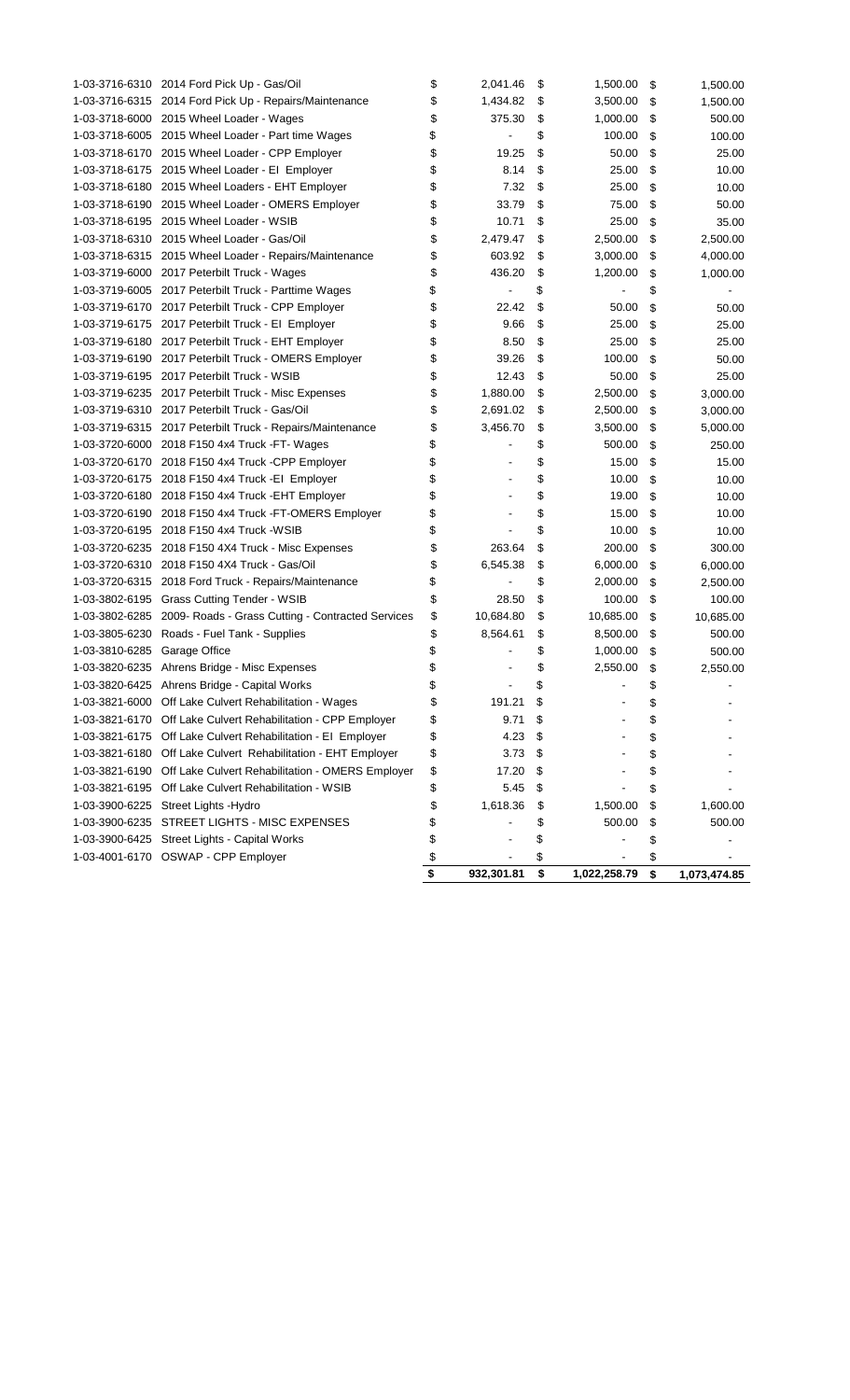|                              | 1-03-3716-6310 2014 Ford Pick Up - Gas/Oil                       | \$<br>2,041.46       | \$<br>1,500.00     | \$<br>1,500.00     |
|------------------------------|------------------------------------------------------------------|----------------------|--------------------|--------------------|
|                              | 1-03-3716-6315 2014 Ford Pick Up - Repairs/Maintenance           | \$<br>1,434.82       | \$<br>3,500.00     | \$<br>1,500.00     |
|                              | 1-03-3718-6000 2015 Wheel Loader - Wages                         | \$<br>375.30         | \$<br>1,000.00     | \$<br>500.00       |
|                              | 1-03-3718-6005 2015 Wheel Loader - Part time Wages               | \$<br>$\overline{a}$ | \$<br>100.00       | \$<br>100.00       |
|                              | 1-03-3718-6170 2015 Wheel Loader - CPP Employer                  | \$<br>19.25          | \$<br>50.00        | \$<br>25.00        |
|                              | 1-03-3718-6175 2015 Wheel Loader - El Employer                   | \$<br>8.14           | \$<br>25.00        | \$<br>10.00        |
|                              | 1-03-3718-6180 2015 Wheel Loaders - EHT Employer                 | \$<br>7.32           | \$<br>25.00        | \$<br>10.00        |
|                              | 1-03-3718-6190 2015 Wheel Loader - OMERS Employer                | \$<br>33.79          | \$<br>75.00        | \$<br>50.00        |
|                              | 1-03-3718-6195 2015 Wheel Loader - WSIB                          | \$<br>10.71          | \$<br>25.00        | \$<br>35.00        |
|                              | 1-03-3718-6310 2015 Wheel Loader - Gas/Oil                       | \$<br>2,479.47       | \$<br>2,500.00     | \$<br>2,500.00     |
|                              | 1-03-3718-6315 2015 Wheel Loader - Repairs/Maintenance           | \$<br>603.92         | \$<br>3,000.00     | \$<br>4,000.00     |
|                              | 1-03-3719-6000 2017 Peterbilt Truck - Wages                      | \$<br>436.20         | \$<br>1,200.00     | \$<br>1,000.00     |
|                              | 1-03-3719-6005 2017 Peterbilt Truck - Parttime Wages             | \$                   | \$                 | \$                 |
|                              | 1-03-3719-6170 2017 Peterbilt Truck - CPP Employer               | \$<br>22.42          | \$<br>50.00        | \$<br>50.00        |
|                              | 1-03-3719-6175 2017 Peterbilt Truck - El Employer                | \$<br>9.66           | \$<br>25.00        | \$<br>25.00        |
|                              | 1-03-3719-6180 2017 Peterbilt Truck - EHT Employer               | \$<br>8.50           | \$<br>25.00        | \$<br>25.00        |
|                              | 1-03-3719-6190 2017 Peterbilt Truck - OMERS Employer             | \$<br>39.26          | \$<br>100.00       | \$<br>50.00        |
|                              | 1-03-3719-6195 2017 Peterbilt Truck - WSIB                       | \$<br>12.43          | \$<br>50.00        | \$<br>25.00        |
|                              | 1-03-3719-6235 2017 Peterbilt Truck - Misc Expenses              | \$<br>1,880.00       | \$<br>2,500.00     | \$<br>3,000.00     |
|                              | 1-03-3719-6310 2017 Peterbilt Truck - Gas/Oil                    | \$<br>2,691.02       | \$<br>2,500.00     | \$<br>3,000.00     |
|                              | 1-03-3719-6315 2017 Peterbilt Truck - Repairs/Maintenance        | \$<br>3,456.70       | \$<br>3,500.00     | \$<br>5,000.00     |
|                              | 1-03-3720-6000 2018 F150 4x4 Truck - FT- Wages                   | \$<br>ä,             | \$<br>500.00       | \$<br>250.00       |
|                              | 1-03-3720-6170 2018 F150 4x4 Truck -CPP Employer                 | \$                   | \$<br>15.00        | \$<br>15.00        |
|                              | 1-03-3720-6175 2018 F150 4x4 Truck -EI Employer                  | \$                   | \$<br>10.00        | \$<br>10.00        |
|                              | 1-03-3720-6180 2018 F150 4x4 Truck - EHT Employer                | \$                   | \$<br>19.00        | \$<br>10.00        |
|                              | 1-03-3720-6190 2018 F150 4x4 Truck - FT-OMERS Employer           | \$                   | \$<br>15.00        | \$<br>10.00        |
|                              | 1-03-3720-6195 2018 F150 4x4 Truck -WSIB                         | \$                   | \$<br>10.00        | \$<br>10.00        |
|                              | 1-03-3720-6235 2018 F150 4X4 Truck - Misc Expenses               | \$<br>263.64         | \$<br>200.00       | \$<br>300.00       |
|                              | 1-03-3720-6310 2018 F150 4X4 Truck - Gas/Oil                     | \$<br>6,545.38       | \$<br>6,000.00     | \$<br>6,000.00     |
|                              | 1-03-3720-6315 2018 Ford Truck - Repairs/Maintenance             | \$                   | \$<br>2,000.00     | \$<br>2,500.00     |
|                              | 1-03-3802-6195 Grass Cutting Tender - WSIB                       | \$<br>28.50          | \$<br>100.00       | \$<br>100.00       |
|                              | 1-03-3802-6285 2009- Roads - Grass Cutting - Contracted Services | \$<br>10,684.80      | \$<br>10,685.00    | \$<br>10,685.00    |
|                              | 1-03-3805-6230 Roads - Fuel Tank - Supplies                      | \$<br>8,564.61       | \$<br>8,500.00     | \$<br>500.00       |
| 1-03-3810-6285 Garage Office |                                                                  | \$                   | \$<br>1,000.00     | \$<br>500.00       |
|                              | 1-03-3820-6235 Ahrens Bridge - Misc Expenses                     | \$                   | \$<br>2,550.00     | \$<br>2,550.00     |
|                              | 1-03-3820-6425 Ahrens Bridge - Capital Works                     | \$                   | \$                 | \$                 |
|                              | 1-03-3821-6000 Off Lake Culvert Rehabilitation - Wages           | \$<br>191.21         | \$                 | \$                 |
|                              | 1-03-3821-6170 Off Lake Culvert Rehabilitation - CPP Employer    | \$<br>9.71           | \$                 | \$                 |
|                              | 1-03-3821-6175 Off Lake Culvert Rehabilitation - El Employer     | \$<br>4.23           | \$                 | \$                 |
|                              | 1-03-3821-6180 Off Lake Culvert Rehabilitation - EHT Employer    | \$<br>3.73           | \$                 | \$                 |
| 1-03-3821-6190               | Off Lake Culvert Rehabilitation - OMERS Employer                 | \$<br>17.20          | \$                 | \$                 |
| 1-03-3821-6195               | Off Lake Culvert Rehabilitation - WSIB                           | \$<br>5.45           | \$                 | \$                 |
| 1-03-3900-6225               | Street Lights - Hydro                                            | \$<br>1,618.36       | \$<br>1,500.00     | \$<br>1,600.00     |
|                              | 1-03-3900-6235 STREET LIGHTS - MISC EXPENSES                     | \$                   | \$<br>500.00       | \$<br>500.00       |
|                              | 1-03-3900-6425 Street Lights - Capital Works                     | \$                   | \$                 | \$                 |
|                              | 1-03-4001-6170 OSWAP - CPP Employer                              | \$                   | \$                 | \$                 |
|                              |                                                                  | \$<br>932,301.81     | \$<br>1,022,258.79 | \$<br>1,073,474.85 |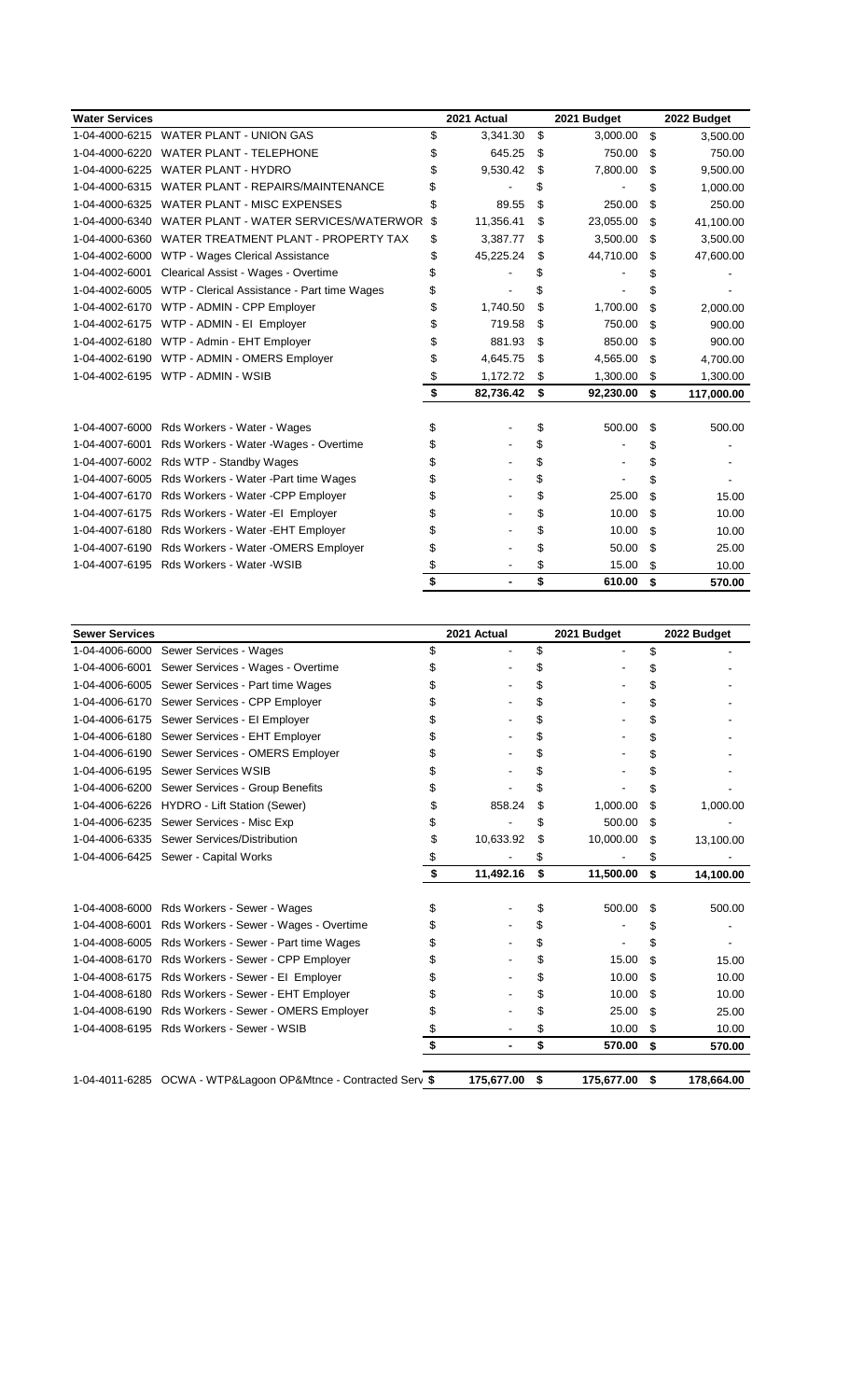| <b>Water Services</b> |                                             | 2021 Actual     | 2021 Budget     | 2022 Budget      |
|-----------------------|---------------------------------------------|-----------------|-----------------|------------------|
| 1-04-4000-6215        | <b>WATER PLANT - UNION GAS</b>              | \$<br>3,341.30  | \$<br>3,000.00  | \$<br>3,500.00   |
| 1-04-4000-6220        | <b>WATER PLANT - TELEPHONE</b>              | \$<br>645.25    | \$<br>750.00    | \$<br>750.00     |
| 1-04-4000-6225        | <b>WATER PLANT - HYDRO</b>                  | \$<br>9,530.42  | \$<br>7,800.00  | \$<br>9,500.00   |
| 1-04-4000-6315        | <b>WATER PLANT - REPAIRS/MAINTENANCE</b>    | \$              | \$              | \$<br>1,000.00   |
| 1-04-4000-6325        | <b>WATER PLANT - MISC EXPENSES</b>          | \$<br>89.55     | \$<br>250.00    | \$<br>250.00     |
| 1-04-4000-6340        | WATER PLANT - WATER SERVICES/WATERWOR       | \$<br>11,356.41 | \$<br>23,055.00 | \$<br>41,100.00  |
| 1-04-4000-6360        | WATER TREATMENT PLANT - PROPERTY TAX        | \$<br>3,387.77  | \$<br>3,500.00  | \$<br>3,500.00   |
| 1-04-4002-6000        | WTP - Wages Clerical Assistance             | \$<br>45,225.24 | \$<br>44,710.00 | \$<br>47,600.00  |
| 1-04-4002-6001        | Clearical Assist - Wages - Overtime         |                 |                 |                  |
| 1-04-4002-6005        | WTP - Clerical Assistance - Part time Wages |                 |                 |                  |
| 1-04-4002-6170        | WTP - ADMIN - CPP Employer                  | \$<br>1.740.50  | \$<br>1,700.00  | \$<br>2,000.00   |
| 1-04-4002-6175        | WTP - ADMIN - EI Employer                   | \$<br>719.58    | \$<br>750.00    | \$<br>900.00     |
| 1-04-4002-6180        | WTP - Admin - EHT Employer                  | \$<br>881.93    | \$<br>850.00    | \$<br>900.00     |
| 1-04-4002-6190        | WTP - ADMIN - OMERS Employer                | \$<br>4,645.75  | \$<br>4,565.00  | \$<br>4,700.00   |
| 1-04-4002-6195        | WTP - ADMIN - WSIB                          | \$<br>1,172.72  | \$<br>1,300.00  | \$<br>1,300.00   |
|                       |                                             | \$<br>82,736.42 | \$<br>92,230.00 | \$<br>117,000.00 |
|                       |                                             |                 |                 |                  |
| 1-04-4007-6000        | Rds Workers - Water - Wages                 | \$              | \$<br>500.00    | \$<br>500.00     |
| 1-04-4007-6001        | Rds Workers - Water - Wages - Overtime      |                 | \$              | \$               |
| 1-04-4007-6002        | Rds WTP - Standby Wages                     |                 | \$              | \$               |
| 1-04-4007-6005        | Rds Workers - Water - Part time Wages       |                 | \$              | \$               |
| 1-04-4007-6170        | Rds Workers - Water - CPP Employer          |                 | \$<br>25.00     | \$<br>15.00      |
| 1-04-4007-6175        | Rds Workers - Water - El Employer           |                 | \$<br>10.00     | \$<br>10.00      |
| 1-04-4007-6180        | Rds Workers - Water - EHT Employer          |                 | \$<br>10.00     | \$<br>10.00      |
| 1-04-4007-6190        | Rds Workers - Water - OMERS Employer        |                 | \$<br>50.00     | \$<br>25.00      |
| 1-04-4007-6195        | Rds Workers - Water - WSIB                  |                 | \$<br>15.00     | \$<br>10.00      |
|                       |                                             |                 | \$<br>610.00    | \$<br>570.00     |

| <b>Sewer Services</b> |                                                                | 2021 Actual          |    | 2021 Budget |    | 2022 Budget |
|-----------------------|----------------------------------------------------------------|----------------------|----|-------------|----|-------------|
| 1-04-4006-6000        | Sewer Services - Wages                                         | \$                   | \$ |             | \$ |             |
| 1-04-4006-6001        | Sewer Services - Wages - Overtime                              |                      | \$ |             | \$ |             |
| 1-04-4006-6005        | Sewer Services - Part time Wages                               |                      | \$ |             | \$ |             |
| 1-04-4006-6170        | Sewer Services - CPP Employer                                  |                      | \$ |             | \$ |             |
| 1-04-4006-6175        | Sewer Services - El Employer                                   |                      | \$ |             | \$ |             |
| 1-04-4006-6180        | Sewer Services - EHT Employer                                  |                      | \$ |             | \$ |             |
| 1-04-4006-6190        | Sewer Services - OMERS Employer                                |                      | \$ |             | \$ |             |
| 1-04-4006-6195        | <b>Sewer Services WSIB</b>                                     |                      |    |             | \$ |             |
| 1-04-4006-6200        | Sewer Services - Group Benefits                                |                      |    |             | S  |             |
| 1-04-4006-6226        | HYDRO - Lift Station (Sewer)                                   | \$<br>858.24         | \$ | 1,000.00    | \$ | 1,000.00    |
| 1-04-4006-6235        | Sewer Services - Misc Exp                                      |                      | \$ | 500.00      | \$ |             |
| 1-04-4006-6335        | Sewer Services/Distribution                                    | \$<br>10,633.92      | \$ | 10,000.00   | \$ | 13,100.00   |
| 1-04-4006-6425        | Sewer - Capital Works                                          | \$                   | \$ |             | S  |             |
|                       |                                                                | \$<br>11,492.16      | \$ | 11,500.00   | \$ | 14,100.00   |
|                       |                                                                |                      |    |             |    |             |
| 1-04-4008-6000        | Rds Workers - Sewer - Wages                                    | \$                   | \$ | 500.00      | \$ | 500.00      |
| 1-04-4008-6001        | Rds Workers - Sewer - Wages - Overtime                         |                      | \$ |             | \$ |             |
| 1-04-4008-6005        | Rds Workers - Sewer - Part time Wages                          |                      | \$ |             | \$ |             |
| 1-04-4008-6170        | Rds Workers - Sewer - CPP Employer                             |                      | S  | 15.00       | \$ | 15.00       |
| 1-04-4008-6175        | Rds Workers - Sewer - El Employer                              |                      | \$ | 10.00       | \$ | 10.00       |
| 1-04-4008-6180        | Rds Workers - Sewer - EHT Employer                             |                      |    | 10.00       | \$ | 10.00       |
| 1-04-4008-6190        | Rds Workers - Sewer - OMERS Employer                           |                      | S  | 25.00       | \$ | 25.00       |
| 1-04-4008-6195        | Rds Workers - Sewer - WSIB                                     |                      | \$ | 10.00       | \$ | 10.00       |
|                       |                                                                | \$<br>$\blacksquare$ | \$ | 570.00      | \$ | 570.00      |
|                       |                                                                |                      |    |             |    |             |
|                       | 1-04-4011-6285 OCWA - WTP&Lagoon OP&Mtnce - Contracted Serv \$ | 175,677.00           | \$ | 175,677.00  | \$ | 178,664.00  |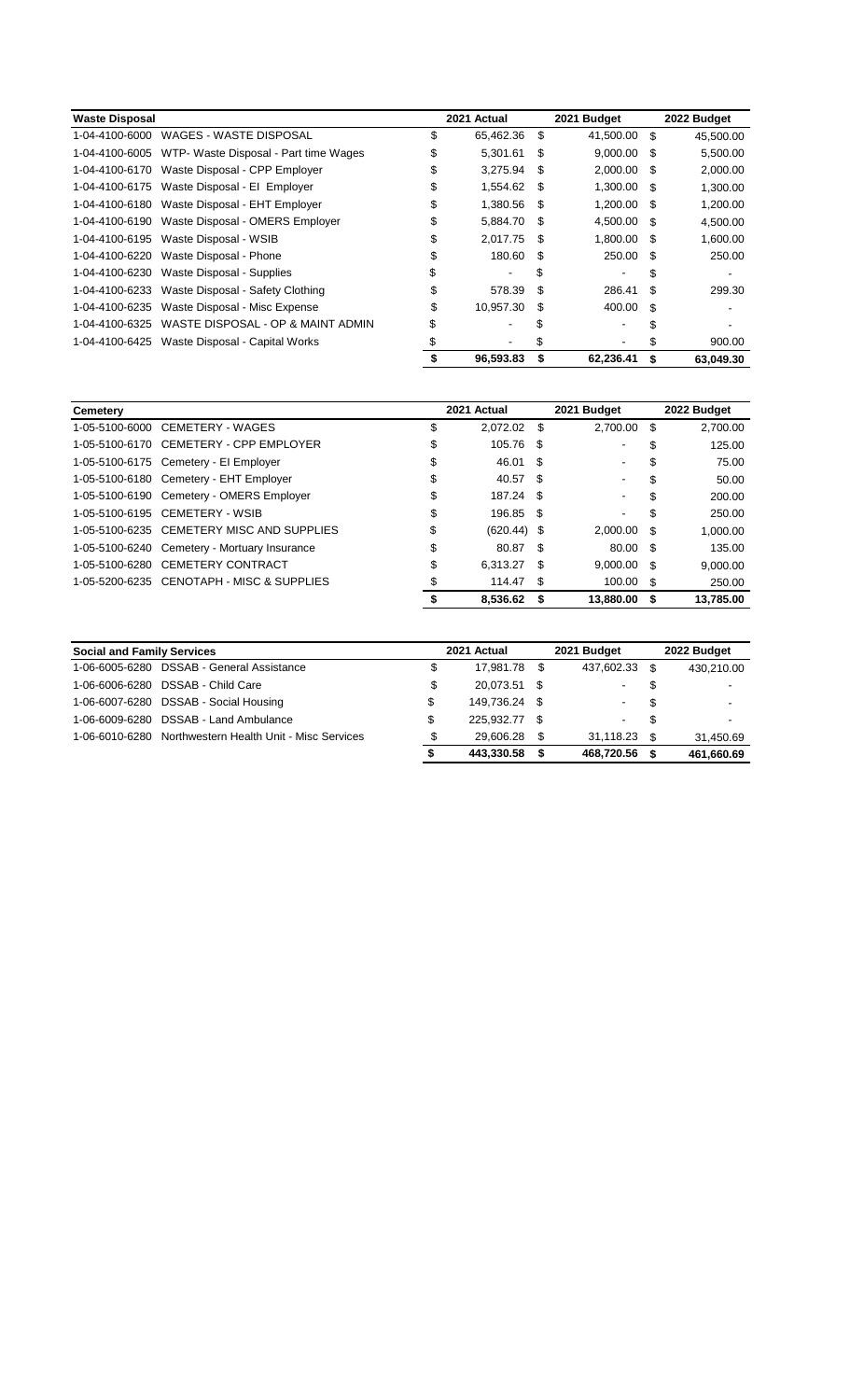| <b>Waste Disposal</b> |                                                      |    | 2021 Actual |      | 2021 Budget  |     | 2022 Budget |
|-----------------------|------------------------------------------------------|----|-------------|------|--------------|-----|-------------|
| 1-04-4100-6000        | WAGES - WASTE DISPOSAL                               | \$ | 65,462.36   | \$   | 41,500.00 \$ |     | 45,500.00   |
|                       | 1-04-4100-6005 WTP- Waste Disposal - Part time Wages | \$ | 5,301.61    | S    | 9,000.00     | \$. | 5,500.00    |
|                       | 1-04-4100-6170 Waste Disposal - CPP Employer         | S  | 3.275.94    | \$   | 2,000.00 \$  |     | 2,000.00    |
|                       | 1-04-4100-6175 Waste Disposal - El Employer          | \$ | 1,554.62    | - \$ | 1,300.00 \$  |     | 1,300.00    |
|                       | 1-04-4100-6180 Waste Disposal - EHT Employer         | \$ | 1,380.56    | - \$ | 1,200.00 \$  |     | 1,200.00    |
|                       | 1-04-4100-6190 Waste Disposal - OMERS Employer       | \$ | 5,884.70    | \$   | 4,500.00 \$  |     | 4,500.00    |
|                       | 1-04-4100-6195 Waste Disposal - WSIB                 | S  | 2.017.75    | \$   | 1,800.00 \$  |     | 1,600.00    |
|                       | 1-04-4100-6220 Waste Disposal - Phone                |    | 180.60      | \$.  | 250.00 \$    |     | 250.00      |
|                       | 1-04-4100-6230 Waste Disposal - Supplies             |    | ۰           | \$   |              | S   |             |
|                       | 1-04-4100-6233 Waste Disposal - Safety Clothing      |    | 578.39      | S    | 286.41       | S   | 299.30      |
| 1-04-4100-6235        | Waste Disposal - Misc Expense                        | \$ | 10,957.30   | S    | 400.00       | \$. |             |
| 1-04-4100-6325        | WASTE DISPOSAL - OP & MAINT ADMIN                    |    |             |      |              |     |             |
| 1-04-4100-6425        | Waste Disposal - Capital Works                       |    |             |      |              |     | 900.00      |
|                       |                                                      |    | 96,593.83   |      | 62,236.41    | S   | 63.049.30   |

| Cemetery       |                                              | 2021 Actual         |      | 2021 Budget    |    | 2022 Budget |
|----------------|----------------------------------------------|---------------------|------|----------------|----|-------------|
| 1-05-5100-6000 | CEMETERY - WAGES                             | \$<br>2,072.02      | - \$ | 2,700.00       | S  | 2,700.00    |
|                | 1-05-5100-6170 CEMETERY - CPP EMPLOYER       | \$<br>105.76        | - \$ | $\blacksquare$ | \$ | 125.00      |
|                | 1-05-5100-6175 Cemetery - El Employer        | \$<br>46.01         | -S   | ۰.             | S  | 75.00       |
|                | 1-05-5100-6180 Cemetery - EHT Employer       | \$<br>40.57         | - \$ | ۰.             | S  | 50.00       |
|                | 1-05-5100-6190 Cemetery - OMERS Employer     | \$<br>187.24        | - \$ | $\sim$         | \$ | 200.00      |
|                | 1-05-5100-6195 CEMETERY - WSIB               | \$<br>196.85        | - \$ |                | \$ | 250.00      |
|                | 1-05-5100-6235 CEMETERY MISC AND SUPPLIES    | \$<br>$(620.44)$ \$ |      | 2,000.00 \$    |    | 1,000.00    |
|                | 1-05-5100-6240 Cemetery - Mortuary Insurance | \$<br>80.87         | - \$ | 80.00 \$       |    | 135.00      |
|                | 1-05-5100-6280 CEMETERY CONTRACT             | \$<br>6.313.27      | - \$ | $9,000.00$ \$  |    | 9,000.00    |
|                | 1-05-5200-6235 CENOTAPH - MISC & SUPPLIES    | 114.47              | -\$  | 100.00 \$      |    | 250.00      |
|                |                                              | 8.536.62            | - \$ | 13.880.00      | S. | 13.785.00   |

| <b>Social and Family Services</b> |                                                         |    | 2021 Actual   |      | 2021 Budget    |    | 2022 Budget              |
|-----------------------------------|---------------------------------------------------------|----|---------------|------|----------------|----|--------------------------|
|                                   | 1-06-6005-6280 DSSAB - General Assistance               | \$ | 17.981.78 \$  |      | 437,602.33 \$  |    | 430.210.00               |
|                                   | 1-06-6006-6280 DSSAB - Child Care                       | \$ | 20.073.51 \$  |      | $\sim$         | S  | $\blacksquare$           |
|                                   | 1-06-6007-6280 DSSAB - Social Housing                   | \$ | 149.736.24 \$ |      | $\sim 100$     | \$ | $\overline{a}$           |
|                                   | 1-06-6009-6280 DSSAB - Land Ambulance                   | \$ | 225.932.77    | - \$ | $\sim 100$     | \$ | $\overline{\phantom{a}}$ |
|                                   | 1-06-6010-6280 Northwestern Health Unit - Misc Services | S  | 29.606.28     | - \$ | $31.118.23$ \$ |    | 31.450.69                |
|                                   |                                                         |    | 443.330.58    | - \$ | 468.720.56     | \$ | 461,660.69               |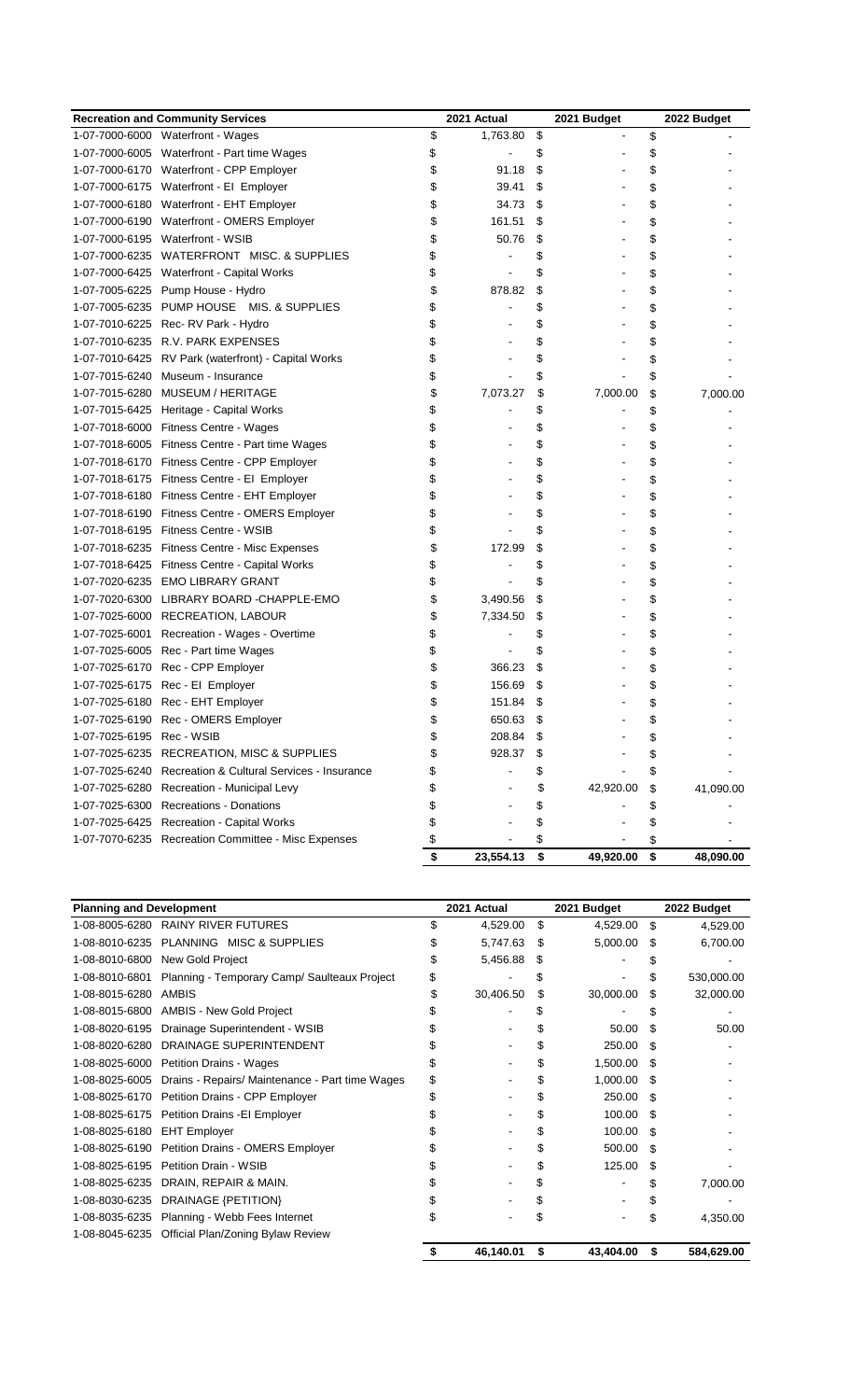|                           | <b>Recreation and Community Services</b>                  | 2021 Actual          | 2021 Budget        | 2022 Budget     |
|---------------------------|-----------------------------------------------------------|----------------------|--------------------|-----------------|
|                           | 1-07-7000-6000 Waterfront - Wages                         | \$<br>1,763.80       | \$                 | \$              |
|                           | 1-07-7000-6005 Waterfront - Part time Wages               | \$                   | \$                 | \$              |
|                           | 1-07-7000-6170 Waterfront - CPP Employer                  | \$<br>91.18          | \$                 | \$              |
|                           | 1-07-7000-6175 Waterfront - El Employer                   | \$<br>39.41          | \$                 | \$              |
|                           | 1-07-7000-6180 Waterfront - EHT Employer                  | \$<br>34.73          | \$                 | \$              |
|                           | 1-07-7000-6190 Waterfront - OMERS Employer                | \$<br>161.51         | \$                 | \$              |
|                           | 1-07-7000-6195 Waterfront - WSIB                          | \$<br>50.76          | \$                 | \$              |
|                           | 1-07-7000-6235 WATERFRONT MISC. & SUPPLIES                | \$                   | \$                 | \$              |
|                           | 1-07-7000-6425 Waterfront - Capital Works                 | \$                   | \$                 | \$              |
|                           | 1-07-7005-6225 Pump House - Hydro                         | \$<br>878.82         | \$                 | \$              |
|                           | 1-07-7005-6235 PUMP HOUSE MIS, & SUPPLIES                 | \$                   | \$                 | \$              |
|                           | 1-07-7010-6225 Rec-RV Park - Hydro                        | \$                   | \$                 | \$              |
|                           | 1-07-7010-6235 R.V. PARK EXPENSES                         | \$                   | \$                 | \$              |
|                           | 1-07-7010-6425 RV Park (waterfront) - Capital Works       | \$                   | \$                 | \$              |
|                           | 1-07-7015-6240 Museum - Insurance                         | \$                   | \$                 | \$              |
|                           | 1-07-7015-6280 MUSEUM / HERITAGE                          | \$<br>7,073.27       | \$<br>7,000.00     | \$<br>7,000.00  |
|                           | 1-07-7015-6425 Heritage - Capital Works                   | \$                   | \$                 | \$              |
|                           | 1-07-7018-6000 Fitness Centre - Wages                     | \$                   | \$                 |                 |
|                           | 1-07-7018-6005 Fitness Centre - Part time Wages           | \$                   | \$                 | \$              |
|                           | 1-07-7018-6170 Fitness Centre - CPP Employer              | \$                   | \$                 | \$              |
|                           | 1-07-7018-6175 Fitness Centre - El Employer               | \$                   | \$                 | \$              |
|                           | 1-07-7018-6180 Fitness Centre - EHT Employer              | \$                   | \$                 | \$              |
|                           | 1-07-7018-6190 Fitness Centre - OMERS Employer            | \$                   | \$                 | \$              |
|                           | 1-07-7018-6195 Fitness Centre - WSIB                      | \$                   | \$                 | \$              |
|                           | 1-07-7018-6235 Fitness Centre - Misc Expenses             | \$<br>172.99         | \$                 | \$              |
|                           | 1-07-7018-6425 Fitness Centre - Capital Works             | \$                   | \$                 | \$              |
|                           | 1-07-7020-6235 EMO LIBRARY GRANT                          | \$                   | \$                 | \$              |
|                           | 1-07-7020-6300 LIBRARY BOARD -CHAPPLE-EMO                 | \$<br>3,490.56       | \$                 | \$              |
|                           | 1-07-7025-6000 RECREATION, LABOUR                         | \$<br>7,334.50       | \$                 | \$              |
|                           | 1-07-7025-6001 Recreation - Wages - Overtime              | \$                   | \$                 | \$              |
|                           | 1-07-7025-6005 Rec - Part time Wages                      | \$<br>$\blacksquare$ | \$                 | \$              |
|                           | 1-07-7025-6170 Rec - CPP Employer                         | \$<br>366.23         | \$                 | \$              |
|                           | 1-07-7025-6175 Rec - El Employer                          | \$<br>156.69         | \$                 | \$              |
|                           | 1-07-7025-6180 Rec - EHT Employer                         | \$<br>151.84         | \$                 | \$              |
|                           | 1-07-7025-6190 Rec - OMERS Employer                       | \$<br>650.63         | \$                 | \$              |
| 1-07-7025-6195 Rec - WSIB |                                                           | \$<br>208.84         | \$                 |                 |
|                           | 1-07-7025-6235 RECREATION, MISC & SUPPLIES                | \$<br>928.37         |                    |                 |
|                           | 1-07-7025-6240 Recreation & Cultural Services - Insurance | \$                   | \$                 | \$              |
|                           | 1-07-7025-6280 Recreation - Municipal Levy                | \$                   | \$<br>42,920.00    | \$<br>41,090.00 |
|                           | 1-07-7025-6300 Recreations - Donations                    | \$                   | \$                 | \$              |
|                           | 1-07-7025-6425 Recreation - Capital Works                 | \$                   | \$                 |                 |
|                           | 1-07-7070-6235 Recreation Committee - Misc Expenses       | \$                   | \$                 | \$              |
|                           |                                                           | \$<br>23,554.13      | \$<br>49,920.00 \$ | 48,090.00       |

| <b>Planning and Development</b> |                                                 | 2021 Actual |           |    | 2021 Budget |     | 2022 Budget |  |
|---------------------------------|-------------------------------------------------|-------------|-----------|----|-------------|-----|-------------|--|
| 1-08-8005-6280                  | <b>RAINY RIVER FUTURES</b>                      | \$          | 4,529.00  | \$ | 4.529.00    | \$  | 4,529.00    |  |
| 1-08-8010-6235                  | PLANNING MISC & SUPPLIES                        |             | 5,747.63  | S  | 5,000.00    | \$  | 6,700.00    |  |
| 1-08-8010-6800                  | New Gold Project                                | S           | 5,456.88  | S. |             |     |             |  |
| 1-08-8010-6801                  | Planning - Temporary Camp/ Saulteaux Project    |             |           | S  |             |     | 530,000.00  |  |
| 1-08-8015-6280                  | AMBIS                                           | \$          | 30,406.50 | \$ | 30,000.00   | S   | 32,000.00   |  |
| 1-08-8015-6800                  | <b>AMBIS - New Gold Project</b>                 |             |           |    |             |     |             |  |
| 1-08-8020-6195                  | Drainage Superintendent - WSIB                  |             |           |    | 50.00       | \$  | 50.00       |  |
| 1-08-8020-6280                  | DRAINAGE SUPERINTENDENT                         |             |           | S  | 250.00      | \$  |             |  |
| 1-08-8025-6000                  | <b>Petition Drains - Wages</b>                  |             |           | \$ | 1,500.00    | \$. |             |  |
| 1-08-8025-6005                  | Drains - Repairs/ Maintenance - Part time Wages | \$          |           | \$ | 1,000.00    | S   |             |  |
| 1-08-8025-6170                  | Petition Drains - CPP Employer                  |             |           | \$ | 250.00      | \$. |             |  |
| 1-08-8025-6175                  | Petition Drains - El Employer                   |             |           | \$ | 100.00      | S   |             |  |
| 1-08-8025-6180                  | <b>EHT Employer</b>                             |             |           |    | 100.00      | \$. |             |  |
| 1-08-8025-6190                  | Petition Drains - OMERS Employer                |             |           | \$ | 500.00      | \$  |             |  |
| 1-08-8025-6195                  | Petition Drain - WSIB                           |             |           | \$ | 125.00      | \$  |             |  |
| 1-08-8025-6235                  | DRAIN, REPAIR & MAIN.                           |             |           |    |             |     | 7,000.00    |  |
| 1-08-8030-6235                  | <b>DRAINAGE {PETITION}</b>                      |             |           |    |             |     |             |  |
| 1-08-8035-6235                  | Planning - Webb Fees Internet                   | \$          |           |    |             | \$  | 4,350.00    |  |
| 1-08-8045-6235                  | Official Plan/Zoning Bylaw Review               |             |           |    |             |     |             |  |
|                                 |                                                 | S           | 46,140.01 | \$ | 43,404.00   | \$  | 584,629.00  |  |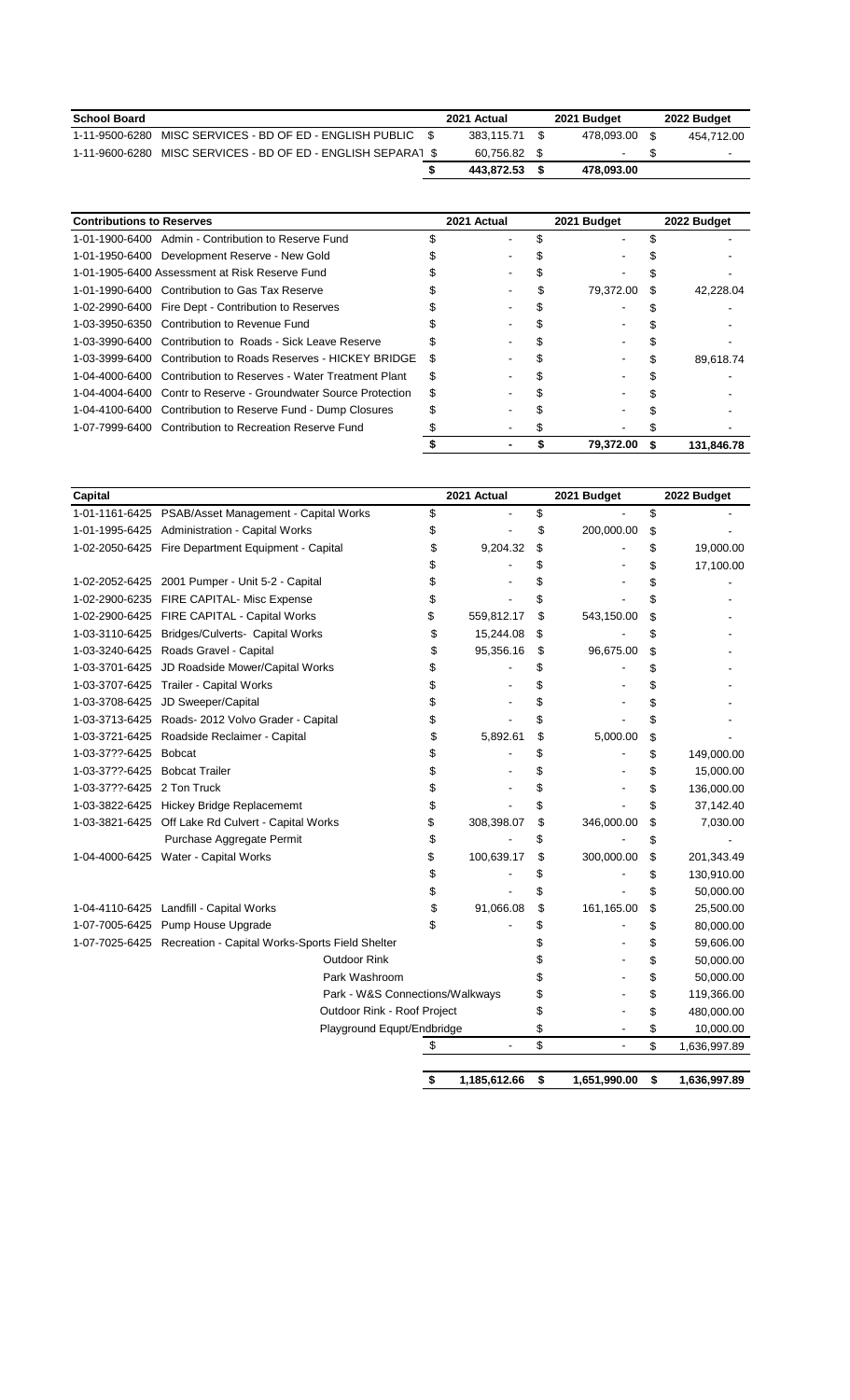| <b>School Board</b> |                                               | 2021 Actual |      | 2021 Budget |  | 2022 Budget    |
|---------------------|-----------------------------------------------|-------------|------|-------------|--|----------------|
| 1-11-9500-6280      | MISC SERVICES - BD OF ED - ENGLISH PUBLIC     | 383.115.71  | - \$ | 478.093.00  |  | 454.712.00     |
| 1-11-9600-6280      | MISC SERVICES - BD OF ED - ENGLISH SEPARAT \$ | 60.756.82   |      | ۰           |  | $\blacksquare$ |
|                     |                                               | 443.872.53  |      | 478.093.00  |  |                |
|                     |                                               |             |      |             |  |                |

| <b>Contributions to Reserves</b> |                                                                 | 2021 Actual |  | 2021 Budget |           |   | 2022 Budget |  |  |
|----------------------------------|-----------------------------------------------------------------|-------------|--|-------------|-----------|---|-------------|--|--|
|                                  | 1-01-1900-6400 Admin - Contribution to Reserve Fund             |             |  |             |           |   |             |  |  |
|                                  | 1-01-1950-6400 Development Reserve - New Gold                   |             |  |             |           |   |             |  |  |
|                                  | 1-01-1905-6400 Assessment at Risk Reserve Fund                  |             |  |             |           |   |             |  |  |
|                                  | 1-01-1990-6400 Contribution to Gas Tax Reserve                  |             |  |             | 79.372.00 | S | 42.228.04   |  |  |
|                                  | 1-02-2990-6400 Fire Dept - Contribution to Reserves             |             |  |             |           |   |             |  |  |
|                                  | 1-03-3950-6350 Contribution to Revenue Fund                     |             |  |             |           |   |             |  |  |
|                                  | 1-03-3990-6400 Contribution to Roads - Sick Leave Reserve       |             |  |             |           |   |             |  |  |
| 1-03-3999-6400                   | Contribution to Roads Reserves - HICKEY BRIDGE                  | S           |  |             |           |   | 89.618.74   |  |  |
|                                  | 1-04-4000-6400 Contribution to Reserves - Water Treatment Plant | S           |  |             |           |   |             |  |  |
|                                  | 1-04-4004-6400 Contr to Reserve - Groundwater Source Protection |             |  |             |           |   |             |  |  |
|                                  | 1-04-4100-6400 Contribution to Reserve Fund - Dump Closures     |             |  |             |           |   |             |  |  |
|                                  | 1-07-7999-6400 Contribution to Recreation Reserve Fund          |             |  |             |           |   |             |  |  |
|                                  |                                                                 |             |  |             | 79.372.00 |   | 131.846.78  |  |  |

| Capital                    |                                                                | 2021 Actual        | 2021 Budget        | 2022 Budget        |
|----------------------------|----------------------------------------------------------------|--------------------|--------------------|--------------------|
|                            | 1-01-1161-6425 PSAB/Asset Management - Capital Works           | \$                 | \$                 | \$                 |
|                            | 1-01-1995-6425 Administration - Capital Works                  | \$                 | \$<br>200,000.00   | \$                 |
|                            | 1-02-2050-6425 Fire Department Equipment - Capital             | \$<br>9,204.32     | \$                 | \$<br>19,000.00    |
|                            |                                                                | \$                 | \$                 | \$<br>17,100.00    |
|                            | 1-02-2052-6425 2001 Pumper - Unit 5-2 - Capital                |                    |                    | \$                 |
|                            | 1-02-2900-6235 FIRE CAPITAL- Misc Expense                      | \$                 | \$                 | \$                 |
|                            | 1-02-2900-6425 FIRE CAPITAL - Capital Works                    | \$<br>559,812.17   | \$<br>543,150.00   | \$                 |
| 1-03-3110-6425             | Bridges/Culverts- Capital Works                                | \$<br>15,244.08    | \$                 | \$                 |
|                            | 1-03-3240-6425 Roads Gravel - Capital                          | \$<br>95,356.16    | \$<br>96,675.00    | \$                 |
| 1-03-3701-6425             | JD Roadside Mower/Capital Works                                | \$                 | \$                 | \$                 |
| 1-03-3707-6425             | Trailer - Capital Works                                        | \$                 | \$                 | \$                 |
| 1-03-3708-6425             | JD Sweeper/Capital                                             | \$                 | \$                 | \$                 |
|                            | 1-03-3713-6425 Roads- 2012 Volvo Grader - Capital              | \$                 | \$                 | \$                 |
| 1-03-3721-6425             | Roadside Reclaimer - Capital                                   | \$<br>5,892.61     | \$<br>5,000.00     | \$                 |
| 1-03-37??-6425             | <b>Bobcat</b>                                                  | \$                 | \$                 | \$<br>149,000.00   |
| 1-03-37??-6425             | <b>Bobcat Trailer</b>                                          | \$                 | \$                 | \$<br>15,000.00    |
| 1-03-37??-6425 2 Ton Truck |                                                                | \$                 | \$                 | \$<br>136,000.00   |
|                            | 1-03-3822-6425 Hickey Bridge Replacememt                       | \$                 | \$                 | \$<br>37,142.40    |
|                            | 1-03-3821-6425 Off Lake Rd Culvert - Capital Works             | \$<br>308,398.07   | \$<br>346,000.00   | \$<br>7,030.00     |
|                            | Purchase Aggregate Permit                                      | \$                 | \$                 | \$                 |
|                            | 1-04-4000-6425 Water - Capital Works                           | \$<br>100,639.17   | \$<br>300,000.00   | \$<br>201,343.49   |
|                            |                                                                | \$                 | \$                 | \$<br>130,910.00   |
|                            |                                                                | \$                 | \$                 | \$<br>50,000.00    |
|                            | 1-04-4110-6425 Landfill - Capital Works                        | \$<br>91,066.08    | \$<br>161,165.00   | \$<br>25,500.00    |
|                            | 1-07-7005-6425 Pump House Upgrade                              | \$                 | \$                 | \$<br>80,000.00    |
|                            | 1-07-7025-6425 Recreation - Capital Works-Sports Field Shelter |                    | \$                 | \$<br>59,606.00    |
|                            | <b>Outdoor Rink</b>                                            |                    | \$                 | \$<br>50,000.00    |
|                            | Park Washroom                                                  |                    | \$                 | \$<br>50,000.00    |
|                            | Park - W&S Connections/Walkways                                |                    | \$                 | \$<br>119,366.00   |
|                            | Outdoor Rink - Roof Project                                    |                    | \$                 | \$<br>480,000.00   |
|                            | Playground Equpt/Endbridge                                     |                    | \$                 | \$<br>10,000.00    |
|                            |                                                                |                    | \$                 | \$<br>1,636,997.89 |
|                            |                                                                |                    |                    |                    |
|                            |                                                                | \$<br>1,185,612.66 | \$<br>1,651,990.00 | \$<br>1,636,997.89 |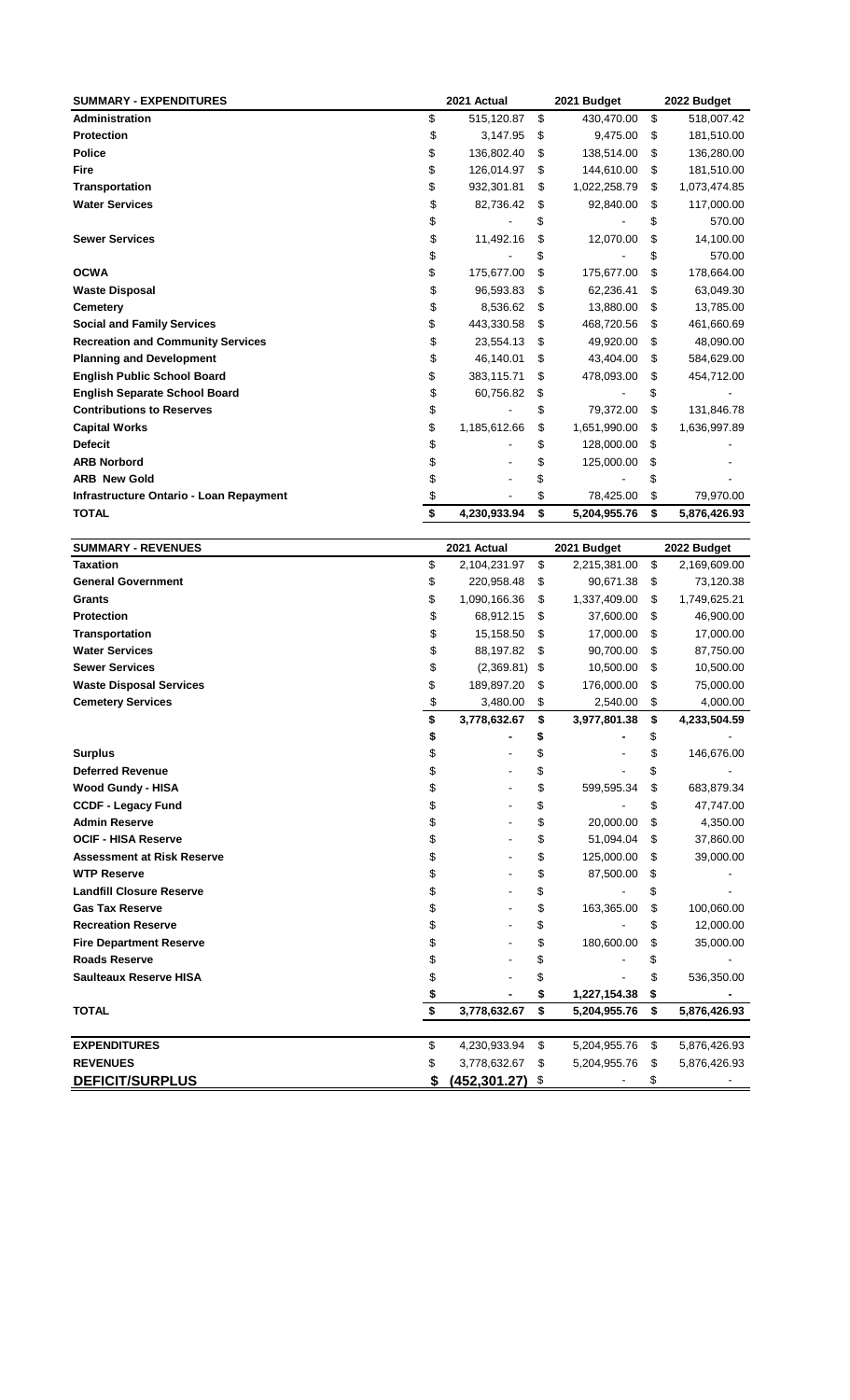| <b>SUMMARY - EXPENDITURES</b>                  | 2021 Actual |              |    | 2021 Budget  | 2022 Budget |              |  |
|------------------------------------------------|-------------|--------------|----|--------------|-------------|--------------|--|
| <b>Administration</b>                          | \$          | 515,120.87   | \$ | 430,470.00   | \$          | 518,007.42   |  |
| <b>Protection</b>                              | \$          | 3,147.95     | \$ | 9,475.00     | \$          | 181,510.00   |  |
| <b>Police</b>                                  | \$          | 136,802.40   | \$ | 138,514.00   | \$          | 136,280.00   |  |
| Fire                                           | \$          | 126,014.97   | \$ | 144,610.00   | \$          | 181,510.00   |  |
| <b>Transportation</b>                          | \$          | 932,301.81   | \$ | 1,022,258.79 | \$          | 1,073,474.85 |  |
| <b>Water Services</b>                          | \$          | 82,736.42    | \$ | 92,840.00    | \$          | 117,000.00   |  |
|                                                |             |              | \$ |              | \$          | 570.00       |  |
| <b>Sewer Services</b>                          | \$          | 11,492.16    | \$ | 12,070.00    | \$          | 14,100.00    |  |
|                                                | \$          |              | S  |              | \$          | 570.00       |  |
| <b>OCWA</b>                                    | \$          | 175,677.00   | \$ | 175,677.00   | \$          | 178,664.00   |  |
| <b>Waste Disposal</b>                          | \$          | 96,593.83    | \$ | 62,236.41    | \$          | 63,049.30    |  |
| <b>Cemetery</b>                                | \$          | 8,536.62     | \$ | 13,880.00    | S           | 13,785.00    |  |
| <b>Social and Family Services</b>              | \$          | 443,330.58   | \$ | 468,720.56   | \$          | 461,660.69   |  |
| <b>Recreation and Community Services</b>       | \$          | 23,554.13    | \$ | 49,920.00    | \$          | 48,090.00    |  |
| <b>Planning and Development</b>                | \$          | 46,140.01    | \$ | 43,404.00    | \$          | 584,629.00   |  |
| <b>English Public School Board</b>             | \$          | 383,115.71   | \$ | 478,093.00   | \$          | 454,712.00   |  |
| <b>English Separate School Board</b>           | \$          | 60,756.82    | \$ |              | S           |              |  |
| <b>Contributions to Reserves</b>               | \$          |              | \$ | 79,372.00    | \$          | 131,846.78   |  |
| <b>Capital Works</b>                           | \$          | 1,185,612.66 | \$ | 1,651,990.00 | \$          | 1,636,997.89 |  |
| <b>Defecit</b>                                 | \$          |              | \$ | 128,000.00   | \$          |              |  |
| <b>ARB Norbord</b>                             |             |              | \$ | 125,000.00   | \$          |              |  |
| <b>ARB New Gold</b>                            |             |              |    |              |             |              |  |
| <b>Infrastructure Ontario - Loan Repayment</b> |             |              | \$ | 78,425.00    | \$          | 79,970.00    |  |
| <b>TOTAL</b>                                   | \$          | 4,230,933.94 | \$ | 5,204,955.76 | \$          | 5,876,426.93 |  |

| <b>SUMMARY - REVENUES</b>         | 2021 Actual        | 2021 Budget        | 2022 Budget        |
|-----------------------------------|--------------------|--------------------|--------------------|
| <b>Taxation</b>                   | \$<br>2,104,231.97 | \$<br>2,215,381.00 | \$<br>2,169,609.00 |
| <b>General Government</b>         | \$<br>220,958.48   | \$<br>90,671.38    | \$<br>73,120.38    |
| Grants                            | \$<br>1,090,166.36 | \$<br>1,337,409.00 | \$<br>1,749,625.21 |
| <b>Protection</b>                 | \$<br>68,912.15    | \$<br>37,600.00    | \$<br>46,900.00    |
| <b>Transportation</b>             | \$<br>15,158.50    | \$<br>17,000.00    | \$<br>17,000.00    |
| <b>Water Services</b>             | \$<br>88,197.82    | \$<br>90,700.00    | \$<br>87,750.00    |
| <b>Sewer Services</b>             | \$<br>(2,369.81)   | \$<br>10,500.00    | \$<br>10,500.00    |
| <b>Waste Disposal Services</b>    | \$<br>189,897.20   | \$<br>176,000.00   | \$<br>75,000.00    |
| <b>Cemetery Services</b>          | \$<br>3,480.00     | \$<br>2,540.00     | \$<br>4,000.00     |
|                                   | \$<br>3,778,632.67 | \$<br>3,977,801.38 | \$<br>4,233,504.59 |
|                                   | \$                 | \$                 | \$                 |
| <b>Surplus</b>                    | \$                 | \$                 | \$<br>146,676.00   |
| <b>Deferred Revenue</b>           | \$                 | \$                 | \$                 |
| <b>Wood Gundy - HISA</b>          | \$                 | \$<br>599,595.34   | \$<br>683,879.34   |
| <b>CCDF - Legacy Fund</b>         | \$                 | \$                 | \$<br>47,747.00    |
| <b>Admin Reserve</b>              | \$                 | \$<br>20,000.00    | \$<br>4,350.00     |
| <b>OCIF - HISA Reserve</b>        | \$                 | \$<br>51,094.04    | \$<br>37,860.00    |
| <b>Assessment at Risk Reserve</b> | \$                 | \$<br>125,000.00   | \$<br>39,000.00    |
| <b>WTP Reserve</b>                | \$                 | \$<br>87,500.00    | \$                 |
| <b>Landfill Closure Reserve</b>   | \$                 | \$                 | \$                 |
| <b>Gas Tax Reserve</b>            | \$                 | \$<br>163,365.00   | \$<br>100,060.00   |
| <b>Recreation Reserve</b>         | \$                 | \$                 | \$<br>12,000.00    |
| <b>Fire Department Reserve</b>    | \$                 | \$<br>180,600.00   | \$<br>35,000.00    |
| <b>Roads Reserve</b>              | \$                 | \$                 | \$                 |
| <b>Saulteaux Reserve HISA</b>     | \$                 | \$                 | \$<br>536,350.00   |
|                                   |                    | \$<br>1,227,154.38 | \$                 |
| <b>TOTAL</b>                      | \$<br>3,778,632.67 | \$<br>5,204,955.76 | \$<br>5,876,426.93 |
|                                   |                    |                    |                    |
| <b>EXPENDITURES</b>               | \$<br>4,230,933.94 | \$<br>5,204,955.76 | \$<br>5,876,426.93 |
| <b>REVENUES</b>                   | \$<br>3,778,632.67 | \$<br>5,204,955.76 | \$<br>5,876,426.93 |
| <b>DEFICIT/SURPLUS</b>            | (452, 301.27)      | \$                 | \$                 |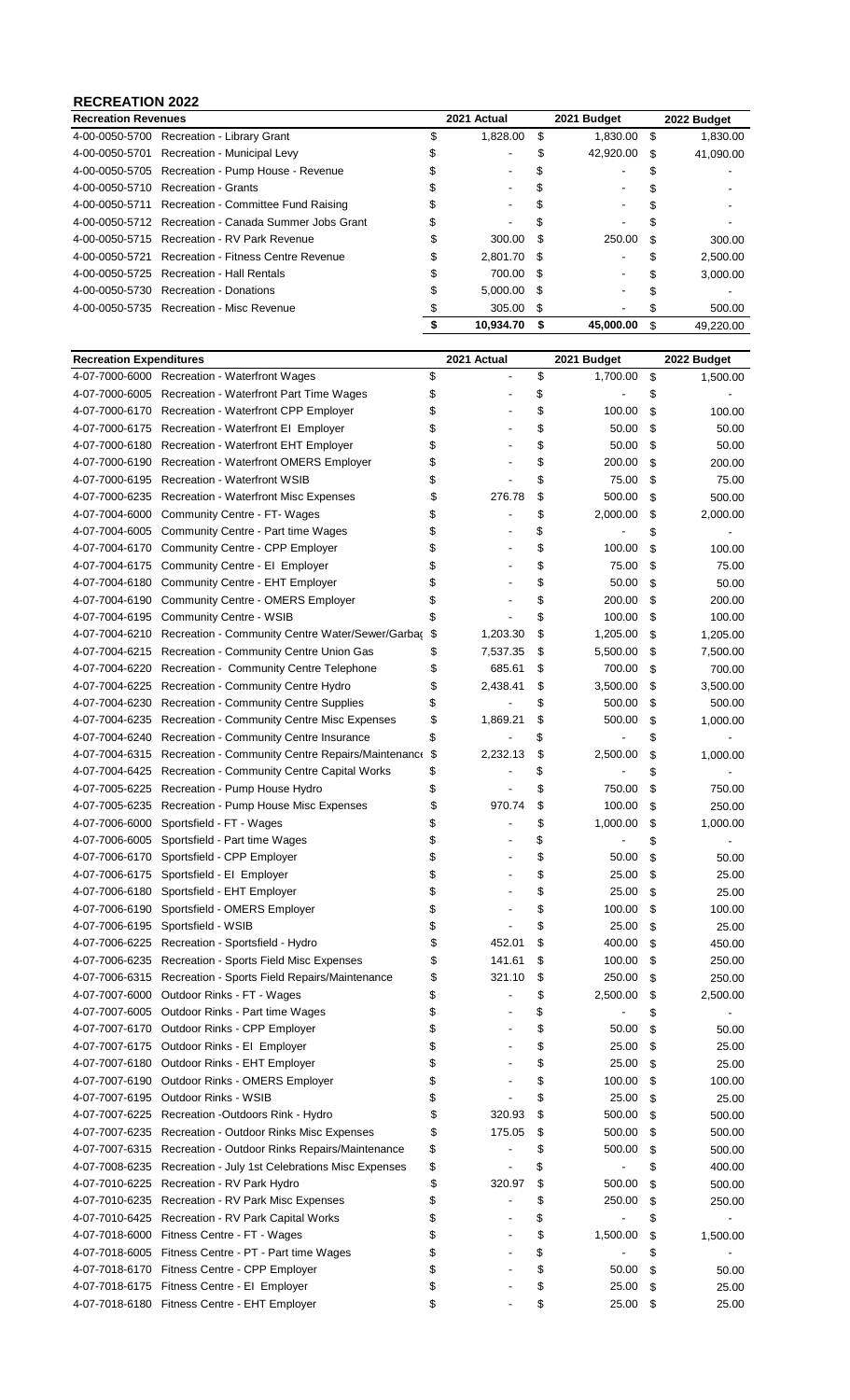### **RECREATION 2022**

|                                                                                                                                                                                                                                                                                                                                                                                                                                                                                                                                                      | 2021 Actual |      | 2021 Budget |     | 2022 Budget |
|------------------------------------------------------------------------------------------------------------------------------------------------------------------------------------------------------------------------------------------------------------------------------------------------------------------------------------------------------------------------------------------------------------------------------------------------------------------------------------------------------------------------------------------------------|-------------|------|-------------|-----|-------------|
|                                                                                                                                                                                                                                                                                                                                                                                                                                                                                                                                                      | 1,828.00    | S    | 1.830.00    | \$. | 1.830.00    |
|                                                                                                                                                                                                                                                                                                                                                                                                                                                                                                                                                      |             |      | 42.920.00   | \$. | 41,090.00   |
|                                                                                                                                                                                                                                                                                                                                                                                                                                                                                                                                                      | ۰           |      |             |     |             |
|                                                                                                                                                                                                                                                                                                                                                                                                                                                                                                                                                      | ۰           |      |             |     |             |
|                                                                                                                                                                                                                                                                                                                                                                                                                                                                                                                                                      |             |      |             |     |             |
|                                                                                                                                                                                                                                                                                                                                                                                                                                                                                                                                                      |             |      |             |     |             |
|                                                                                                                                                                                                                                                                                                                                                                                                                                                                                                                                                      | 300.00      | -S   | 250.00      | £.  | 300.00      |
| S                                                                                                                                                                                                                                                                                                                                                                                                                                                                                                                                                    | 2,801.70    |      |             |     | 2,500.00    |
| S                                                                                                                                                                                                                                                                                                                                                                                                                                                                                                                                                    | 700.00      | - \$ |             |     | 3,000.00    |
|                                                                                                                                                                                                                                                                                                                                                                                                                                                                                                                                                      | 5.000.00    | - \$ |             |     |             |
|                                                                                                                                                                                                                                                                                                                                                                                                                                                                                                                                                      | 305.00      | \$   |             | æ.  | 500.00      |
|                                                                                                                                                                                                                                                                                                                                                                                                                                                                                                                                                      | 10.934.70   |      | 45.000.00   |     | 49.220.00   |
| <b>Recreation Revenues</b><br>4-00-0050-5700 Recreation - Library Grant<br>Recreation - Municipal Levy<br>4-00-0050-5705 Recreation - Pump House - Revenue<br>4-00-0050-5710 Recreation - Grants<br>4-00-0050-5711 Recreation - Committee Fund Raising<br>4-00-0050-5712 Recreation - Canada Summer Jobs Grant<br>4-00-0050-5715 Recreation - RV Park Revenue<br>4-00-0050-5721 Recreation - Fitness Centre Revenue<br>4-00-0050-5725 Recreation - Hall Rentals<br>4-00-0050-5730 Recreation - Donations<br>4-00-0050-5735 Recreation - Misc Revenue |             |      | - \$        |     |             |

| <b>Recreation Expenditures</b> |                                                                                                    |          | 2021 Actual |          | 2021 Budget |          | 2022 Budget    |  |  |
|--------------------------------|----------------------------------------------------------------------------------------------------|----------|-------------|----------|-------------|----------|----------------|--|--|
|                                | 4-07-7000-6000 Recreation - Waterfront Wages                                                       | \$       |             | \$       | 1,700.00    | \$       | 1,500.00       |  |  |
| 4-07-7000-6005                 | Recreation - Waterfront Part Time Wages                                                            | \$       |             | \$       |             | \$       |                |  |  |
| 4-07-7000-6170                 | Recreation - Waterfront CPP Employer                                                               | \$       |             | \$       | 100.00      | \$       | 100.00         |  |  |
| 4-07-7000-6175                 | Recreation - Waterfront El Employer                                                                | \$       |             | \$       | 50.00       | \$       | 50.00          |  |  |
| 4-07-7000-6180                 | Recreation - Waterfront EHT Employer                                                               | \$       |             | \$       | 50.00       | \$       | 50.00          |  |  |
| 4-07-7000-6190                 | Recreation - Waterfront OMERS Employer                                                             | \$       |             | \$       | 200.00      | \$       | 200.00         |  |  |
| 4-07-7000-6195                 | <b>Recreation - Waterfront WSIB</b>                                                                | \$       |             | \$       | 75.00       | \$       | 75.00          |  |  |
| 4-07-7000-6235                 | <b>Recreation - Waterfront Misc Expenses</b>                                                       | \$       | 276.78      | \$       | 500.00      | \$       | 500.00         |  |  |
| 4-07-7004-6000                 | Community Centre - FT-Wages                                                                        | \$       |             | \$       | 2,000.00    | \$       | 2,000.00       |  |  |
| 4-07-7004-6005                 | Community Centre - Part time Wages                                                                 | \$       |             | \$       |             | \$       |                |  |  |
| 4-07-7004-6170                 | Community Centre - CPP Employer                                                                    | \$       |             | \$       | 100.00      | \$       | 100.00         |  |  |
| 4-07-7004-6175                 | Community Centre - EI Employer                                                                     | \$       |             | \$       | 75.00       | \$       | 75.00          |  |  |
| 4-07-7004-6180                 | Community Centre - EHT Employer                                                                    | \$       |             | \$       | 50.00       | \$       | 50.00          |  |  |
| 4-07-7004-6190                 | <b>Community Centre - OMERS Employer</b>                                                           | \$       |             | \$       | 200.00      | \$       | 200.00         |  |  |
| 4-07-7004-6195                 | <b>Community Centre - WSIB</b>                                                                     | \$       |             | \$       | 100.00      | \$       | 100.00         |  |  |
| 4-07-7004-6210                 | Recreation - Community Centre Water/Sewer/Garbag                                                   | \$       | 1,203.30    | \$       | 1,205.00    | \$       | 1,205.00       |  |  |
| 4-07-7004-6215                 | Recreation - Community Centre Union Gas                                                            | \$       | 7,537.35    | \$       | 5,500.00    | \$       | 7,500.00       |  |  |
| 4-07-7004-6220                 | Recreation - Community Centre Telephone                                                            | \$       | 685.61      | \$       | 700.00      | \$       | 700.00         |  |  |
| 4-07-7004-6225                 | Recreation - Community Centre Hydro                                                                | \$       | 2,438.41    | \$       | 3,500.00    | \$       | 3,500.00       |  |  |
| 4-07-7004-6230                 | <b>Recreation - Community Centre Supplies</b>                                                      | \$       |             | \$       | 500.00      | \$       | 500.00         |  |  |
| 4-07-7004-6235                 | Recreation - Community Centre Misc Expenses                                                        | \$       | 1,869.21    | \$       | 500.00      | \$       | 1,000.00       |  |  |
| 4-07-7004-6240                 | Recreation - Community Centre Insurance                                                            | \$       |             | \$       |             | \$       |                |  |  |
| 4-07-7004-6315                 | Recreation - Community Centre Repairs/Maintenance                                                  | \$       | 2,232.13    | \$       | 2,500.00    | \$       | 1,000.00       |  |  |
| 4-07-7004-6425                 | Recreation - Community Centre Capital Works                                                        | \$       |             | \$       |             | \$       |                |  |  |
| 4-07-7005-6225                 | Recreation - Pump House Hydro                                                                      | \$       |             | \$       | 750.00      | \$       | 750.00         |  |  |
| 4-07-7005-6235                 | Recreation - Pump House Misc Expenses                                                              | \$       | 970.74      | \$       | 100.00      | \$       | 250.00         |  |  |
| 4-07-7006-6000                 | Sportsfield - FT - Wages                                                                           | \$       |             | \$       | 1,000.00    | \$       | 1,000.00       |  |  |
| 4-07-7006-6005                 | Sportsfield - Part time Wages                                                                      | \$       |             | \$       |             | \$       |                |  |  |
| 4-07-7006-6170                 | Sportsfield - CPP Employer                                                                         | \$       |             | \$       | 50.00       | \$       | 50.00          |  |  |
| 4-07-7006-6175                 | Sportsfield - El Employer                                                                          | \$       |             | \$       | 25.00       | \$       | 25.00          |  |  |
| 4-07-7006-6180                 | Sportsfield - EHT Employer                                                                         | \$       |             | \$       | 25.00       | \$       | 25.00          |  |  |
| 4-07-7006-6190                 | Sportsfield - OMERS Employer                                                                       | \$       |             | \$       | 100.00      | \$       | 100.00         |  |  |
| 4-07-7006-6195                 | Sportsfield - WSIB                                                                                 | \$       |             | \$       | 25.00       | \$       | 25.00          |  |  |
| 4-07-7006-6225                 | Recreation - Sportsfield - Hydro                                                                   | \$       | 452.01      | \$       | 400.00      | \$       | 450.00         |  |  |
|                                | 4-07-7006-6235 Recreation - Sports Field Misc Expenses                                             | \$       | 141.61      | \$       | 100.00      | \$       | 250.00         |  |  |
|                                | 4-07-7006-6315 Recreation - Sports Field Repairs/Maintenance                                       | \$       | 321.10      | \$       | 250.00      | \$       | 250.00         |  |  |
| 4-07-7007-6000                 | Outdoor Rinks - FT - Wages                                                                         | \$       |             | \$       | 2,500.00    | \$       | 2,500.00       |  |  |
| 4-07-7007-6005                 | Outdoor Rinks - Part time Wages                                                                    | \$       |             | \$       |             | \$       |                |  |  |
|                                | 4-07-7007-6170 Outdoor Rinks - CPP Employer                                                        | \$       |             | \$       | 50.00       | \$       | 50.00          |  |  |
|                                | 4-07-7007-6175 Outdoor Rinks - El Employer                                                         | \$       |             | \$       | 25.00       | \$       | 25.00          |  |  |
|                                | 4-07-7007-6180 Outdoor Rinks - EHT Employer                                                        | \$       |             | \$       | 25.00       | \$       | 25.00          |  |  |
|                                | 4-07-7007-6190 Outdoor Rinks - OMERS Employer                                                      | \$       |             | \$       | 100.00      | \$       | 100.00         |  |  |
|                                | 4-07-7007-6195 Outdoor Rinks - WSIB                                                                | \$       |             | \$       | 25.00       | \$       | 25.00          |  |  |
|                                | 4-07-7007-6225 Recreation -Outdoors Rink - Hydro                                                   | \$       | 320.93      | \$       | 500.00      | \$       | 500.00         |  |  |
|                                | 4-07-7007-6235 Recreation - Outdoor Rinks Misc Expenses                                            | \$       | 175.05      | \$       | 500.00      | \$       | 500.00         |  |  |
|                                | 4-07-7007-6315 Recreation - Outdoor Rinks Repairs/Maintenance                                      | \$       |             | \$       | 500.00      | \$       | 500.00         |  |  |
| 4-07-7008-6235                 | Recreation - July 1st Celebrations Misc Expenses                                                   | \$       |             | \$       | -           | \$       | 400.00         |  |  |
| 4-07-7010-6225                 | Recreation - RV Park Hydro                                                                         | \$       | 320.97      | \$       | 500.00      | \$       | 500.00         |  |  |
|                                | 4-07-7010-6235 Recreation - RV Park Misc Expenses                                                  | \$       |             | \$       | 250.00      | \$       | 250.00         |  |  |
|                                | 4-07-7010-6425 Recreation - RV Park Capital Works                                                  | \$       |             | \$       |             | \$       |                |  |  |
|                                | 4-07-7018-6000 Fitness Centre - FT - Wages<br>4-07-7018-6005 Fitness Centre - PT - Part time Wages | \$<br>\$ |             | \$<br>\$ | 1,500.00    | \$       | 1,500.00       |  |  |
| 4-07-7018-6170                 | Fitness Centre - CPP Employer                                                                      | \$       |             | \$       | 50.00       | \$<br>\$ |                |  |  |
|                                | 4-07-7018-6175 Fitness Centre - El Employer                                                        | \$       |             | \$       | 25.00       | \$       | 50.00<br>25.00 |  |  |
|                                | 4-07-7018-6180 Fitness Centre - EHT Employer                                                       | \$       |             | \$       | 25.00       | \$       | 25.00          |  |  |
|                                |                                                                                                    |          |             |          |             |          |                |  |  |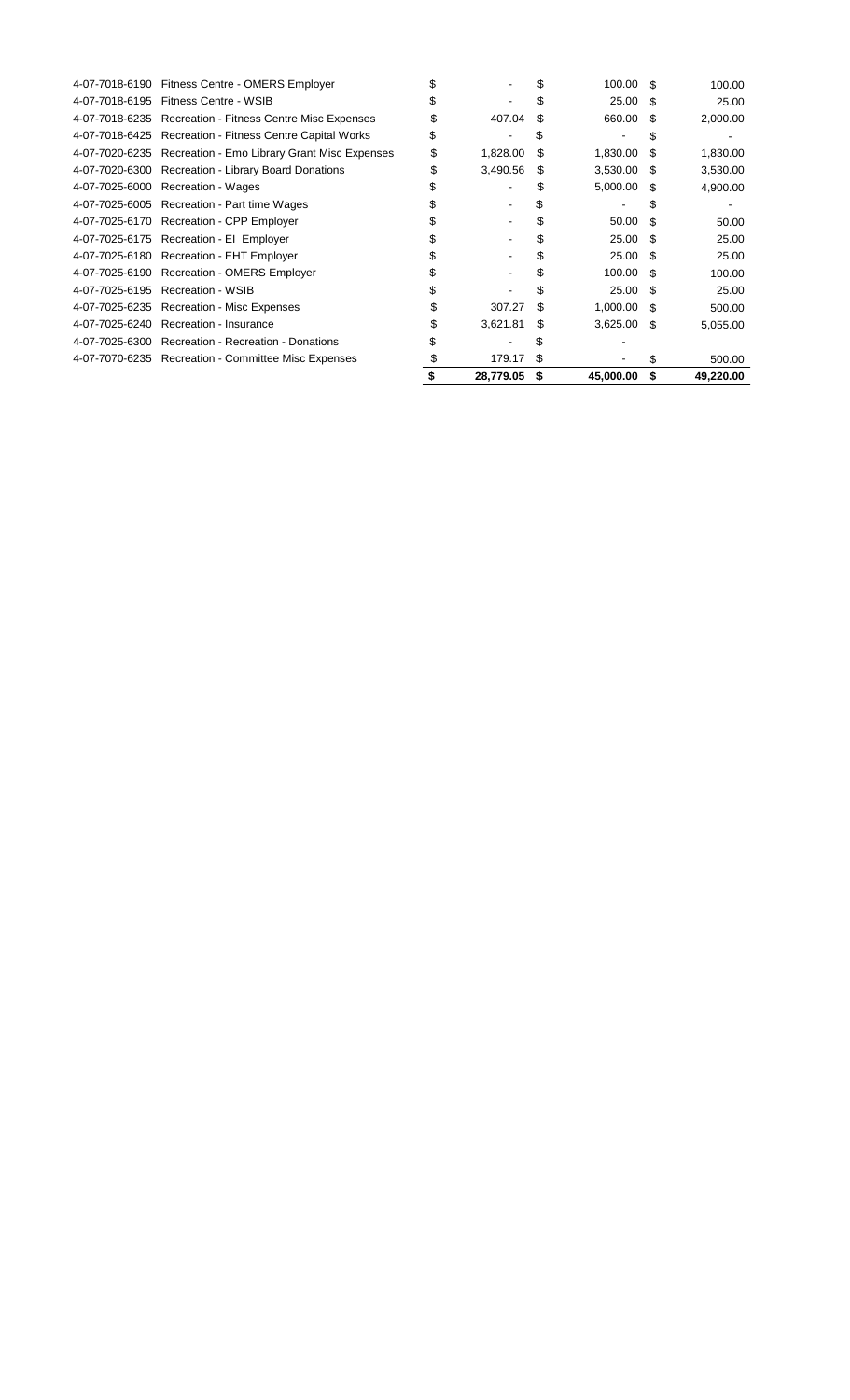| 4-07-7018-6190 | Fitness Centre - OMERS Employer                     |   |           |   | 100.00        | \$. | 100.00    |
|----------------|-----------------------------------------------------|---|-----------|---|---------------|-----|-----------|
| 4-07-7018-6195 | Fitness Centre - WSIB                               |   |           |   | 25.00         | \$. | 25.00     |
| 4-07-7018-6235 | <b>Recreation - Fitness Centre Misc Expenses</b>    |   | 407.04    |   | 660.00        | S   | 2,000.00  |
| 4-07-7018-6425 | <b>Recreation - Fitness Centre Capital Works</b>    |   |           |   |               |     |           |
| 4-07-7020-6235 | Recreation - Emo Library Grant Misc Expenses        | S | 1,828.00  | S | 1,830.00      | S   | 1,830.00  |
| 4-07-7020-6300 | <b>Recreation - Library Board Donations</b>         |   | 3,490.56  | S | 3,530.00      | \$. | 3,530.00  |
| 4-07-7025-6000 | Recreation - Wages                                  |   |           |   | 5,000.00      | \$. | 4,900.00  |
|                | 4-07-7025-6005 Recreation - Part time Wages         |   |           |   |               |     |           |
| 4-07-7025-6170 | Recreation - CPP Employer                           |   |           |   | 50.00         | \$. | 50.00     |
|                | 4-07-7025-6175 Recreation - El Employer             |   |           |   | 25.00 \$      |     | 25.00     |
|                | 4-07-7025-6180 Recreation - EHT Employer            |   |           |   | 25.00         | -S  | 25.00     |
| 4-07-7025-6190 | <b>Recreation - OMERS Employer</b>                  |   |           |   | 100.00        | \$. | 100.00    |
| 4-07-7025-6195 | <b>Recreation - WSIB</b>                            |   |           |   | 25.00         | £.  | 25.00     |
| 4-07-7025-6235 | Recreation - Misc Expenses                          |   | 307.27    |   | 1,000.00      | -\$ | 500.00    |
| 4-07-7025-6240 | Recreation - Insurance                              |   | 3,621.81  | S | $3,625.00$ \$ |     | 5,055.00  |
| 4-07-7025-6300 | Recreation - Recreation - Donations                 |   |           |   |               |     |           |
|                | 4-07-7070-6235 Recreation - Committee Misc Expenses |   | 179.17    |   |               |     | 500.00    |
|                |                                                     |   | 28,779.05 | S | 45,000.00     | S   | 49,220.00 |